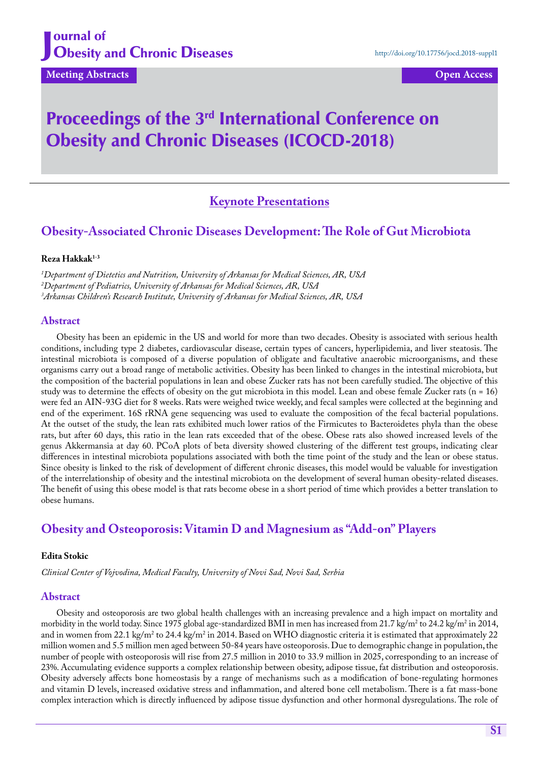## J ournal of **Obesity and Chronic Diseases**

**Meeting Abstracts Contracts Open Access** 

# Proceedings of the 3<sup>rd</sup> International Conference on Obesity and Chronic Diseases (ICOCD-2018)

# **Keynote Presentations**

# **Obesity-Associated Chronic Diseases Development: The Role of Gut Microbiota**

#### **Reza Hakkak1-3**

*1 Department of Dietetics and Nutrition, University of Arkansas for Medical Sciences, AR, USA 2 Department of Pediatrics, University of Arkansas for Medical Sciences, AR, USA 3 Arkansas Children's Research Institute, University of Arkansas for Medical Sciences, AR, USA*

#### **Abstract**

Obesity has been an epidemic in the US and world for more than two decades. Obesity is associated with serious health conditions, including type 2 diabetes, cardiovascular disease, certain types of cancers, hyperlipidemia, and liver steatosis. The intestinal microbiota is composed of a diverse population of obligate and facultative anaerobic microorganisms, and these organisms carry out a broad range of metabolic activities. Obesity has been linked to changes in the intestinal microbiota, but the composition of the bacterial populations in lean and obese Zucker rats has not been carefully studied. The objective of this study was to determine the effects of obesity on the gut microbiota in this model. Lean and obese female Zucker rats  $(n = 16)$ were fed an AIN-93G diet for 8 weeks. Rats were weighed twice weekly, and fecal samples were collected at the beginning and end of the experiment. 16S rRNA gene sequencing was used to evaluate the composition of the fecal bacterial populations. At the outset of the study, the lean rats exhibited much lower ratios of the Firmicutes to Bacteroidetes phyla than the obese rats, but after 60 days, this ratio in the lean rats exceeded that of the obese. Obese rats also showed increased levels of the genus Akkermansia at day 60. PCoA plots of beta diversity showed clustering of the different test groups, indicating clear differences in intestinal microbiota populations associated with both the time point of the study and the lean or obese status. Since obesity is linked to the risk of development of different chronic diseases, this model would be valuable for investigation of the interrelationship of obesity and the intestinal microbiota on the development of several human obesity-related diseases. The benefit of using this obese model is that rats become obese in a short period of time which provides a better translation to obese humans.

# **Obesity and Osteoporosis: Vitamin D and Magnesium as "Add-on" Players**

#### **Edita Stokic**

*Clinical Center of Vojvodina, Medical Faculty, University of Novi Sad, Novi Sad, Serbia*

### **Abstract**

Obesity and osteoporosis are two global health challenges with an increasing prevalence and a high impact on mortality and morbidity in the world today. Since 1975 global age-standardized BMI in men has increased from 21.7 kg/m² to 24.2 kg/m² in 2014, and in women from 22.1 kg/m<sup>2</sup> to 24.4 kg/m<sup>2</sup> in 2014. Based on WHO diagnostic criteria it is estimated that approximately 22 million women and 5.5 million men aged between 50-84 years have osteoporosis. Due to demographic change in population, the number of people with osteoporosis will rise from 27.5 million in 2010 to 33.9 million in 2025, corresponding to an increase of 23%. Accumulating evidence supports a complex relationship between obesity, adipose tissue, fat distribution and osteoporosis. Obesity adversely affects bone homeostasis by a range of mechanisms such as a modification of bone-regulating hormones and vitamin D levels, increased oxidative stress and inflammation, and altered bone cell metabolism. There is a fat mass-bone complex interaction which is directly influenced by adipose tissue dysfunction and other hormonal dysregulations. The role of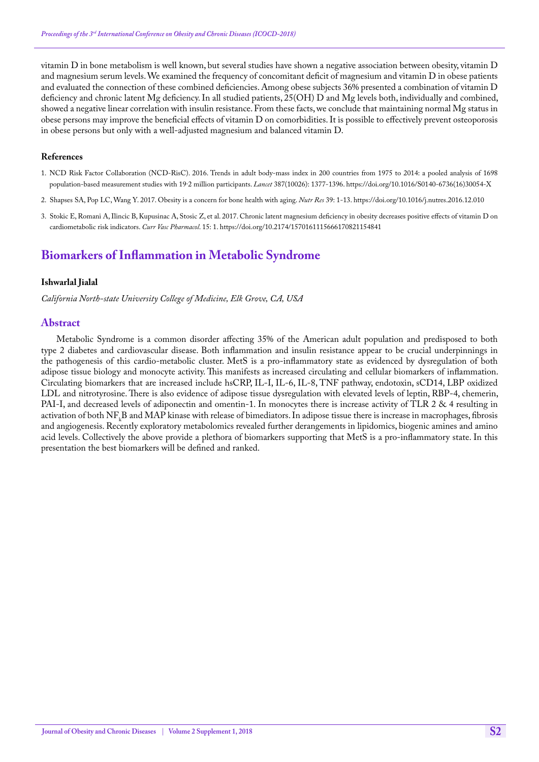vitamin D in bone metabolism is well known, but several studies have shown a negative association between obesity, vitamin D and magnesium serum levels. We examined the frequency of concomitant deficit of magnesium and vitamin D in obese patients and evaluated the connection of these combined deficiencies. Among obese subjects 36% presented a combination of vitamin D deficiency and chronic latent Mg deficiency. In all studied patients, 25(OH) D and Mg levels both, individually and combined, showed a negative linear correlation with insulin resistance. From these facts, we conclude that maintaining normal Mg status in obese persons may improve the beneficial effects of vitamin D on comorbidities. It is possible to effectively prevent osteoporosis in obese persons but only with a well-adjusted magnesium and balanced vitamin D.

### **References**

- 1.[NCD Risk Factor Collaboration \(NCD-RisC\). 2016. Trends in adult body-mass index in 200 countries from 1975 to 2014: a pooled analysis of 1698](https://www.ncbi.nlm.nih.gov/pubmed/27115820)  [population-based measurement studies with 19·2 million participants.](https://www.ncbi.nlm.nih.gov/pubmed/27115820) *Lancet* 387(10026): 1377-1396. [https://doi.org/10.1016/S0140-6736\(16\)30054-X](https://doi.org/10.1016/S0140-6736(16)30054-X)
- 2. [Shapses SA, Pop LC, Wang Y. 2017. Obesity is a concern for bone health with aging.](https://www.ncbi.nlm.nih.gov/pubmed/28385284) *Nutr Res* 39: 1-13. <https://doi.org/10.1016/j.nutres.2016.12.010>
- 3. [Stokic E, Romani A, Ilincic B, Kupusinac A, Stosic Z, et al. 2017. Chronic latent magnesium deficiency in obesity decreases positive effects of vitamin D on](https://www.ncbi.nlm.nih.gov/pubmed/28828979)  [cardiometabolic risk indicators.](https://www.ncbi.nlm.nih.gov/pubmed/28828979) *Curr Vasc Pharmacol*. 15: 1. <https://doi.org/10.2174/1570161115666170821154841>

# **Biomarkers of Inflammation in Metabolic Syndrome**

### **Ishwarlal Jialal**

*California North-state University College of Medicine, Elk Grove, CA, USA*

### **Abstract**

Metabolic Syndrome is a common disorder affecting 35% of the American adult population and predisposed to both type 2 diabetes and cardiovascular disease. Both inflammation and insulin resistance appear to be crucial underpinnings in the pathogenesis of this cardio-metabolic cluster. MetS is a pro-inflammatory state as evidenced by dysregulation of both adipose tissue biology and monocyte activity. This manifests as increased circulating and cellular biomarkers of inflammation. Circulating biomarkers that are increased include hsCRP, IL-I, IL-6, IL-8, TNF pathway, endotoxin, sCD14, LBP oxidized LDL and nitrotyrosine. There is also evidence of adipose tissue dysregulation with elevated levels of leptin, RBP-4, chemerin, PAI-I, and decreased levels of adiponectin and omentin-1. In monocytes there is increase activity of TLR 2 & 4 resulting in activation of both  $N_{k}B$  and MAP kinase with release of bimediators. In adipose tissue there is increase in macrophages, fibrosis and angiogenesis. Recently exploratory metabolomics revealed further derangements in lipidomics, biogenic amines and amino acid levels. Collectively the above provide a plethora of biomarkers supporting that MetS is a pro-inflammatory state. In this presentation the best biomarkers will be defined and ranked.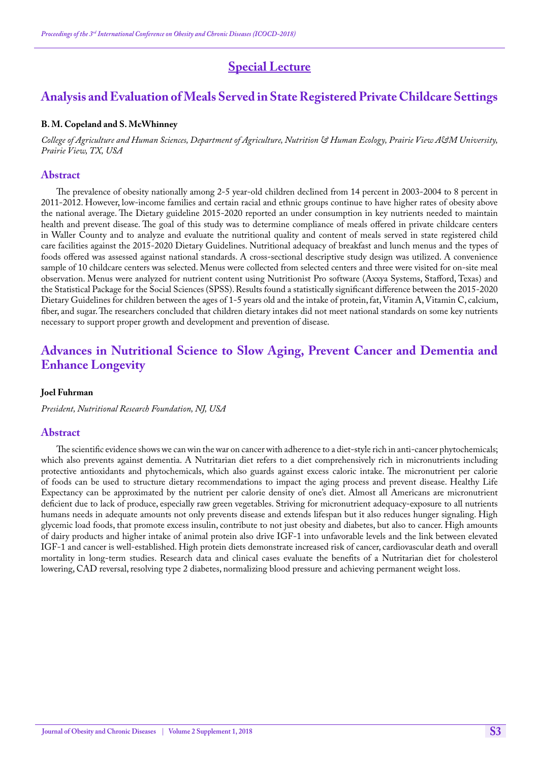# **Special Lecture**

# **Analysis and Evaluation of Meals Served in State Registered Private Childcare Settings**

#### **B. M. Copeland and S. McWhinney**

*College of Agriculture and Human Sciences, Department of Agriculture, Nutrition & Human Ecology, Prairie View A&M University, Prairie View, TX, USA*

#### **Abstract**

The prevalence of obesity nationally among 2-5 year-old children declined from 14 percent in 2003-2004 to 8 percent in 2011-2012. However, low-income families and certain racial and ethnic groups continue to have higher rates of obesity above the national average. The Dietary guideline 2015-2020 reported an under consumption in key nutrients needed to maintain health and prevent disease. The goal of this study was to determine compliance of meals offered in private childcare centers in Waller County and to analyze and evaluate the nutritional quality and content of meals served in state registered child care facilities against the 2015-2020 Dietary Guidelines. Nutritional adequacy of breakfast and lunch menus and the types of foods offered was assessed against national standards. A cross-sectional descriptive study design was utilized. A convenience sample of 10 childcare centers was selected. Menus were collected from selected centers and three were visited for on-site meal observation. Menus were analyzed for nutrient content using Nutritionist Pro software (Axxya Systems, Stafford, Texas) and the Statistical Package for the Social Sciences (SPSS). Results found a statistically significant difference between the 2015-2020 Dietary Guidelines for children between the ages of 1-5 years old and the intake of protein, fat, Vitamin A, Vitamin C, calcium, fiber, and sugar. The researchers concluded that children dietary intakes did not meet national standards on some key nutrients necessary to support proper growth and development and prevention of disease.

# **Advances in Nutritional Science to Slow Aging, Prevent Cancer and Dementia and Enhance Longevity**

#### **Joel Fuhrman**

*President, Nutritional Research Foundation, NJ, USA*

### **Abstract**

The scientific evidence shows we can win the war on cancer with adherence to a diet-style rich in anti-cancer phytochemicals; which also prevents against dementia. A Nutritarian diet refers to a diet comprehensively rich in micronutrients including protective antioxidants and phytochemicals, which also guards against excess caloric intake. The micronutrient per calorie of foods can be used to structure dietary recommendations to impact the aging process and prevent disease. Healthy Life Expectancy can be approximated by the nutrient per calorie density of one's diet. Almost all Americans are micronutrient deficient due to lack of produce, especially raw green vegetables. Striving for micronutrient adequacy-exposure to all nutrients humans needs in adequate amounts not only prevents disease and extends lifespan but it also reduces hunger signaling. High glycemic load foods, that promote excess insulin, contribute to not just obesity and diabetes, but also to cancer. High amounts of dairy products and higher intake of animal protein also drive IGF-1 into unfavorable levels and the link between elevated IGF-1 and cancer is well-established. High protein diets demonstrate increased risk of cancer, cardiovascular death and overall mortality in long-term studies. Research data and clinical cases evaluate the benefits of a Nutritarian diet for cholesterol lowering, CAD reversal, resolving type 2 diabetes, normalizing blood pressure and achieving permanent weight loss.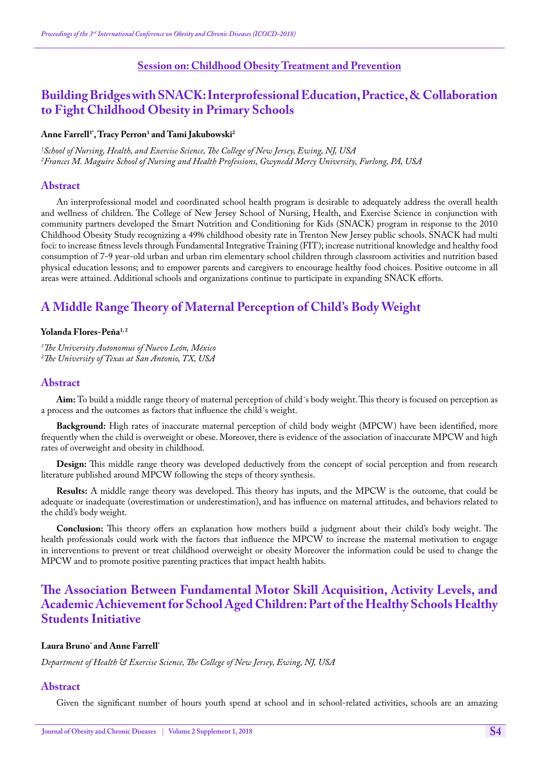## **Session on: Childhood Obesity Treatment and Prevention**

# **Building Bridges with SNACK: Interprofessional Education, Practice, & Collaboration to Fight Childhood Obesity in Primary Schools**

## **Anne Farrell1\*, Tracy Perron1 and Tami Jakubowski2**

*1 School of Nursing, Health, and Exercise Science, The College of New Jersey, Ewing, NJ, USA 2 Frances M. Maguire School of Nursing and Health Professions, Gwynedd Mercy University, Furlong, PA, USA*

## **Abstract**

An interprofessional model and coordinated school health program is desirable to adequately address the overall health and wellness of children. The College of New Jersey School of Nursing, Health, and Exercise Science in conjunction with community partners developed the Smart Nutrition and Conditioning for Kids (SNACK) program in response to the 2010 Childhood Obesity Study recognizing a 49% childhood obesity rate in Trenton New Jersey public schools. SNACK had multi foci: to increase fitness levels through Fundamental Integrative Training (FIT); increase nutritional knowledge and healthy food consumption of 7-9 year-old urban and urban rim elementary school children through classroom activities and nutrition based physical education lessons; and to empower parents and caregivers to encourage healthy food choices. Positive outcome in all areas were attained. Additional schools and organizations continue to participate in expanding SNACK efforts.

# **A Middle Range Theory of Maternal Perception of Child's Body Weight**

### **Yolanda Flores-Peña1, 2**

*1 The University Autonomus of Nuevo León, México 2 The University of Texas at San Antonio, TX, USA*

### **Abstract**

**Aim:** To build a middle range theory of maternal perception of child´s body weight. This theory is focused on perception as a process and the outcomes as factors that influence the child´s weight.

**Background:** High rates of inaccurate maternal perception of child body weight (MPCW) have been identified, more frequently when the child is overweight or obese. Moreover, there is evidence of the association of inaccurate MPCW and high rates of overweight and obesity in childhood.

**Design:** This middle range theory was developed deductively from the concept of social perception and from research literature published around MPCW following the steps of theory synthesis.

**Results:** A middle range theory was developed. This theory has inputs, and the MPCW is the outcome, that could be adequate or inadequate (overestimation or underestimation), and has influence on maternal attitudes, and behaviors related to the child's body weight.

**Conclusion:** This theory offers an explanation how mothers build a judgment about their child's body weight. The health professionals could work with the factors that influence the MPCW to increase the maternal motivation to engage in interventions to prevent or treat childhood overweight or obesity Moreover the information could be used to change the MPCW and to promote positive parenting practices that impact health habits.

# **The Association Between Fundamental Motor Skill Acquisition, Activity Levels, and Academic Achievement for School Aged Children: Part of the Healthy Schools Healthy Students Initiative**

## **Laura Bruno\* and Anne Farrell\***

*Department of Health & Exercise Science, The College of New Jersey, Ewing, NJ, USA*

### **Abstract**

Given the significant number of hours youth spend at school and in school-related activities, schools are an amazing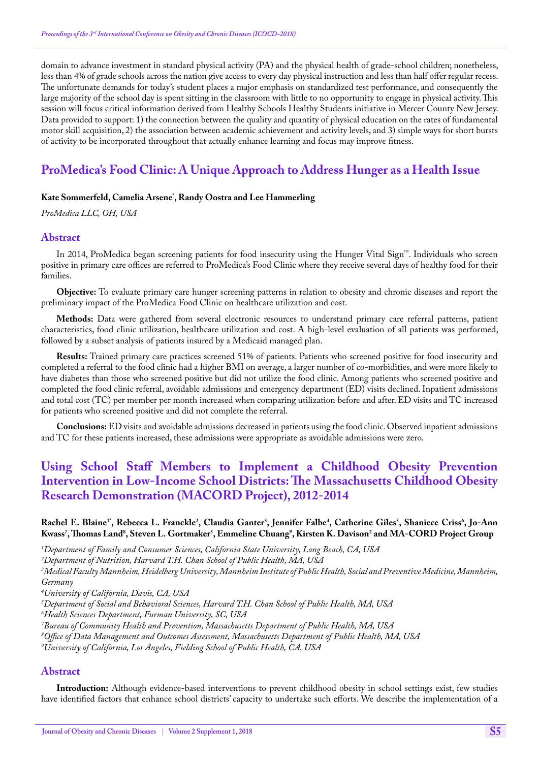domain to advance investment in standard physical activity (PA) and the physical health of grade-school children; nonetheless, less than 4% of grade schools across the nation give access to every day physical instruction and less than half offer regular recess. The unfortunate demands for today's student places a major emphasis on standardized test performance, and consequently the large majority of the school day is spent sitting in the classroom with little to no opportunity to engage in physical activity. This session will focus critical information derived from Healthy Schools Healthy Students initiative in Mercer County New Jersey. Data provided to support: 1) the connection between the quality and quantity of physical education on the rates of fundamental motor skill acquisition, 2) the association between academic achievement and activity levels, and 3) simple ways for short bursts of activity to be incorporated throughout that actually enhance learning and focus may improve fitness.

# **ProMedica's Food Clinic: A Unique Approach to Address Hunger as a Health Issue**

## **Kate Sommerfeld, Camelia Arsene\* , Randy Oostra and Lee Hammerling**

*ProMedica LLC, OH, USA* 

### **Abstract**

In 2014, ProMedica began screening patients for food insecurity using the Hunger Vital Sign™. Individuals who screen positive in primary care offices are referred to ProMedica's Food Clinic where they receive several days of healthy food for their families.

**Objective:** To evaluate primary care hunger screening patterns in relation to obesity and chronic diseases and report the preliminary impact of the ProMedica Food Clinic on healthcare utilization and cost.

**Methods:** Data were gathered from several electronic resources to understand primary care referral patterns, patient characteristics, food clinic utilization, healthcare utilization and cost. A high-level evaluation of all patients was performed, followed by a subset analysis of patients insured by a Medicaid managed plan.

**Results:** Trained primary care practices screened 51% of patients. Patients who screened positive for food insecurity and completed a referral to the food clinic had a higher BMI on average, a larger number of co-morbidities, and were more likely to have diabetes than those who screened positive but did not utilize the food clinic. Among patients who screened positive and completed the food clinic referral, avoidable admissions and emergency department (ED) visits declined. Inpatient admissions and total cost (TC) per member per month increased when comparing utilization before and after. ED visits and TC increased for patients who screened positive and did not complete the referral.

**Conclusions:** ED visits and avoidable admissions decreased in patients using the food clinic. Observed inpatient admissions and TC for these patients increased, these admissions were appropriate as avoidable admissions were zero.

# **Using School Staff Members to Implement a Childhood Obesity Prevention Intervention in Low-Income School Districts: The Massachusetts Childhood Obesity Research Demonstration (MACORD Project), 2012-2014**

## $\kappa$ Rachel E. Blaine<sup>1</sup>', Rebecca L. Franckle<sup>2</sup>, Claudia Ganter<sup>3</sup>, Jennifer Falbe<sup>4</sup>, Catherine Giles<sup>5</sup>, Shaniece Criss<sup>6</sup>, Jo-Ann **Kwass7 , Thomas Land8 , Steven L. Gortmaker5 , Emmeline Chuang9 , Kirsten K. Davison2 and MA-CORD Project Group**

*1 Department of Family and Consumer Sciences, California State University, Long Beach, CA, USA*

*2 Department of Nutrition, Harvard T.H. Chan School of Public Health, MA, USA*

<sup>3</sup>Medical Faculty Mannheim, Heidelberg University, Mannheim Institute of Public Health, Social and Preventive Medicine, Mannheim, *Germany*

*4 University of California, Davis, CA, USA*

*5 Department of Social and Behavioral Sciences, Harvard T.H. Chan School of Public Health, MA, USA*

*6 Health Sciences Department, Furman University, SC, USA*

*7 Bureau of Community Health and Prevention, Massachusetts Department of Public Health, MA, USA*

*8 Office of Data Management and Outcomes Assessment, Massachusetts Department of Public Health, MA, USA*

*9 University of California, Los Angeles, Fielding School of Public Health, CA, USA*

### **Abstract**

**Introduction:** Although evidence-based interventions to prevent childhood obesity in school settings exist, few studies have identified factors that enhance school districts' capacity to undertake such efforts. We describe the implementation of a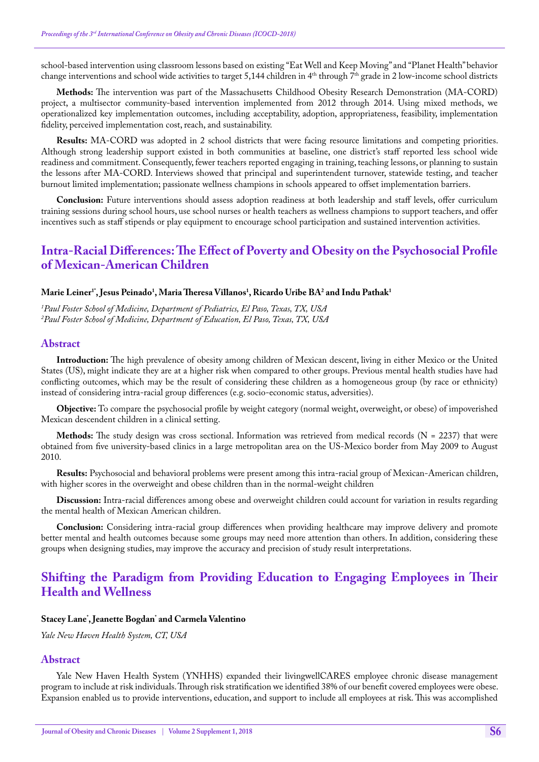school-based intervention using classroom lessons based on existing "Eat Well and Keep Moving" and "Planet Health" behavior change interventions and school wide activities to target 5,144 children in  $4<sup>th</sup>$  through  $7<sup>th</sup>$  grade in 2 low-income school districts

**Methods:** The intervention was part of the Massachusetts Childhood Obesity Research Demonstration (MA-CORD) project, a multisector community-based intervention implemented from 2012 through 2014. Using mixed methods, we operationalized key implementation outcomes, including acceptability, adoption, appropriateness, feasibility, implementation fidelity, perceived implementation cost, reach, and sustainability.

**Results:** MA-CORD was adopted in 2 school districts that were facing resource limitations and competing priorities. Although strong leadership support existed in both communities at baseline, one district's staff reported less school wide readiness and commitment. Consequently, fewer teachers reported engaging in training, teaching lessons, or planning to sustain the lessons after MA-CORD. Interviews showed that principal and superintendent turnover, statewide testing, and teacher burnout limited implementation; passionate wellness champions in schools appeared to offset implementation barriers.

**Conclusion:** Future interventions should assess adoption readiness at both leadership and staff levels, offer curriculum training sessions during school hours, use school nurses or health teachers as wellness champions to support teachers, and offer incentives such as staff stipends or play equipment to encourage school participation and sustained intervention activities.

# **Intra-Racial Differences: The Effect of Poverty and Obesity on the Psychosocial Profile of Mexican-American Children**

### **Marie Leiner1\*, Jesus Peinado1 , Maria Theresa Villanos1 , Ricardo Uribe BA2 and Indu Pathak1**

*1 Paul Foster School of Medicine, Department of Pediatrics, El Paso, Texas, TX, USA 2 Paul Foster School of Medicine, Department of Education, El Paso, Texas, TX, USA*

#### **Abstract**

**Introduction:** The high prevalence of obesity among children of Mexican descent, living in either Mexico or the United States (US), might indicate they are at a higher risk when compared to other groups. Previous mental health studies have had conflicting outcomes, which may be the result of considering these children as a homogeneous group (by race or ethnicity) instead of considering intra-racial group differences (e.g. socio-economic status, adversities).

**Objective:** To compare the psychosocial profile by weight category (normal weight, overweight, or obese) of impoverished Mexican descendent children in a clinical setting.

**Methods:** The study design was cross sectional. Information was retrieved from medical records (N = 2237) that were obtained from five university-based clinics in a large metropolitan area on the US-Mexico border from May 2009 to August 2010.

**Results:** Psychosocial and behavioral problems were present among this intra-racial group of Mexican-American children, with higher scores in the overweight and obese children than in the normal-weight children

**Discussion:** Intra-racial differences among obese and overweight children could account for variation in results regarding the mental health of Mexican American children.

**Conclusion:** Considering intra-racial group differences when providing healthcare may improve delivery and promote better mental and health outcomes because some groups may need more attention than others. In addition, considering these groups when designing studies, may improve the accuracy and precision of study result interpretations.

# **Shifting the Paradigm from Providing Education to Engaging Employees in Their Health and Wellness**

#### **Stacey Lane\* , Jeanette Bogdan\* and Carmela Valentino**

*Yale New Haven Health System, CT, USA*

## **Abstract**

Yale New Haven Health System (YNHHS) expanded their livingwellCARES employee chronic disease management program to include at risk individuals. Through risk stratification we identified 38% of our benefit covered employees were obese. Expansion enabled us to provide interventions, education, and support to include all employees at risk. This was accomplished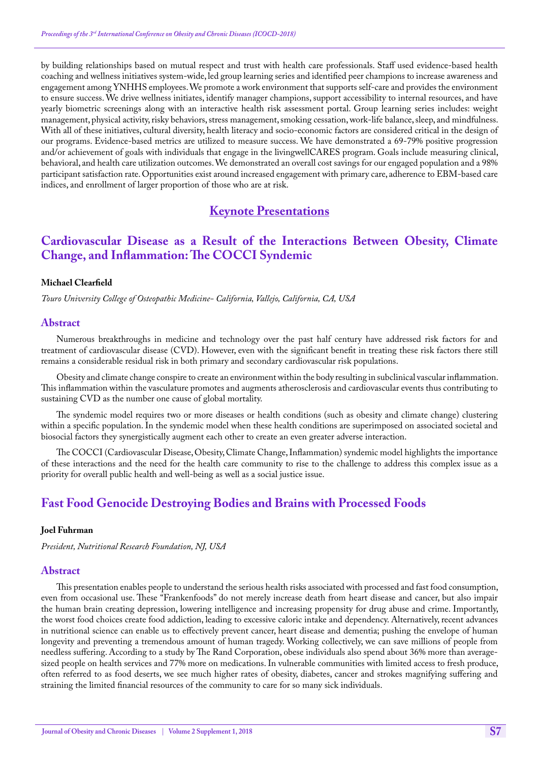by building relationships based on mutual respect and trust with health care professionals. Staff used evidence-based health coaching and wellness initiatives system-wide, led group learning series and identified peer champions to increase awareness and engagement among YNHHS employees. We promote a work environment that supports self-care and provides the environment to ensure success. We drive wellness initiates, identify manager champions, support accessibility to internal resources, and have yearly biometric screenings along with an interactive health risk assessment portal. Group learning series includes: weight management, physical activity, risky behaviors, stress management, smoking cessation, work-life balance, sleep, and mindfulness. With all of these initiatives, cultural diversity, health literacy and socio-economic factors are considered critical in the design of our programs. Evidence-based metrics are utilized to measure success. We have demonstrated a 69-79% positive progression and/or achievement of goals with individuals that engage in the livingwellCARES program. Goals include measuring clinical, behavioral, and health care utilization outcomes. We demonstrated an overall cost savings for our engaged population and a 98% participant satisfaction rate. Opportunities exist around increased engagement with primary care, adherence to EBM-based care indices, and enrollment of larger proportion of those who are at risk.

# **Keynote Presentations**

# **Cardiovascular Disease as a Result of the Interactions Between Obesity, Climate Change, and Inflammation: The COCCI Syndemic**

#### **Michael Clearfield**

*Touro University College of Osteopathic Medicine- California, Vallejo, California, CA, USA*

#### **Abstract**

Numerous breakthroughs in medicine and technology over the past half century have addressed risk factors for and treatment of cardiovascular disease (CVD). However, even with the significant benefit in treating these risk factors there still remains a considerable residual risk in both primary and secondary cardiovascular risk populations.

Obesity and climate change conspire to create an environment within the body resulting in subclinical vascular inflammation. This inflammation within the vasculature promotes and augments atherosclerosis and cardiovascular events thus contributing to sustaining CVD as the number one cause of global mortality.

The syndemic model requires two or more diseases or health conditions (such as obesity and climate change) clustering within a specific population. In the syndemic model when these health conditions are superimposed on associated societal and biosocial factors they synergistically augment each other to create an even greater adverse interaction.

The COCCI (Cardiovascular Disease, Obesity, Climate Change, Inflammation) syndemic model highlights the importance of these interactions and the need for the health care community to rise to the challenge to address this complex issue as a priority for overall public health and well-being as well as a social justice issue.

# **Fast Food Genocide Destroying Bodies and Brains with Processed Foods**

#### **Joel Fuhrman**

*President, Nutritional Research Foundation, NJ, USA*

#### **Abstract**

This presentation enables people to understand the serious health risks associated with processed and fast food consumption, even from occasional use. These "Frankenfoods" do not merely increase death from heart disease and cancer, but also impair the human brain creating depression, lowering intelligence and increasing propensity for drug abuse and crime. Importantly, the worst food choices create food addiction, leading to excessive caloric intake and dependency. Alternatively, recent advances in nutritional science can enable us to effectively prevent cancer, heart disease and dementia; pushing the envelope of human longevity and preventing a tremendous amount of human tragedy. Working collectively, we can save millions of people from needless suffering. According to a study by The Rand Corporation, obese individuals also spend about 36% more than averagesized people on health services and 77% more on medications. In vulnerable communities with limited access to fresh produce, often referred to as food deserts, we see much higher rates of obesity, diabetes, cancer and strokes magnifying suffering and straining the limited financial resources of the community to care for so many sick individuals.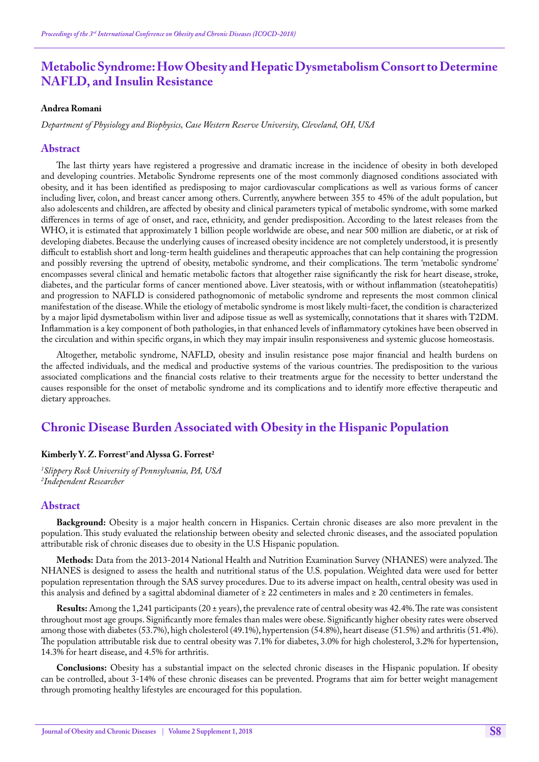# **Metabolic Syndrome: How Obesity and Hepatic Dysmetabolism Consort to Determine NAFLD, and Insulin Resistance**

#### **Andrea Romani**

*Department of Physiology and Biophysics, Case Western Reserve University, Cleveland, OH, USA*

#### **Abstract**

The last thirty years have registered a progressive and dramatic increase in the incidence of obesity in both developed and developing countries. Metabolic Syndrome represents one of the most commonly diagnosed conditions associated with obesity, and it has been identified as predisposing to major cardiovascular complications as well as various forms of cancer including liver, colon, and breast cancer among others. Currently, anywhere between 355 to 45% of the adult population, but also adolescents and children, are affected by obesity and clinical parameters typical of metabolic syndrome, with some marked differences in terms of age of onset, and race, ethnicity, and gender predisposition. According to the latest releases from the WHO, it is estimated that approximately 1 billion people worldwide are obese, and near 500 million are diabetic, or at risk of developing diabetes. Because the underlying causes of increased obesity incidence are not completely understood, it is presently difficult to establish short and long-term health guidelines and therapeutic approaches that can help containing the progression and possibly reversing the uptrend of obesity, metabolic syndrome, and their complications. The term 'metabolic syndrome' encompasses several clinical and hematic metabolic factors that altogether raise significantly the risk for heart disease, stroke, diabetes, and the particular forms of cancer mentioned above. Liver steatosis, with or without inflammation (steatohepatitis) and progression to NAFLD is considered pathognomonic of metabolic syndrome and represents the most common clinical manifestation of the disease. While the etiology of metabolic syndrome is most likely multi-facet, the condition is characterized by a major lipid dysmetabolism within liver and adipose tissue as well as systemically, connotations that it shares with T2DM. Inflammation is a key component of both pathologies, in that enhanced levels of inflammatory cytokines have been observed in the circulation and within specific organs, in which they may impair insulin responsiveness and systemic glucose homeostasis.

Altogether, metabolic syndrome, NAFLD, obesity and insulin resistance pose major financial and health burdens on the affected individuals, and the medical and productive systems of the various countries. The predisposition to the various associated complications and the financial costs relative to their treatments argue for the necessity to better understand the causes responsible for the onset of metabolic syndrome and its complications and to identify more effective therapeutic and dietary approaches.

## **Chronic Disease Burden Associated with Obesity in the Hispanic Population**

### Kimberly Y. Z. Forrest<sup>1\*</sup>and Alyssa G. Forrest<sup>2</sup>

*1 Slippery Rock University of Pennsylvania, PA, USA 2 Independent Researcher*

#### **Abstract**

**Background:** Obesity is a major health concern in Hispanics. Certain chronic diseases are also more prevalent in the population. This study evaluated the relationship between obesity and selected chronic diseases, and the associated population attributable risk of chronic diseases due to obesity in the U.S Hispanic population.

**Methods:** Data from the 2013-2014 National Health and Nutrition Examination Survey (NHANES) were analyzed. The NHANES is designed to assess the health and nutritional status of the U.S. population. Weighted data were used for better population representation through the SAS survey procedures. Due to its adverse impact on health, central obesity was used in this analysis and defined by a sagittal abdominal diameter of  $\geq 22$  centimeters in males and  $\geq 20$  centimeters in females.

**Results:** Among the 1,241 participants (20 ± years), the prevalence rate of central obesity was 42.4%. The rate was consistent throughout most age groups. Significantly more females than males were obese. Significantly higher obesity rates were observed among those with diabetes (53.7%), high cholesterol (49.1%), hypertension (54.8%), heart disease (51.5%) and arthritis (51.4%). The population attributable risk due to central obesity was 7.1% for diabetes, 3.0% for high cholesterol, 3.2% for hypertension, 14.3% for heart disease, and 4.5% for arthritis.

**Conclusions:** Obesity has a substantial impact on the selected chronic diseases in the Hispanic population. If obesity can be controlled, about 3-14% of these chronic diseases can be prevented. Programs that aim for better weight management through promoting healthy lifestyles are encouraged for this population.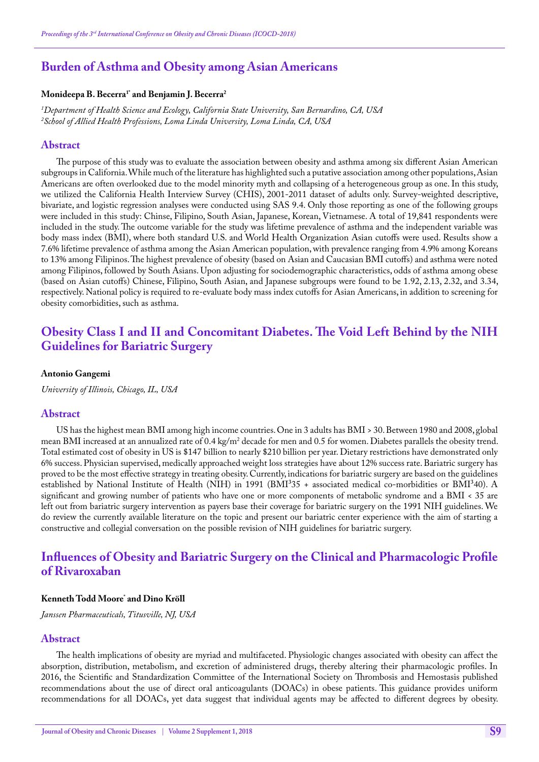## **Burden of Asthma and Obesity among Asian Americans**

#### **Monideepa B. Becerra1\* and Benjamin J. Becerra2**

*1 Department of Health Science and Ecology, California State University, San Bernardino, CA, USA 2 School of Allied Health Professions, Loma Linda University, Loma Linda, CA, USA*

#### **Abstract**

The purpose of this study was to evaluate the association between obesity and asthma among six different Asian American subgroups in California. While much of the literature has highlighted such a putative association among other populations, Asian Americans are often overlooked due to the model minority myth and collapsing of a heterogeneous group as one. In this study, we utilized the California Health Interview Survey (CHIS), 2001-2011 dataset of adults only. Survey-weighted descriptive, bivariate, and logistic regression analyses were conducted using SAS 9.4. Only those reporting as one of the following groups were included in this study: Chinse, Filipino, South Asian, Japanese, Korean, Vietnamese. A total of 19,841 respondents were included in the study. The outcome variable for the study was lifetime prevalence of asthma and the independent variable was body mass index (BMI), where both standard U.S. and World Health Organization Asian cutoffs were used. Results show a 7.6% lifetime prevalence of asthma among the Asian American population, with prevalence ranging from 4.9% among Koreans to 13% among Filipinos. The highest prevalence of obesity (based on Asian and Caucasian BMI cutoffs) and asthma were noted among Filipinos, followed by South Asians. Upon adjusting for sociodemographic characteristics, odds of asthma among obese (based on Asian cutoffs) Chinese, Filipino, South Asian, and Japanese subgroups were found to be 1.92, 2.13, 2.32, and 3.34, respectively. National policy is required to re-evaluate body mass index cutoffs for Asian Americans, in addition to screening for obesity comorbidities, such as asthma.

# **Obesity Class I and II and Concomitant Diabetes. The Void Left Behind by the NIH Guidelines for Bariatric Surgery**

#### **Antonio Gangemi**

*University of Illinois, Chicago, IL, USA*

#### **Abstract**

US has the highest mean BMI among high income countries. One in 3 adults has BMI > 30. Between 1980 and 2008, global mean BMI increased at an annualized rate of 0.4 kg/m2 decade for men and 0.5 for women. Diabetes parallels the obesity trend. Total estimated cost of obesity in US is \$147 billion to nearly \$210 billion per year. Dietary restrictions have demonstrated only 6% success. Physician supervised, medically approached weight loss strategies have about 12% success rate. Bariatric surgery has proved to be the most effective strategy in treating obesity. Currently, indications for bariatric surgery are based on the guidelines established by National Institute of Health (NIH) in 1991 (BMI<sup>3</sup>35 + associated medical co-morbidities or BMI<sup>3</sup>40). A significant and growing number of patients who have one or more components of metabolic syndrome and a BMI < 35 are left out from bariatric surgery intervention as payers base their coverage for bariatric surgery on the 1991 NIH guidelines. We do review the currently available literature on the topic and present our bariatric center experience with the aim of starting a constructive and collegial conversation on the possible revision of NIH guidelines for bariatric surgery.

## **Influences of Obesity and Bariatric Surgery on the Clinical and Pharmacologic Profile of Rivaroxaban**

#### **Kenneth Todd Moore\* and Dino Kröll**

*Janssen Pharmaceuticals, Titusville, NJ, USA*

#### **Abstract**

The health implications of obesity are myriad and multifaceted. Physiologic changes associated with obesity can affect the absorption, distribution, metabolism, and excretion of administered drugs, thereby altering their pharmacologic profiles. In 2016, the Scientific and Standardization Committee of the International Society on Thrombosis and Hemostasis published recommendations about the use of direct oral anticoagulants (DOACs) in obese patients. This guidance provides uniform recommendations for all DOACs, yet data suggest that individual agents may be affected to different degrees by obesity.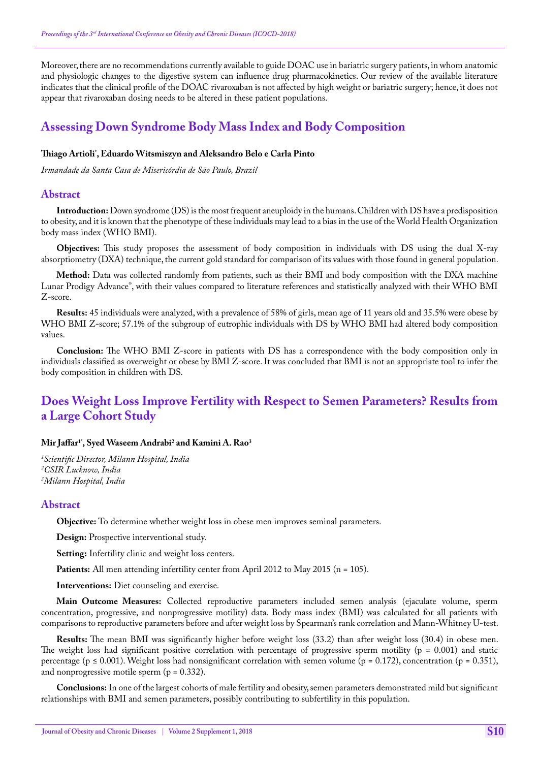Moreover, there are no recommendations currently available to guide DOAC use in bariatric surgery patients, in whom anatomic and physiologic changes to the digestive system can influence drug pharmacokinetics. Our review of the available literature indicates that the clinical profile of the DOAC rivaroxaban is not affected by high weight or bariatric surgery; hence, it does not appear that rivaroxaban dosing needs to be altered in these patient populations.

# **Assessing Down Syndrome Body Mass Index and Body Composition**

## **Thiago Artioli\* , Eduardo Witsmiszyn and Aleksandro Belo e Carla Pinto**

*Irmandade da Santa Casa de Misericórdia de São Paulo, Brazil*

### **Abstract**

**Introduction:** Down syndrome (DS) is the most frequent aneuploidy in the humans. Children with DS have a predisposition to obesity, and it is known that the phenotype of these individuals may lead to a bias in the use of the World Health Organization body mass index (WHO BMI).

**Objectives:** This study proposes the assessment of body composition in individuals with DS using the dual X-ray absorptiometry (DXA) technique, the current gold standard for comparison of its values with those found in general population.

**Method:** Data was collected randomly from patients, such as their BMI and body composition with the DXA machine Lunar Prodigy Advance®, with their values compared to literature references and statistically analyzed with their WHO BMI Z-score.

**Results:** 45 individuals were analyzed, with a prevalence of 58% of girls, mean age of 11 years old and 35.5% were obese by WHO BMI Z-score; 57.1% of the subgroup of eutrophic individuals with DS by WHO BMI had altered body composition values.

**Conclusion:** The WHO BMI Z-score in patients with DS has a correspondence with the body composition only in individuals classified as overweight or obese by BMI Z-score. It was concluded that BMI is not an appropriate tool to infer the body composition in children with DS.

# **Does Weight Loss Improve Fertility with Respect to Semen Parameters? Results from a Large Cohort Study**

## **Mir Jaffar1\*, Syed Waseem Andrabi2 and Kamini A. Rao3**

*1 Scientific Director, Milann Hospital, India 2 CSIR Lucknow, India 3 Milann Hospital, India*

### **Abstract**

**Objective:** To determine whether weight loss in obese men improves seminal parameters.

**Design:** Prospective interventional study.

**Setting:** Infertility clinic and weight loss centers.

Patients: All men attending infertility center from April 2012 to May 2015 (n = 105).

**Interventions:** Diet counseling and exercise.

**Main Outcome Measures:** Collected reproductive parameters included semen analysis (ejaculate volume, sperm concentration, progressive, and nonprogressive motility) data. Body mass index (BMI) was calculated for all patients with comparisons to reproductive parameters before and after weight loss by Spearman's rank correlation and Mann-Whitney U-test.

**Results:** The mean BMI was significantly higher before weight loss (33.2) than after weight loss (30.4) in obese men. The weight loss had significant positive correlation with percentage of progressive sperm motility ( $p = 0.001$ ) and static percentage (p  $\leq$  0.001). Weight loss had nonsignificant correlation with semen volume (p = 0.172), concentration (p = 0.351), and nonprogressive motile sperm  $(p = 0.332)$ .

**Conclusions:** In one of the largest cohorts of male fertility and obesity, semen parameters demonstrated mild but significant relationships with BMI and semen parameters, possibly contributing to subfertility in this population.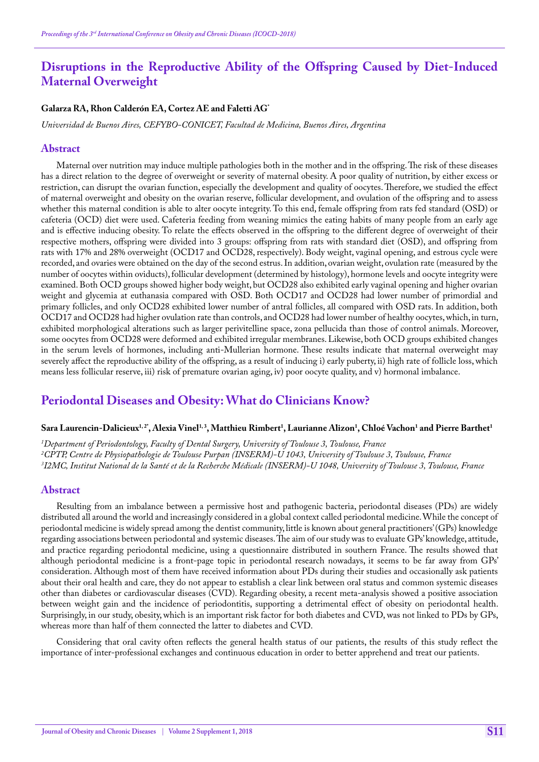# **Disruptions in the Reproductive Ability of the Offspring Caused by Diet-Induced Maternal Overweight**

### **Galarza RA, Rhon Calderón EA, Cortez AE and Faletti AG\***

*Universidad de Buenos Aires, CEFYBO-CONICET, Facultad de Medicina, Buenos Aires, Argentina*

### **Abstract**

Maternal over nutrition may induce multiple pathologies both in the mother and in the offspring. The risk of these diseases has a direct relation to the degree of overweight or severity of maternal obesity. A poor quality of nutrition, by either excess or restriction, can disrupt the ovarian function, especially the development and quality of oocytes. Therefore, we studied the effect of maternal overweight and obesity on the ovarian reserve, follicular development, and ovulation of the offspring and to assess whether this maternal condition is able to alter oocyte integrity. To this end, female offspring from rats fed standard (OSD) or cafeteria (OCD) diet were used. Cafeteria feeding from weaning mimics the eating habits of many people from an early age and is effective inducing obesity. To relate the effects observed in the offspring to the different degree of overweight of their respective mothers, offspring were divided into 3 groups: offspring from rats with standard diet (OSD), and offspring from rats with 17% and 28% overweight (OCD17 and OCD28, respectively). Body weight, vaginal opening, and estrous cycle were recorded, and ovaries were obtained on the day of the second estrus. In addition, ovarian weight, ovulation rate (measured by the number of oocytes within oviducts), follicular development (determined by histology), hormone levels and oocyte integrity were examined. Both OCD groups showed higher body weight, but OCD28 also exhibited early vaginal opening and higher ovarian weight and glycemia at euthanasia compared with OSD. Both OCD17 and OCD28 had lower number of primordial and primary follicles, and only OCD28 exhibited lower number of antral follicles, all compared with OSD rats. In addition, both OCD17 and OCD28 had higher ovulation rate than controls, and OCD28 had lower number of healthy oocytes, which, in turn, exhibited morphological alterations such as larger perivitelline space, zona pellucida than those of control animals. Moreover, some oocytes from OCD28 were deformed and exhibited irregular membranes. Likewise, both OCD groups exhibited changes in the serum levels of hormones, including anti-Mullerian hormone. These results indicate that maternal overweight may severely affect the reproductive ability of the offspring, as a result of inducing i) early puberty, ii) high rate of follicle loss, which means less follicular reserve, iii) risk of premature ovarian aging, iv) poor oocyte quality, and v) hormonal imbalance.

## **Periodontal Diseases and Obesity: What do Clinicians Know?**

### $\beta$ ara Laurencin-Dalicieux<sup>1,2+</sup>, Alexia Vinel<sup>1,3</sup>, Matthieu Rimbert<sup>1</sup>, Laurianne Alizon<sup>1</sup>, Chloé Vachon<sup>1</sup> and Pierre Barthet<sup>1</sup>

*1 Department of Periodontology, Faculty of Dental Surgery, University of Toulouse 3, Toulouse, France 2 CPTP, Centre de Physiopathologie de Toulouse Purpan (INSERM)-U 1043, University of Toulouse 3, Toulouse, France 3 I2MC, Institut National de la Santé et de la Recherche Médicale (INSERM)-U 1048, University of Toulouse 3, Toulouse, France*

#### **Abstract**

Resulting from an imbalance between a permissive host and pathogenic bacteria, periodontal diseases (PDs) are widely distributed all around the world and increasingly considered in a global context called periodontal medicine. While the concept of periodontal medicine is widely spread among the dentist community, little is known about general practitioners' (GPs) knowledge regarding associations between periodontal and systemic diseases. The aim of our study was to evaluate GPs' knowledge, attitude, and practice regarding periodontal medicine, using a questionnaire distributed in southern France. The results showed that although periodontal medicine is a front-page topic in periodontal research nowadays, it seems to be far away from GPs' consideration. Although most of them have received information about PDs during their studies and occasionally ask patients about their oral health and care, they do not appear to establish a clear link between oral status and common systemic diseases other than diabetes or cardiovascular diseases (CVD). Regarding obesity, a recent meta-analysis showed a positive association between weight gain and the incidence of periodontitis, supporting a detrimental effect of obesity on periodontal health. Surprisingly, in our study, obesity, which is an important risk factor for both diabetes and CVD, was not linked to PDs by GPs, whereas more than half of them connected the latter to diabetes and CVD.

Considering that oral cavity often reflects the general health status of our patients, the results of this study reflect the importance of inter-professional exchanges and continuous education in order to better apprehend and treat our patients.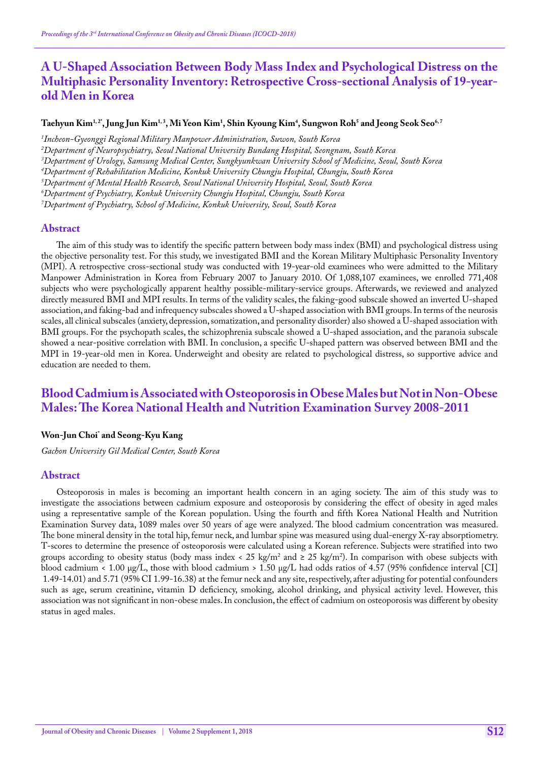# **A U-Shaped Association Between Body Mass Index and Psychological Distress on the Multiphasic Personality Inventory: Retrospective Cross-sectional Analysis of 19-yearold Men in Korea**

## $\bf$ Taehyun Kim $^{1,2}$ , Jung Jun Kim $^{1,3}$ , Mi Yeon Kim $^1$ , Shin Kyoung Kim $^4$ , Sungwon Roh $^5$  and Jeong Seok Seo $^{6,7}$

*1 Incheon-Gyeonggi Regional Military Manpower Administration, Suwon, South Korea*

*2 Department of Neuropsychiatry, Seoul National University Bundang Hospital, Seongnam, South Korea*

*3 Department of Urology, Samsung Medical Center, Sungkyunkwan University School of Medicine, Seoul, South Korea*

*4 Department of Rehabilitation Medicine, Konkuk University Chungju Hospital, Chungju, South Korea*

*5 Department of Mental Health Research, Seoul National University Hospital, Seoul, South Korea*

*6 Department of Psychiatry, Konkuk University Chungju Hospital, Chungju, South Korea*

*7 Department of Psychiatry, School of Medicine, Konkuk University, Seoul, South Korea*

#### **Abstract**

The aim of this study was to identify the specific pattern between body mass index (BMI) and psychological distress using the objective personality test. For this study, we investigated BMI and the Korean Military Multiphasic Personality Inventory (MPI). A retrospective cross-sectional study was conducted with 19-year-old examinees who were admitted to the Military Manpower Administration in Korea from February 2007 to January 2010. Of 1,088,107 examinees, we enrolled 771,408 subjects who were psychologically apparent healthy possible-military-service groups. Afterwards, we reviewed and analyzed directly measured BMI and MPI results. In terms of the validity scales, the faking-good subscale showed an inverted U-shaped association, and faking-bad and infrequency subscales showed a U-shaped association with BMI groups. In terms of the neurosis scales, all clinical subscales (anxiety, depression, somatization, and personality disorder) also showed a U-shaped association with BMI groups. For the psychopath scales, the schizophrenia subscale showed a U-shaped association, and the paranoia subscale showed a near-positive correlation with BMI. In conclusion, a specific U-shaped pattern was observed between BMI and the MPI in 19-year-old men in Korea. Underweight and obesity are related to psychological distress, so supportive advice and education are needed to them.

# **Blood Cadmium is Associated with Osteoporosis in Obese Males but Not in Non-Obese Males: The Korea National Health and Nutrition Examination Survey 2008-2011**

#### **Won-Jun Choi\* and Seong-Kyu Kang**

*Gachon University Gil Medical Center, South Korea*

#### **Abstract**

Osteoporosis in males is becoming an important health concern in an aging society. The aim of this study was to investigate the associations between cadmium exposure and osteoporosis by considering the effect of obesity in aged males using a representative sample of the Korean population. Using the fourth and fifth Korea National Health and Nutrition Examination Survey data, 1089 males over 50 years of age were analyzed. The blood cadmium concentration was measured. The bone mineral density in the total hip, femur neck, and lumbar spine was measured using dual-energy X-ray absorptiometry. T-scores to determine the presence of osteoporosis were calculated using a Korean reference. Subjects were stratified into two groups according to obesity status (body mass index < 25 kg/m<sup>2</sup> and ≥ 25 kg/m<sup>2</sup>). In comparison with obese subjects with blood cadmium < 1.00 μg/L, those with blood cadmium > 1.50 μg/L had odds ratios of 4.57 (95% confidence interval [CI] 1.49-14.01) and 5.71 (95% CI 1.99-16.38) at the femur neck and any site, respectively, after adjusting for potential confounders such as age, serum creatinine, vitamin D deficiency, smoking, alcohol drinking, and physical activity level. However, this association was not significant in non-obese males. In conclusion, the effect of cadmium on osteoporosis was different by obesity status in aged males.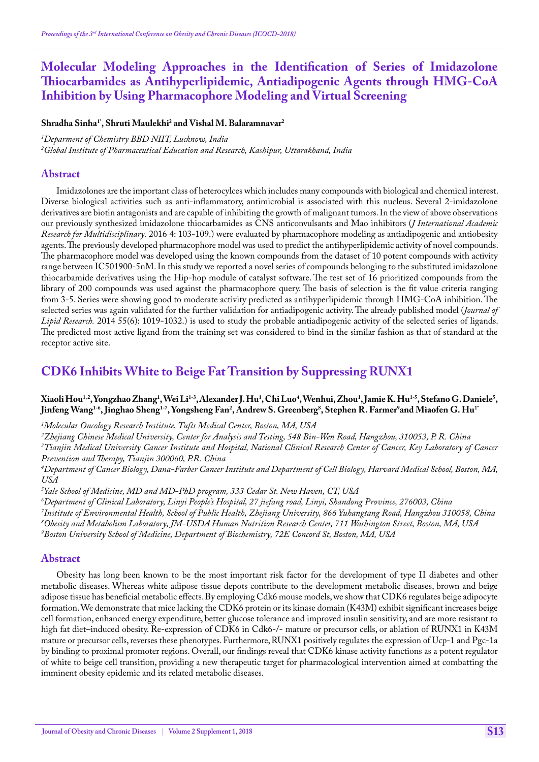# **Molecular Modeling Approaches in the Identification of Series of Imidazolone Thiocarbamides as Antihyperlipidemic, Antiadipogenic Agents through HMG-CoA Inhibition by Using Pharmacophore Modeling and Virtual Screening**

**Shradha Sinha1\*, Shruti Maulekhi2 and Vishal M. Balaramnavar2**

*1 Deparment of Chemistry BBD NIIT, Lucknow, India 2 Global Institute of Pharmaceutical Education and Research, Kashipur, Uttarakhand, India*

### **Abstract**

Imidazolones are the important class of heterocylces which includes many compounds with biological and chemical interest. Diverse biological activities such as anti-inflammatory, antimicrobial is associated with this nucleus. Several 2-imidazolone derivatives are biotin antagonists and are capable of inhibiting the growth of malignant tumors. In the view of above observations our previously synthesized imidazolone thiocarbamides as CNS anticonvulsants and Mao inhibitors (*J International Academic Research for Multidisciplinary.* 2016 4: 103-109.) were evaluated by pharmacophore modeling as antiadipogenic and antiobesity agents. The previously developed pharmacophore model was used to predict the antihyperlipidemic activity of novel compounds. The pharmacophore model was developed using the known compounds from the dataset of 10 potent compounds with activity range between IC501900-5nM. In this study we reported a novel series of compounds belonging to the substituted imidazolone thiocarbamide derivatives using the Hip-hop module of catalyst software. The test set of 16 prioritized compounds from the library of 200 compounds was used against the pharmacophore query. The basis of selection is the fit value criteria ranging from 3-5. Series were showing good to moderate activity predicted as antihyperlipidemic through HMG-CoA inhibition. The selected series was again validated for the further validation for antiadipogenic activity. The already published model (*Journal of Lipid Research.* 2014 55(6): 1019-1032.) is used to study the probable antiadipogenic activity of the selected series of ligands. The predicted most active ligand from the training set was considered to bind in the similar fashion as that of standard at the receptor active site.

# **CDK6 Inhibits White to Beige Fat Transition by Suppressing RUNX1**

## Xiaoli Hou<sup>1,2</sup>,Yongzhao Zhang<sup>1</sup>,Wei Li<sup>1-3</sup>,Alexander J.Hu<sup>1</sup>, Chi Luo<sup>4</sup>,Wenhui,Zhou<sup>1</sup>,Jamie K.Hu<sup>1-5</sup>,Stefano G.Daniele<sup>5</sup>, Jinfeng Wang<sup>1-6</sup>, Jinghao Sheng<sup>1-7</sup>, Yongsheng Fan<sup>2</sup>, Andrew S. Greenberg<sup>8</sup>, Stephen R. Farmer<sup>9</sup>and Miaofen G. Hu<sup>1</sup>

*1 Molecular Oncology Research Institute, Tufts Medical Center, Boston, MA, USA*

*2 Zhejiang Chinese Medical University, Center for Analysis and Testing, 548 Bin-Wen Road, Hangzhou, 310053, P. R. China* <sup>3</sup>Tianjin Medical University Cancer Institute and Hospital, National Clinical Research Center of Cancer, Key Laboratory of Cancer

*Prevention and Therapy, Tianjin 300060, P.R. China*

*4 Department of Cancer Biology, Dana-Farber Cancer Institute and Department of Cell Biology, Harvard Medical School, Boston, MA, USA*

*5 Yale School of Medicine, MD and MD-PhD program, 333 Cedar St. New Haven, CT, USA*

 *Department of Clinical Laboratory, Linyi People's Hospital, 27 jiefang road, Linyi, Shandong Province, 276003, China Institute of Environmental Health, School of Public Health, Zhejiang University, 866 Yuhangtang Road, Hangzhou 310058, China Obesity and Metabolism Laboratory, JM-USDA Human Nutrition Research Center, 711 Washington Street, Boston, MA, USA Boston University School of Medicine, Department of Biochemistry, 72E Concord St, Boston, MA, USA*

### **Abstract**

Obesity has long been known to be the most important risk factor for the development of type II diabetes and other metabolic diseases. Whereas white adipose tissue depots contribute to the development metabolic diseases, brown and beige adipose tissue has beneficial metabolic effects. By employing Cdk6 mouse models, we show that CDK6 regulates beige adipocyte formation. We demonstrate that mice lacking the CDK6 protein or its kinase domain (K43M) exhibit significant increases beige cell formation, enhanced energy expenditure, better glucose tolerance and improved insulin sensitivity, and are more resistant to high fat diet–induced obesity. Re-expression of CDK6 in Cdk6-/- mature or precursor cells, or ablation of RUNX1 in K43M mature or precursor cells, reverses these phenotypes. Furthermore, RUNX1 positively regulates the expression of Ucp-1 and Pgc-1a by binding to proximal promoter regions. Overall, our findings reveal that CDK6 kinase activity functions as a potent regulator of white to beige cell transition, providing a new therapeutic target for pharmacological intervention aimed at combatting the imminent obesity epidemic and its related metabolic diseases.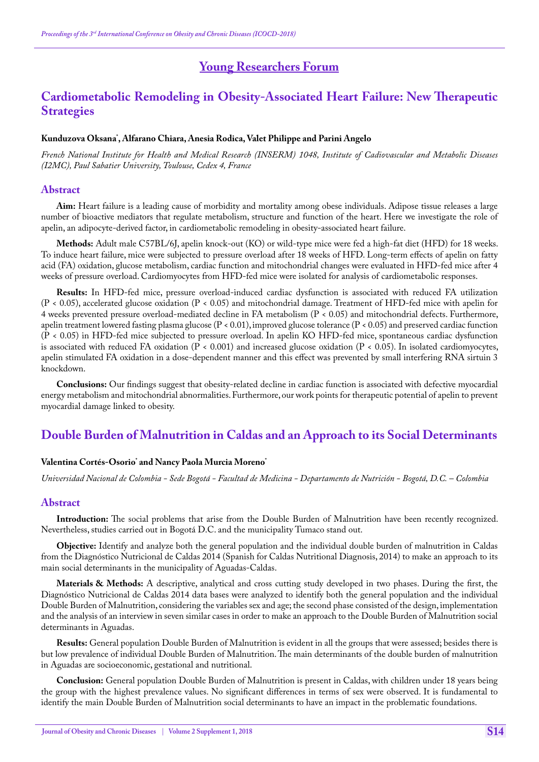# **Young Researchers Forum**

# **Cardiometabolic Remodeling in Obesity-Associated Heart Failure: New Therapeutic Strategies**

#### **Kunduzova Oksana\* , Alfarano Chiara, Anesia Rodica, Valet Philippe and Parini Angelo**

*French National Institute for Health and Medical Research (INSERM) 1048, Institute of Cadiovascular and Metabolic Diseases (I2MC), Paul Sabatier University, Toulouse, Cedex 4, France*

#### **Abstract**

**Aim:** Heart failure is a leading cause of morbidity and mortality among obese individuals. Adipose tissue releases a large number of bioactive mediators that regulate metabolism, structure and function of the heart. Here we investigate the role of apelin, an adipocyte-derived factor, in cardiometabolic remodeling in obesity-associated heart failure.

**Methods:** Adult male C57BL/6J, apelin knock-out (KO) or wild-type mice were fed a high-fat diet (HFD) for 18 weeks. To induce heart failure, mice were subjected to pressure overload after 18 weeks of HFD. Long-term effects of apelin on fatty acid (FA) oxidation, glucose metabolism, cardiac function and mitochondrial changes were evaluated in HFD-fed mice after 4 weeks of pressure overload. Cardiomyocytes from HFD-fed mice were isolated for analysis of cardiometabolic responses.

**Results:** In HFD-fed mice, pressure overload-induced cardiac dysfunction is associated with reduced FA utilization (P < 0.05), accelerated glucose oxidation (P < 0.05) and mitochondrial damage. Treatment of HFD-fed mice with apelin for 4 weeks prevented pressure overload-mediated decline in FA metabolism (P < 0.05) and mitochondrial defects. Furthermore, apelin treatment lowered fasting plasma glucose  $(P < 0.01)$ , improved glucose tolerance  $(P < 0.05)$  and preserved cardiac function (P < 0.05) in HFD-fed mice subjected to pressure overload. In apelin KO HFD-fed mice, spontaneous cardiac dysfunction is associated with reduced FA oxidation (P < 0.001) and increased glucose oxidation (P < 0.05). In isolated cardiomyocytes, apelin stimulated FA oxidation in a dose-dependent manner and this effect was prevented by small interfering RNA sirtuin 3 knockdown.

**Conclusions:** Our findings suggest that obesity-related decline in cardiac function is associated with defective myocardial energy metabolism and mitochondrial abnormalities. Furthermore, our work points for therapeutic potential of apelin to prevent myocardial damage linked to obesity.

## **Double Burden of Malnutrition in Caldas and an Approach to its Social Determinants**

### **Valentina Cortés-Osorio\* and Nancy Paola Murcia Moreno\***

*Universidad Nacional de Colombia - Sede Bogotá - Facultad de Medicina - Departamento de Nutrición - Bogotá, D.C. – Colombia*

#### **Abstract**

**Introduction:** The social problems that arise from the Double Burden of Malnutrition have been recently recognized. Nevertheless, studies carried out in Bogotá D.C. and the municipality Tumaco stand out.

**Objective:** Identify and analyze both the general population and the individual double burden of malnutrition in Caldas from the Diagnóstico Nutricional de Caldas 2014 (Spanish for Caldas Nutritional Diagnosis, 2014) to make an approach to its main social determinants in the municipality of Aguadas-Caldas.

**Materials & Methods:** A descriptive, analytical and cross cutting study developed in two phases. During the first, the Diagnóstico Nutricional de Caldas 2014 data bases were analyzed to identify both the general population and the individual Double Burden of Malnutrition, considering the variables sex and age; the second phase consisted of the design, implementation and the analysis of an interview in seven similar cases in order to make an approach to the Double Burden of Malnutrition social determinants in Aguadas.

**Results:** General population Double Burden of Malnutrition is evident in all the groups that were assessed; besides there is but low prevalence of individual Double Burden of Malnutrition. The main determinants of the double burden of malnutrition in Aguadas are socioeconomic, gestational and nutritional.

**Conclusion:** General population Double Burden of Malnutrition is present in Caldas, with children under 18 years being the group with the highest prevalence values. No significant differences in terms of sex were observed. It is fundamental to identify the main Double Burden of Malnutrition social determinants to have an impact in the problematic foundations.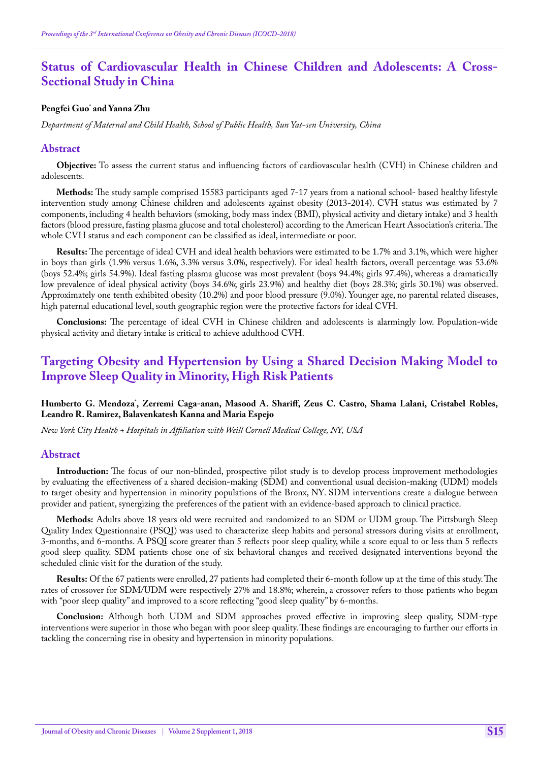# **Status of Cardiovascular Health in Chinese Children and Adolescents: A Cross-Sectional Study in China**

#### **Pengfei Guo\* and Yanna Zhu**

*Department of Maternal and Child Health, School of Public Health, Sun Yat-sen University, China*

#### **Abstract**

**Objective:** To assess the current status and influencing factors of cardiovascular health (CVH) in Chinese children and adolescents.

**Methods:** The study sample comprised 15583 participants aged 7-17 years from a national school- based healthy lifestyle intervention study among Chinese children and adolescents against obesity (2013-2014). CVH status was estimated by 7 components, including 4 health behaviors (smoking, body mass index (BMI), physical activity and dietary intake) and 3 health factors (blood pressure, fasting plasma glucose and total cholesterol) according to the American Heart Association's criteria. The whole CVH status and each component can be classified as ideal, intermediate or poor.

**Results:** The percentage of ideal CVH and ideal health behaviors were estimated to be 1.7% and 3.1%, which were higher in boys than girls (1.9% versus 1.6%, 3.3% versus 3.0%, respectively). For ideal health factors, overall percentage was 53.6% (boys 52.4%; girls 54.9%). Ideal fasting plasma glucose was most prevalent (boys 94.4%; girls 97.4%), whereas a dramatically low prevalence of ideal physical activity (boys 34.6%; girls 23.9%) and healthy diet (boys 28.3%; girls 30.1%) was observed. Approximately one tenth exhibited obesity (10.2%) and poor blood pressure (9.0%). Younger age, no parental related diseases, high paternal educational level, south geographic region were the protective factors for ideal CVH.

**Conclusions:** The percentage of ideal CVH in Chinese children and adolescents is alarmingly low. Population-wide physical activity and dietary intake is critical to achieve adulthood CVH.

# **Targeting Obesity and Hypertension by Using a Shared Decision Making Model to Improve Sleep Quality in Minority, High Risk Patients**

#### **Humberto G. Mendoza\* , Zerremi Caga-anan, Masood A. Shariff, Zeus C. Castro, Shama Lalani, Cristabel Robles, Leandro R. Ramirez, Balavenkatesh Kanna and Maria Espejo**

*New York City Health + Hospitals in Affiliation with Weill Cornell Medical College, NY, USA*

#### **Abstract**

**Introduction:** The focus of our non-blinded, prospective pilot study is to develop process improvement methodologies by evaluating the effectiveness of a shared decision-making (SDM) and conventional usual decision-making (UDM) models to target obesity and hypertension in minority populations of the Bronx, NY. SDM interventions create a dialogue between provider and patient, synergizing the preferences of the patient with an evidence-based approach to clinical practice.

**Methods:** Adults above 18 years old were recruited and randomized to an SDM or UDM group. The Pittsburgh Sleep Quality Index Questionnaire (PSQI) was used to characterize sleep habits and personal stressors during visits at enrollment, 3-months, and 6-months. A PSQI score greater than 5 reflects poor sleep quality, while a score equal to or less than 5 reflects good sleep quality. SDM patients chose one of six behavioral changes and received designated interventions beyond the scheduled clinic visit for the duration of the study.

**Results:** Of the 67 patients were enrolled, 27 patients had completed their 6-month follow up at the time of this study. The rates of crossover for SDM/UDM were respectively 27% and 18.8%; wherein, a crossover refers to those patients who began with "poor sleep quality" and improved to a score reflecting "good sleep quality" by 6-months.

**Conclusion:** Although both UDM and SDM approaches proved effective in improving sleep quality, SDM-type interventions were superior in those who began with poor sleep quality. These findings are encouraging to further our efforts in tackling the concerning rise in obesity and hypertension in minority populations.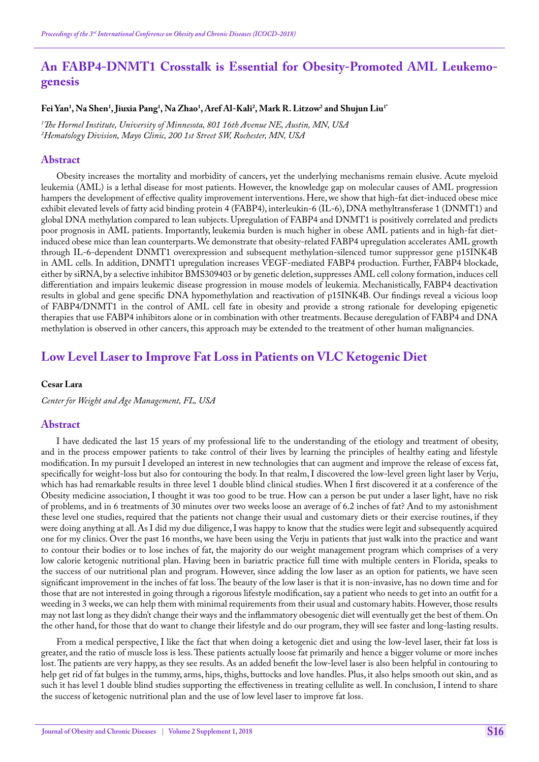# **An FABP4-DNMT1 Crosstalk is Essential for Obesity-Promoted AML Leukemogenesis**

### **Fei Yan1 , Na Shen1 , Jiuxia Pang1 , Na Zhao1 , Aref Al-Kali2 , Mark R. Litzow2 and Shujun Liu1\***

*1 The Hormel Institute, University of Minnesota, 801 16th Avenue NE, Austin, MN, USA 2 Hematology Division, Mayo Clinic, 200 1st Street SW, Rochester, MN, USA*

#### **Abstract**

Obesity increases the mortality and morbidity of cancers, yet the underlying mechanisms remain elusive. Acute myeloid leukemia (AML) is a lethal disease for most patients. However, the knowledge gap on molecular causes of AML progression hampers the development of effective quality improvement interventions. Here, we show that high-fat diet-induced obese mice exhibit elevated levels of fatty acid binding protein 4 (FABP4), interleukin-6 (IL-6), DNA methyltransferase 1 (DNMT1) and global DNA methylation compared to lean subjects. Upregulation of FABP4 and DNMT1 is positively correlated and predicts poor prognosis in AML patients. Importantly, leukemia burden is much higher in obese AML patients and in high-fat dietinduced obese mice than lean counterparts. We demonstrate that obesity-related FABP4 upregulation accelerates AML growth through IL-6-dependent DNMT1 overexpression and subsequent methylation-silenced tumor suppressor gene p15INK4B in AML cells. In addition, DNMT1 upregulation increases VEGF-mediated FABP4 production. Further, FABP4 blockade, either by siRNA, by a selective inhibitor BMS309403 or by genetic deletion, suppresses AML cell colony formation, induces cell differentiation and impairs leukemic disease progression in mouse models of leukemia. Mechanistically, FABP4 deactivation results in global and gene specific DNA hypomethylation and reactivation of p15INK4B. Our findings reveal a vicious loop of FABP4/DNMT1 in the control of AML cell fate in obesity and provide a strong rationale for developing epigenetic therapies that use FABP4 inhibitors alone or in combination with other treatments. Because deregulation of FABP4 and DNA methylation is observed in other cancers, this approach may be extended to the treatment of other human malignancies.

# **Low Level Laser to Improve Fat Loss in Patients on VLC Ketogenic Diet**

#### **Cesar Lara**

*Center for Weight and Age Management, FL, USA*

#### **Abstract**

I have dedicated the last 15 years of my professional life to the understanding of the etiology and treatment of obesity, and in the process empower patients to take control of their lives by learning the principles of healthy eating and lifestyle modification. In my pursuit I developed an interest in new technologies that can augment and improve the release of excess fat, specifically for weight-loss but also for contouring the body. In that realm, I discovered the low-level green light laser by Verju, which has had remarkable results in three level 1 double blind clinical studies. When I first discovered it at a conference of the Obesity medicine association, I thought it was too good to be true. How can a person be put under a laser light, have no risk of problems, and in 6 treatments of 30 minutes over two weeks loose an average of 6.2 inches of fat? And to my astonishment these level one studies, required that the patients not change their usual and customary diets or their exercise routines, if they were doing anything at all. As I did my due diligence, I was happy to know that the studies were legit and subsequently acquired one for my clinics. Over the past 16 months, we have been using the Verju in patients that just walk into the practice and want to contour their bodies or to lose inches of fat, the majority do our weight management program which comprises of a very low calorie ketogenic nutritional plan. Having been in bariatric practice full time with multiple centers in Florida, speaks to the success of our nutritional plan and program. However, since adding the low laser as an option for patients, we have seen significant improvement in the inches of fat loss. The beauty of the low laser is that it is non-invasive, has no down time and for those that are not interested in going through a rigorous lifestyle modification, say a patient who needs to get into an outfit for a weeding in 3 weeks, we can help them with minimal requirements from their usual and customary habits. However, those results may not last long as they didn't change their ways and the inflammatory obesogenic diet will eventually get the best of them. On the other hand, for those that do want to change their lifestyle and do our program, they will see faster and long-lasting results.

From a medical perspective, I like the fact that when doing a ketogenic diet and using the low-level laser, their fat loss is greater, and the ratio of muscle loss is less. These patients actually loose fat primarily and hence a bigger volume or more inches lost. The patients are very happy, as they see results. As an added benefit the low-level laser is also been helpful in contouring to help get rid of fat bulges in the tummy, arms, hips, thighs, buttocks and love handles. Plus, it also helps smooth out skin, and as such it has level 1 double blind studies supporting the effectiveness in treating cellulite as well. In conclusion, I intend to share the success of ketogenic nutritional plan and the use of low level laser to improve fat loss.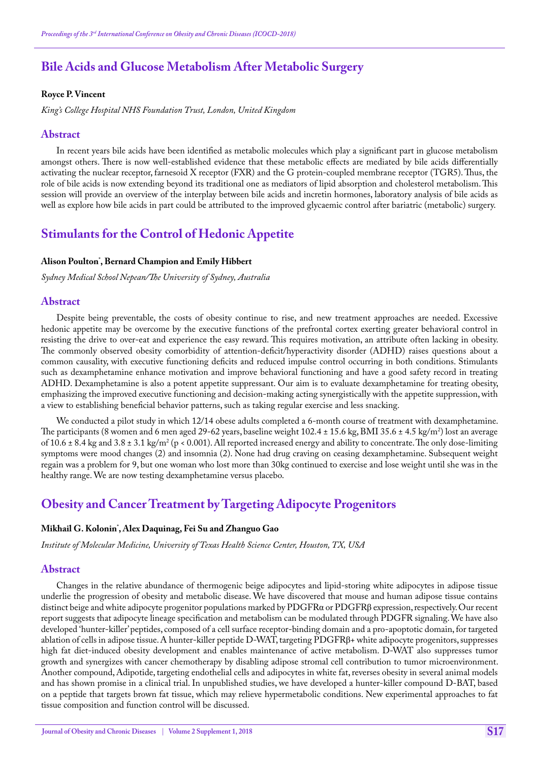# **Bile Acids and Glucose Metabolism After Metabolic Surgery**

#### **Royce P. Vincent**

*King's College Hospital NHS Foundation Trust, London, United Kingdom*

#### **Abstract**

In recent years bile acids have been identified as metabolic molecules which play a significant part in glucose metabolism amongst others. There is now well-established evidence that these metabolic effects are mediated by bile acids differentially activating the nuclear receptor, farnesoid X receptor (FXR) and the G protein-coupled membrane receptor (TGR5). Thus, the role of bile acids is now extending beyond its traditional one as mediators of lipid absorption and cholesterol metabolism. This session will provide an overview of the interplay between bile acids and incretin hormones, laboratory analysis of bile acids as well as explore how bile acids in part could be attributed to the improved glycaemic control after bariatric (metabolic) surgery.

## **Stimulants for the Control of Hedonic Appetite**

### **Alison Poulton\* , Bernard Champion and Emily Hibbert**

*Sydney Medical School Nepean/The University of Sydney, Australia*

#### **Abstract**

Despite being preventable, the costs of obesity continue to rise, and new treatment approaches are needed. Excessive hedonic appetite may be overcome by the executive functions of the prefrontal cortex exerting greater behavioral control in resisting the drive to over-eat and experience the easy reward. This requires motivation, an attribute often lacking in obesity. The commonly observed obesity comorbidity of attention-deficit/hyperactivity disorder (ADHD) raises questions about a common causality, with executive functioning deficits and reduced impulse control occurring in both conditions. Stimulants such as dexamphetamine enhance motivation and improve behavioral functioning and have a good safety record in treating ADHD. Dexamphetamine is also a potent appetite suppressant. Our aim is to evaluate dexamphetamine for treating obesity, emphasizing the improved executive functioning and decision-making acting synergistically with the appetite suppression, with a view to establishing beneficial behavior patterns, such as taking regular exercise and less snacking.

We conducted a pilot study in which  $12/14$  obese adults completed a 6-month course of treatment with dexamphetamine. The participants (8 women and 6 men aged 29-62 years, baseline weight 102.4 ± 15.6 kg, BMI 35.6 ± 4.5 kg/m²) lost an average of 10.6  $\pm$  8.4 kg and 3.8  $\pm$  3.1 kg/m<sup>2</sup> (p < 0.001). All reported increased energy and ability to concentrate. The only dose-limiting symptoms were mood changes (2) and insomnia (2). None had drug craving on ceasing dexamphetamine. Subsequent weight regain was a problem for 9, but one woman who lost more than 30kg continued to exercise and lose weight until she was in the healthy range. We are now testing dexamphetamine versus placebo.

# **Obesity and Cancer Treatment by Targeting Adipocyte Progenitors**

#### **Mikhail G. Kolonin\* , Alex Daquinag, Fei Su and Zhanguo Gao**

*Institute of Molecular Medicine, University of Texas Health Science Center, Houston, TX, USA*

#### **Abstract**

Changes in the relative abundance of thermogenic beige adipocytes and lipid-storing white adipocytes in adipose tissue underlie the progression of obesity and metabolic disease. We have discovered that mouse and human adipose tissue contains distinct beige and white adipocyte progenitor populations marked by PDGFRα or PDGFRβ expression, respectively. Our recent report suggests that adipocyte lineage specification and metabolism can be modulated through PDGFR signaling. We have also developed 'hunter-killer' peptides, composed of a cell surface receptor-binding domain and a pro-apoptotic domain, for targeted ablation of cells in adipose tissue. A hunter-killer peptide D-WAT, targeting PDGFRβ+ white adipocyte progenitors, suppresses high fat diet-induced obesity development and enables maintenance of active metabolism. D-WAT also suppresses tumor growth and synergizes with cancer chemotherapy by disabling adipose stromal cell contribution to tumor microenvironment. Another compound, Adipotide, targeting endothelial cells and adipocytes in white fat, reverses obesity in several animal models and has shown promise in a clinical trial. In unpublished studies, we have developed a hunter-killer compound D-BAT, based on a peptide that targets brown fat tissue, which may relieve hypermetabolic conditions. New experimental approaches to fat tissue composition and function control will be discussed.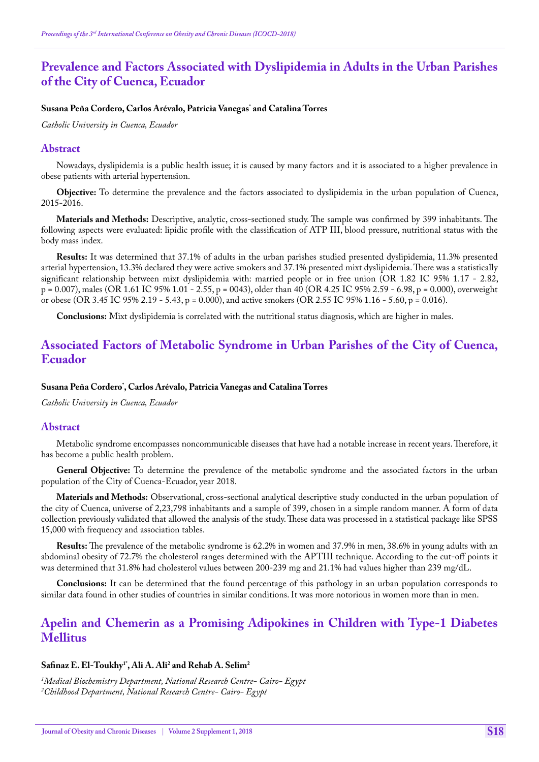# **Prevalence and Factors Associated with Dyslipidemia in Adults in the Urban Parishes of the City of Cuenca, Ecuador**

### **Susana Peña Cordero, Carlos Arévalo, Patricia Vanegas\* and Catalina Torres**

*Catholic University in Cuenca, Ecuador*

### **Abstract**

Nowadays, dyslipidemia is a public health issue; it is caused by many factors and it is associated to a higher prevalence in obese patients with arterial hypertension.

**Objective:** To determine the prevalence and the factors associated to dyslipidemia in the urban population of Cuenca, 2015-2016.

**Materials and Methods:** Descriptive, analytic, cross-sectioned study. The sample was confirmed by 399 inhabitants. The following aspects were evaluated: lipidic profile with the classification of ATP III, blood pressure, nutritional status with the body mass index.

**Results:** It was determined that 37.1% of adults in the urban parishes studied presented dyslipidemia, 11.3% presented arterial hypertension, 13.3% declared they were active smokers and 37.1% presented mixt dyslipidemia. There was a statistically significant relationship between mixt dyslipidemia with: married people or in free union (OR 1.82 IC 95% 1.17 - 2.82, p = 0.007), males (OR 1.61 IC 95% 1.01 - 2.55, p = 0043), older than 40 (OR 4.25 IC 95% 2.59 - 6.98, p = 0.000), overweight or obese (OR 3.45 IC 95% 2.19 - 5.43, p = 0.000), and active smokers (OR 2.55 IC 95% 1.16 - 5.60, p = 0.016).

**Conclusions:** Mixt dyslipidemia is correlated with the nutritional status diagnosis, which are higher in males.

# **Associated Factors of Metabolic Syndrome in Urban Parishes of the City of Cuenca, Ecuador**

### **Susana Peña Cordero\* , Carlos Arévalo, Patricia Vanegas and Catalina Torres**

*Catholic University in Cuenca, Ecuador*

#### **Abstract**

Metabolic syndrome encompasses noncommunicable diseases that have had a notable increase in recent years. Therefore, it has become a public health problem.

**General Objective:** To determine the prevalence of the metabolic syndrome and the associated factors in the urban population of the City of Cuenca-Ecuador, year 2018.

**Materials and Methods:** Observational, cross-sectional analytical descriptive study conducted in the urban population of the city of Cuenca, universe of 2,23,798 inhabitants and a sample of 399, chosen in a simple random manner. A form of data collection previously validated that allowed the analysis of the study. These data was processed in a statistical package like SPSS 15,000 with frequency and association tables.

**Results:** The prevalence of the metabolic syndrome is 62.2% in women and 37.9% in men, 38.6% in young adults with an abdominal obesity of 72.7% the cholesterol ranges determined with the APTIII technique. According to the cut-off points it was determined that 31.8% had cholesterol values between 200-239 mg and 21.1% had values higher than 239 mg/dL.

**Conclusions:** It can be determined that the found percentage of this pathology in an urban population corresponds to similar data found in other studies of countries in similar conditions. It was more notorious in women more than in men.

# **Apelin and Chemerin as a Promising Adipokines in Children with Type-1 Diabetes Mellitus**

### **Safinaz E. El-Toukhy1\*, Ali A. Ali2 and Rehab A. Selim2**

*1 Medical Biochemistry Department, National Research Centre- Cairo- Egypt 2 Childhood Department, National Research Centre- Cairo- Egypt*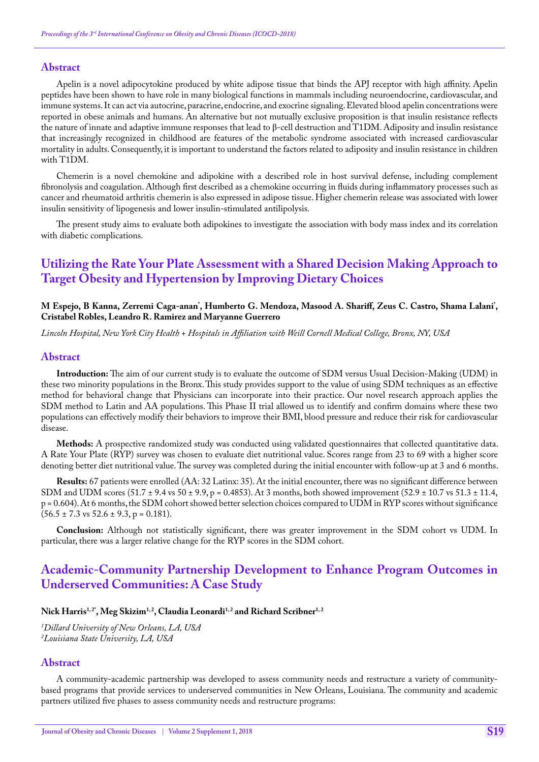### **Abstract**

Apelin is a novel adipocytokine produced by white adipose tissue that binds the APJ receptor with high affinity. Apelin peptides have been shown to have role in many biological functions in mammals including neuroendocrine, cardiovascular, and immune systems. It can act via autocrine, paracrine, endocrine, and exocrine signaling. Elevated blood apelin concentrations were reported in obese animals and humans. An alternative but not mutually exclusive proposition is that insulin resistance reflects the nature of innate and adaptive immune responses that lead to β-cell destruction and T1DM. Adiposity and insulin resistance that increasingly recognized in childhood are features of the metabolic syndrome associated with increased cardiovascular mortality in adults. Consequently, it is important to understand the factors related to adiposity and insulin resistance in children with T1DM.

Chemerin is a novel chemokine and adipokine with a described role in host survival defense, including complement fibronolysis and coagulation. Although first described as a chemokine occurring in fluids during inflammatory processes such as cancer and rheumatoid arthritis chemerin is also expressed in adipose tissue. Higher chemerin release was associated with lower insulin sensitivity of lipogenesis and lower insulin-stimulated antilipolysis.

The present study aims to evaluate both adipokines to investigate the association with body mass index and its correlation with diabetic complications.

# **Utilizing the Rate Your Plate Assessment with a Shared Decision Making Approach to Target Obesity and Hypertension by Improving Dietary Choices**

#### M Espejo, B Kanna, Zerremi Caga-anan<sup>'</sup>, Humberto G. Mendoza, Masood A. Shariff, Zeus C. Castro, Shama Lalani<sup>'</sup>, **Cristabel Robles, Leandro R. Ramirez and Maryanne Guerrero**

*Lincoln Hospital, New York City Health + Hospitals in Affiliation with Weill Cornell Medical College, Bronx, NY, USA*

#### **Abstract**

**Introduction:** The aim of our current study is to evaluate the outcome of SDM versus Usual Decision-Making (UDM) in these two minority populations in the Bronx. This study provides support to the value of using SDM techniques as an effective method for behavioral change that Physicians can incorporate into their practice. Our novel research approach applies the SDM method to Latin and AA populations. This Phase II trial allowed us to identify and confirm domains where these two populations can effectively modify their behaviors to improve their BMI, blood pressure and reduce their risk for cardiovascular disease.

**Methods:** A prospective randomized study was conducted using validated questionnaires that collected quantitative data. A Rate Your Plate (RYP) survey was chosen to evaluate diet nutritional value. Scores range from 23 to 69 with a higher score denoting better diet nutritional value. The survey was completed during the initial encounter with follow-up at 3 and 6 months.

**Results:** 67 patients were enrolled (AA: 32 Latinx: 35). At the initial encounter, there was no significant difference between SDM and UDM scores  $(51.7 \pm 9.4 \text{ vs } 50 \pm 9.9, p = 0.4853)$ . At 3 months, both showed improvement  $(52.9 \pm 10.7 \text{ vs } 51.3 \pm 11.4, p = 0.4853)$ p = 0.604). At 6 months, the SDM cohort showed better selection choices compared to UDM in RYP scores without significance  $(56.5 \pm 7.3 \text{ vs } 52.6 \pm 9.3, \text{ p} = 0.181).$ 

**Conclusion:** Although not statistically significant, there was greater improvement in the SDM cohort vs UDM. In particular, there was a larger relative change for the RYP scores in the SDM cohort.

# **Academic-Community Partnership Development to Enhance Program Outcomes in Underserved Communities: A Case Study**

### Nick Harris<sup>1,2\*</sup>, Meg Skizim<sup>1,2</sup>, Claudia Leonardi<sup>1,2</sup> and Richard Scribner<sup>1,2</sup>

*1 Dillard University of New Orleans, LA, USA 2 Louisiana State University, LA, USA*

### **Abstract**

A community-academic partnership was developed to assess community needs and restructure a variety of communitybased programs that provide services to underserved communities in New Orleans, Louisiana. The community and academic partners utilized five phases to assess community needs and restructure programs: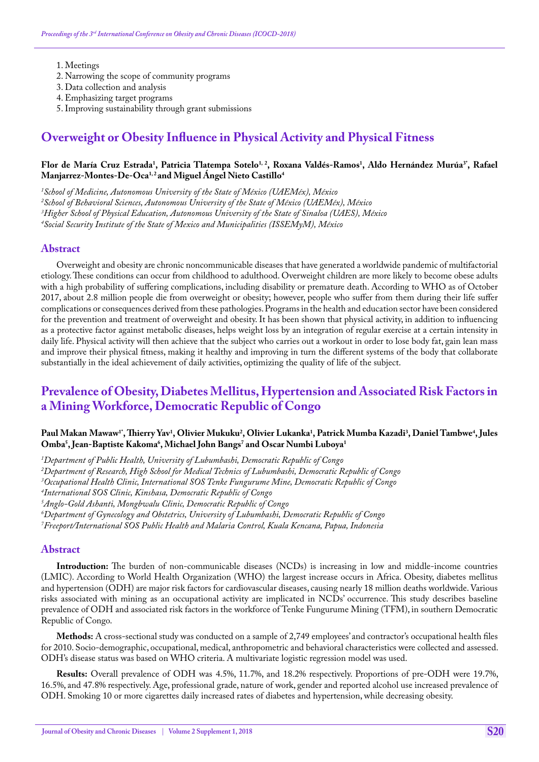- 1. Meetings
- 2. Narrowing the scope of community programs
- 3. Data collection and analysis
- 4. Emphasizing target programs
- 5. Improving sustainability through grant submissions

# **Overweight or Obesity Influence in Physical Activity and Physical Fitness**

### Flor de María Cruz Estrada<sup>1</sup>, Patricia Tlatempa Sotelo<sup>1, 2</sup>, Roxana Valdés-Ramos<sup>1</sup>, Aldo Hernández Murúa<sup>3</sup>', Rafael Manjarrez-Montes-De-Oca<sup>1,2</sup> and Miguel Ángel Nieto Castillo<sup>4</sup>

*1 School of Medicine, Autonomous University of the State of México (UAEMéx), México*

*2 School of Behavioral Sciences, Autonomous University of the State of México (UAEMéx), México*

*3 Higher School of Physical Education, Autonomous University of the State of Sinaloa (UAES), México*

*4 Social Security Institute of the State of Mexico and Municipalities (ISSEMyM), México*

## **Abstract**

Overweight and obesity are chronic noncommunicable diseases that have generated a worldwide pandemic of multifactorial etiology. These conditions can occur from childhood to adulthood. Overweight children are more likely to become obese adults with a high probability of suffering complications, including disability or premature death. According to WHO as of October 2017, about 2.8 million people die from overweight or obesity; however, people who suffer from them during their life suffer complications or consequences derived from these pathologies. Programs in the health and education sector have been considered for the prevention and treatment of overweight and obesity. It has been shown that physical activity, in addition to influencing as a protective factor against metabolic diseases, helps weight loss by an integration of regular exercise at a certain intensity in daily life. Physical activity will then achieve that the subject who carries out a workout in order to lose body fat, gain lean mass and improve their physical fitness, making it healthy and improving in turn the different systems of the body that collaborate substantially in the ideal achievement of daily activities, optimizing the quality of life of the subject.

# **Prevalence of Obesity, Diabetes Mellitus, Hypertension and Associated Risk Factors in a Mining Workforce, Democratic Republic of Congo**

## Paul Makan Mawaw<sup>1</sup>', Thierry Yav<sup>1</sup>, Olivier Mukuku<sup>2</sup>, Olivier Lukanka<sup>1</sup>, Patrick Mumba Kazadi<sup>3</sup>, Daniel Tambwe<sup>4</sup>, Jules Omba<sup>5</sup>, Jean-Baptiste Kakoma<sup>6</sup>, Michael John Bangs<sup>7</sup> and Oscar Numbi Luboya<sup>1</sup>

*1 Department of Public Health, University of Lubumbashi, Democratic Republic of Congo*

*2 Department of Research, High School for Medical Technics of Lubumbashi, Democratic Republic of Congo*

*3 Occupational Health Clinic, International SOS Tenke Fungurume Mine, Democratic Republic of Congo*

*4 International SOS Clinic, Kinshasa, Democratic Republic of Congo*

*5 Anglo-Gold Ashanti, Mongbwalu Clinic, Democratic Republic of Congo*

*6 Department of Gynecology and Obstetrics, University of Lubumbashi, Democratic Republic of Congo*

*7 Freeport/International SOS Public Health and Malaria Control, Kuala Kencana, Papua, Indonesia*

### **Abstract**

**Introduction:** The burden of non-communicable diseases (NCDs) is increasing in low and middle-income countries (LMIC). According to World Health Organization (WHO) the largest increase occurs in Africa. Obesity, diabetes mellitus and hypertension (ODH) are major risk factors for cardiovascular diseases, causing nearly 18 million deaths worldwide. Various risks associated with mining as an occupational activity are implicated in NCDs' occurrence. This study describes baseline prevalence of ODH and associated risk factors in the workforce of Tenke Fungurume Mining (TFM), in southern Democratic Republic of Congo.

**Methods:** A cross-sectional study was conducted on a sample of 2,749 employees' and contractor's occupational health files for 2010. Socio-demographic, occupational, medical, anthropometric and behavioral characteristics were collected and assessed. ODH's disease status was based on WHO criteria. A multivariate logistic regression model was used.

**Results:** Overall prevalence of ODH was 4.5%, 11.7%, and 18.2% respectively. Proportions of pre-ODH were 19.7%, 16.5%, and 47.8% respectively. Age, professional grade, nature of work, gender and reported alcohol use increased prevalence of ODH. Smoking 10 or more cigarettes daily increased rates of diabetes and hypertension, while decreasing obesity.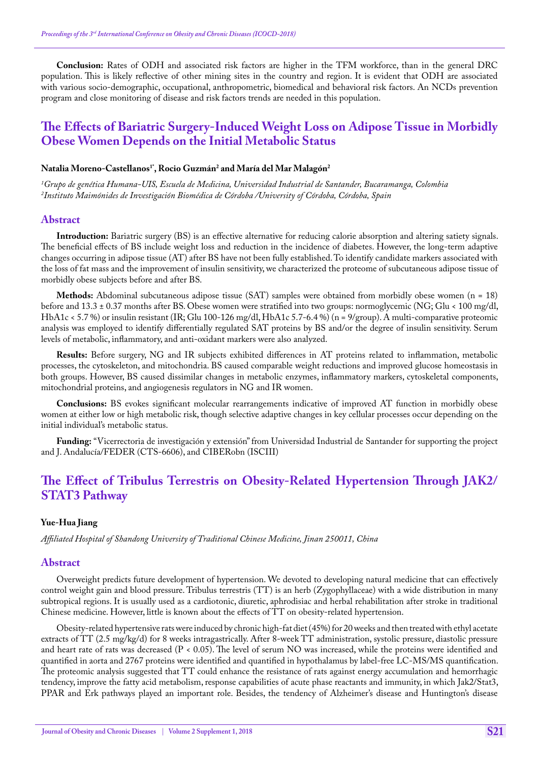**Conclusion:** Rates of ODH and associated risk factors are higher in the TFM workforce, than in the general DRC population. This is likely reflective of other mining sites in the country and region. It is evident that ODH are associated with various socio-demographic, occupational, anthropometric, biomedical and behavioral risk factors. An NCDs prevention program and close monitoring of disease and risk factors trends are needed in this population.

# **The Effects of Bariatric Surgery-Induced Weight Loss on Adipose Tissue in Morbidly Obese Women Depends on the Initial Metabolic Status**

### Natalia Moreno-Castellanos<sup>1</sup>', Rocio Guzmán<sup>2</sup> and María del Mar Malagón<sup>2</sup>

*1 Grupo de genética Humana-UIS, Escuela de Medicina, Universidad Industrial de Santander, Bucaramanga, Colombia 2 Instituto Maimónides de Investigación Biomédica de Córdoba /University of Córdoba, Córdoba, Spain*

#### **Abstract**

**Introduction:** Bariatric surgery (BS) is an effective alternative for reducing calorie absorption and altering satiety signals. The beneficial effects of BS include weight loss and reduction in the incidence of diabetes. However, the long-term adaptive changes occurring in adipose tissue (AT) after BS have not been fully established. To identify candidate markers associated with the loss of fat mass and the improvement of insulin sensitivity, we characterized the proteome of subcutaneous adipose tissue of morbidly obese subjects before and after BS.

**Methods:** Abdominal subcutaneous adipose tissue (SAT) samples were obtained from morbidly obese women (n = 18) before and 13.3 ± 0.37 months after BS. Obese women were stratified into two groups: normoglycemic (NG; Glu < 100 mg/dl, HbA1c < 5.7 %) or insulin resistant (IR; Glu 100-126 mg/dl, HbA1c 5.7-6.4 %) (n = 9/group). A multi-comparative proteomic analysis was employed to identify differentially regulated SAT proteins by BS and/or the degree of insulin sensitivity. Serum levels of metabolic, inflammatory, and anti-oxidant markers were also analyzed.

**Results:** Before surgery, NG and IR subjects exhibited differences in AT proteins related to inflammation, metabolic processes, the cytoskeleton, and mitochondria. BS caused comparable weight reductions and improved glucose homeostasis in both groups. However, BS caused dissimilar changes in metabolic enzymes, inflammatory markers, cytoskeletal components, mitochondrial proteins, and angiogenesis regulators in NG and IR women.

**Conclusions:** BS evokes significant molecular rearrangements indicative of improved AT function in morbidly obese women at either low or high metabolic risk, though selective adaptive changes in key cellular processes occur depending on the initial individual's metabolic status.

**Funding:** "Vicerrectoria de investigación y extensión" from Universidad Industrial de Santander for supporting the project and J. Andalucía/FEDER (CTS-6606), and CIBERobn (ISCIII)

# **The Effect of Tribulus Terrestris on Obesity-Related Hypertension Through JAK2/ STAT3 Pathway**

#### **Yue-Hua Jiang**

*Affiliated Hospital of Shandong University of Traditional Chinese Medicine, Jinan 250011, China*

#### **Abstract**

Overweight predicts future development of hypertension. We devoted to developing natural medicine that can effectively control weight gain and blood pressure. Tribulus terrestris (TT) is an herb (Zygophyllaceae) with a wide distribution in many subtropical regions. It is usually used as a cardiotonic, diuretic, aphrodisiac and herbal rehabilitation after stroke in traditional Chinese medicine. However, little is known about the effects of TT on obesity-related hypertension.

Obesity-related hypertensive rats were induced by chronic high-fat diet (45%) for 20 weeks and then treated with ethyl acetate extracts of TT (2.5 mg/kg/d) for 8 weeks intragastrically. After 8-week TT administration, systolic pressure, diastolic pressure and heart rate of rats was decreased (P < 0.05). The level of serum NO was increased, while the proteins were identified and quantified in aorta and 2767 proteins were identified and quantified in hypothalamus by label-free LC-MS/MS quantification. The proteomic analysis suggested that TT could enhance the resistance of rats against energy accumulation and hemorrhagic tendency, improve the fatty acid metabolism, response capabilities of acute phase reactants and immunity, in which Jak2/Stat3, PPAR and Erk pathways played an important role. Besides, the tendency of Alzheimer's disease and Huntington's disease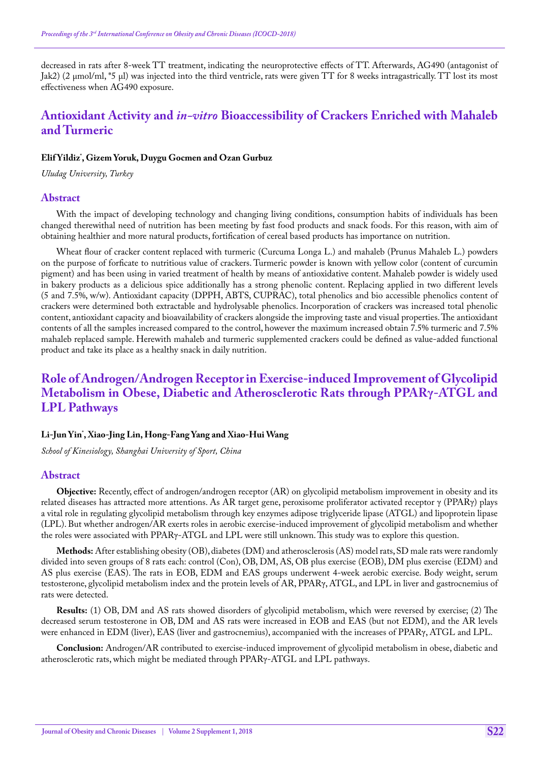decreased in rats after 8-week TT treatment, indicating the neuroprotective effects of TT. Afterwards, AG490 (antagonist of Jak2) (2 μmol/ml, \*5 μl) was injected into the third ventricle, rats were given TT for 8 weeks intragastrically. TT lost its most effectiveness when AG490 exposure.

# **Antioxidant Activity and** *in-vitro* **Bioaccessibility of Crackers Enriched with Mahaleb and Turmeric**

### **Elif Yildiz\* , Gizem Yoruk, Duygu Gocmen and Ozan Gurbuz**

*Uludag University, Turkey*

#### **Abstract**

With the impact of developing technology and changing living conditions, consumption habits of individuals has been changed therewithal need of nutrition has been meeting by fast food products and snack foods. For this reason, with aim of obtaining healthier and more natural products, fortification of cereal based products has importance on nutrition.

Wheat flour of cracker content replaced with turmeric (Curcuma Longa L.) and mahaleb (Prunus Mahaleb L.) powders on the purpose of forficate to nutritious value of crackers. Turmeric powder is known with yellow color (content of curcumin pigment) and has been using in varied treatment of health by means of antioxidative content. Mahaleb powder is widely used in bakery products as a delicious spice additionally has a strong phenolic content. Replacing applied in two different levels (5 and 7.5%, w/w). Antioxidant capacity (DPPH, ABTS, CUPRAC), total phenolics and bio accessible phenolics content of crackers were determined both extractable and hydrolysable phenolics. Incorporation of crackers was increased total phenolic content, antioxidant capacity and bioavailability of crackers alongside the improving taste and visual properties. The antioxidant contents of all the samples increased compared to the control, however the maximum increased obtain 7.5% turmeric and 7.5% mahaleb replaced sample. Herewith mahaleb and turmeric supplemented crackers could be defined as value-added functional product and take its place as a healthy snack in daily nutrition.

# **Role of Androgen/Androgen Receptor in Exercise-induced Improvement of Glycolipid Metabolism in Obese, Diabetic and Atherosclerotic Rats through PPARγ-ATGL and LPL Pathways**

### **Li-Jun Yin\* , Xiao-Jing Lin, Hong-Fang Yang and Xiao-Hui Wang**

*School of Kinesiology, Shanghai University of Sport, China*

#### **Abstract**

**Objective:** Recently, effect of androgen/androgen receptor (AR) on glycolipid metabolism improvement in obesity and its related diseases has attracted more attentions. As AR target gene, peroxisome proliferator activated receptor γ (PPARγ) plays a vital role in regulating glycolipid metabolism through key enzymes adipose triglyceride lipase (ATGL) and lipoprotein lipase (LPL). But whether androgen/AR exerts roles in aerobic exercise-induced improvement of glycolipid metabolism and whether the roles were associated with PPARγ-ATGL and LPL were still unknown. This study was to explore this question.

**Methods:** After establishing obesity (OB), diabetes (DM) and atherosclerosis (AS) model rats, SD male rats were randomly divided into seven groups of 8 rats each: control (Con), OB, DM, AS, OB plus exercise (EOB), DM plus exercise (EDM) and AS plus exercise (EAS). The rats in EOB, EDM and EAS groups underwent 4-week aerobic exercise. Body weight, serum testosterone, glycolipid metabolism index and the protein levels of AR, PPARγ, ATGL, and LPL in liver and gastrocnemius of rats were detected.

**Results:** (1) OB, DM and AS rats showed disorders of glycolipid metabolism, which were reversed by exercise; (2) The decreased serum testosterone in OB, DM and AS rats were increased in EOB and EAS (but not EDM), and the AR levels were enhanced in EDM (liver), EAS (liver and gastrocnemius), accompanied with the increases of PPARγ, ATGL and LPL.

**Conclusion:** Androgen/AR contributed to exercise-induced improvement of glycolipid metabolism in obese, diabetic and atherosclerotic rats, which might be mediated through PPARγ-ATGL and LPL pathways.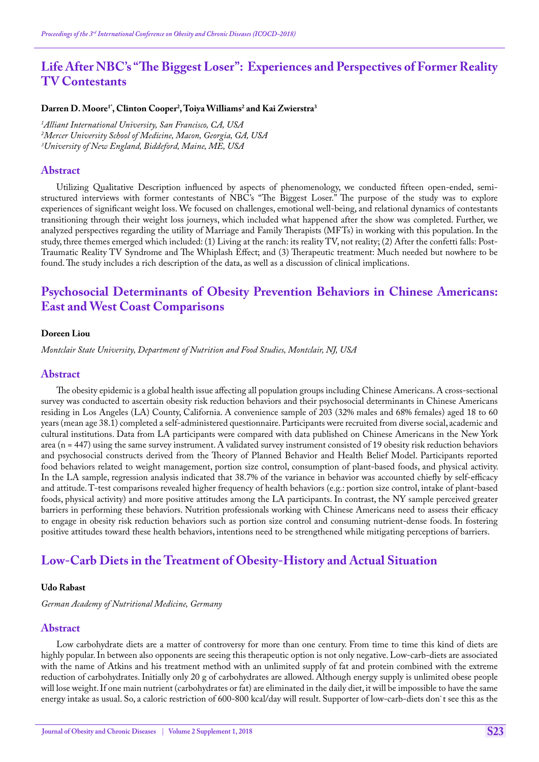# **Life After NBC's "The Biggest Loser": Experiences and Perspectives of Former Reality TV Contestants**

### **Darren D. Moore1\*, Clinton Cooper2 , Toiya Williams2 and Kai Zwierstra3**

*1 Alliant International University, San Francisco, CA, USA 2 Mercer University School of Medicine, Macon, Georgia, GA, USA 3 University of New England, Biddeford, Maine, ME, USA*

### **Abstract**

Utilizing Qualitative Description influenced by aspects of phenomenology, we conducted fifteen open-ended, semistructured interviews with former contestants of NBC's "The Biggest Loser." The purpose of the study was to explore experiences of significant weight loss. We focused on challenges, emotional well-being, and relational dynamics of contestants transitioning through their weight loss journeys, which included what happened after the show was completed. Further, we analyzed perspectives regarding the utility of Marriage and Family Therapists (MFTs) in working with this population. In the study, three themes emerged which included: (1) Living at the ranch: its reality TV, not reality; (2) After the confetti falls: Post-Traumatic Reality TV Syndrome and The Whiplash Effect; and (3) Therapeutic treatment: Much needed but nowhere to be found. The study includes a rich description of the data, as well as a discussion of clinical implications.

# **Psychosocial Determinants of Obesity Prevention Behaviors in Chinese Americans: East and West Coast Comparisons**

#### **Doreen Liou**

*Montclair State University, Department of Nutrition and Food Studies, Montclair, NJ, USA*

### **Abstract**

The obesity epidemic is a global health issue affecting all population groups including Chinese Americans. A cross-sectional survey was conducted to ascertain obesity risk reduction behaviors and their psychosocial determinants in Chinese Americans residing in Los Angeles (LA) County, California. A convenience sample of 203 (32% males and 68% females) aged 18 to 60 years (mean age 38.1) completed a self-administered questionnaire. Participants were recruited from diverse social, academic and cultural institutions. Data from LA participants were compared with data published on Chinese Americans in the New York area (n = 447) using the same survey instrument. A validated survey instrument consisted of 19 obesity risk reduction behaviors and psychosocial constructs derived from the Theory of Planned Behavior and Health Belief Model. Participants reported food behaviors related to weight management, portion size control, consumption of plant-based foods, and physical activity. In the LA sample, regression analysis indicated that 38.7% of the variance in behavior was accounted chiefly by self-efficacy and attitude. T-test comparisons revealed higher frequency of health behaviors (e.g.: portion size control, intake of plant-based foods, physical activity) and more positive attitudes among the LA participants. In contrast, the NY sample perceived greater barriers in performing these behaviors. Nutrition professionals working with Chinese Americans need to assess their efficacy to engage in obesity risk reduction behaviors such as portion size control and consuming nutrient-dense foods. In fostering positive attitudes toward these health behaviors, intentions need to be strengthened while mitigating perceptions of barriers.

# **Low-Carb Diets in the Treatment of Obesity-History and Actual Situation**

#### **Udo Rabast**

*German Academy of Nutritional Medicine, Germany*

### **Abstract**

Low carbohydrate diets are a matter of controversy for more than one century. From time to time this kind of diets are highly popular. In between also opponents are seeing this therapeutic option is not only negative. Low-carb-diets are associated with the name of Atkins and his treatment method with an unlimited supply of fat and protein combined with the extreme reduction of carbohydrates. Initially only 20 g of carbohydrates are allowed. Although energy supply is unlimited obese people will lose weight. If one main nutrient (carbohydrates or fat) are eliminated in the daily diet, it will be impossible to have the same energy intake as usual. So, a caloric restriction of 600-800 kcal/day will result. Supporter of low-carb-diets don`t see this as the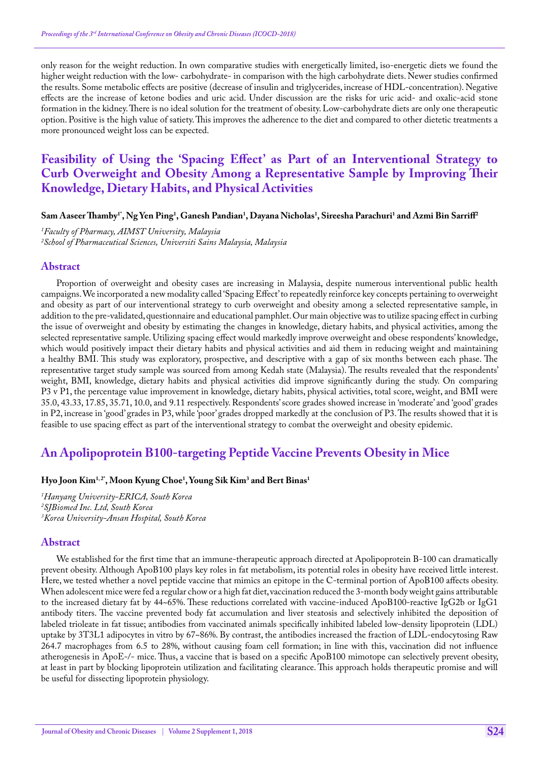only reason for the weight reduction. In own comparative studies with energetically limited, iso-energetic diets we found the higher weight reduction with the low- carbohydrate- in comparison with the high carbohydrate diets. Newer studies confirmed the results. Some metabolic effects are positive (decrease of insulin and triglycerides, increase of HDL-concentration). Negative effects are the increase of ketone bodies and uric acid. Under discussion are the risks for uric acid- and oxalic-acid stone formation in the kidney. There is no ideal solution for the treatment of obesity. Low-carbohydrate diets are only one therapeutic option. Positive is the high value of satiety. This improves the adherence to the diet and compared to other dietetic treatments a more pronounced weight loss can be expected.

# **Feasibility of Using the 'Spacing Effect' as Part of an Interventional Strategy to Curb Overweight and Obesity Among a Representative Sample by Improving Their Knowledge, Dietary Habits, and Physical Activities**

### $\bf{S}$ am Aaseer Thamby<sup>1</sup>', Ng Yen Ping<sup>1</sup>, Ganesh Pandian<sup>1</sup>, Dayana Nicholas<sup>1</sup>, Sireesha Parachuri<sup>1</sup> and Azmi Bin Sarriff<sup>2</sup>

*1 Faculty of Pharmacy, AIMST University, Malaysia 2 School of Pharmaceutical Sciences, Universiti Sains Malaysia, Malaysia*

#### **Abstract**

Proportion of overweight and obesity cases are increasing in Malaysia, despite numerous interventional public health campaigns. We incorporated a new modality called 'Spacing Effect' to repeatedly reinforce key concepts pertaining to overweight and obesity as part of our interventional strategy to curb overweight and obesity among a selected representative sample, in addition to the pre-validated, questionnaire and educational pamphlet. Our main objective was to utilize spacing effect in curbing the issue of overweight and obesity by estimating the changes in knowledge, dietary habits, and physical activities, among the selected representative sample. Utilizing spacing effect would markedly improve overweight and obese respondents' knowledge, which would positively impact their dietary habits and physical activities and aid them in reducing weight and maintaining a healthy BMI. This study was exploratory, prospective, and descriptive with a gap of six months between each phase. The representative target study sample was sourced from among Kedah state (Malaysia). The results revealed that the respondents' weight, BMI, knowledge, dietary habits and physical activities did improve significantly during the study. On comparing P3 v P1, the percentage value improvement in knowledge, dietary habits, physical activities, total score, weight, and BMI were 35.0, 43.33, 17.85, 35.71, 10.0, and 9.11 respectively. Respondents' score grades showed increase in 'moderate' and 'good' grades in P2, increase in 'good' grades in P3, while 'poor' grades dropped markedly at the conclusion of P3. The results showed that it is feasible to use spacing effect as part of the interventional strategy to combat the overweight and obesity epidemic.

## **An Apolipoprotein B100-targeting Peptide Vaccine Prevents Obesity in Mice**

### **Hyo Joon Kim1, 2\*, Moon Kyung Choe1 , Young Sik Kim3 and Bert Binas1**

*1 Hanyang University-ERICA, South Korea 2 SJBiomed Inc. Ltd, South Korea 3 Korea University-Ansan Hospital, South Korea*

#### **Abstract**

We established for the first time that an immune-therapeutic approach directed at Apolipoprotein B-100 can dramatically prevent obesity. Although ApoB100 plays key roles in fat metabolism, its potential roles in obesity have received little interest. Here, we tested whether a novel peptide vaccine that mimics an epitope in the C-terminal portion of ApoB100 affects obesity. When adolescent mice were fed a regular chow or a high fat diet, vaccination reduced the 3-month body weight gains attributable to the increased dietary fat by 44~65%. These reductions correlated with vaccine-induced ApoB100-reactive IgG2b or IgG1 antibody titers. The vaccine prevented body fat accumulation and liver steatosis and selectively inhibited the deposition of labeled trioleate in fat tissue; antibodies from vaccinated animals specifically inhibited labeled low-density lipoprotein (LDL) uptake by 3T3L1 adipocytes in vitro by 67~86%. By contrast, the antibodies increased the fraction of LDL-endocytosing Raw 264.7 macrophages from 6.5 to 28%, without causing foam cell formation; in line with this, vaccination did not influence atherogenesis in ApoE-/- mice. Thus, a vaccine that is based on a specific ApoB100 mimotope can selectively prevent obesity, at least in part by blocking lipoprotein utilization and facilitating clearance. This approach holds therapeutic promise and will be useful for dissecting lipoprotein physiology.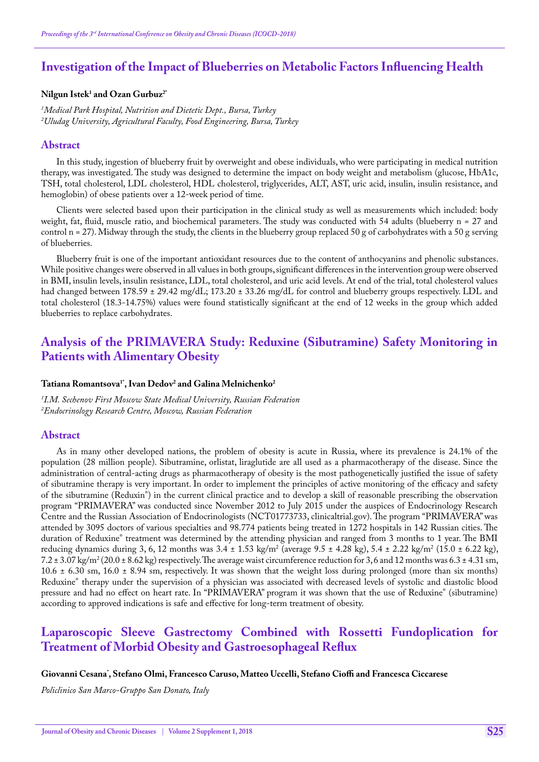# **Investigation of the Impact of Blueberries on Metabolic Factors Influencing Health**

## **Nilgun Istek1 and Ozan Gurbuz2\***

*1 Medical Park Hospital, Nutrition and Dietetic Dept., Bursa, Turkey 2 Uludag University, Agricultural Faculty, Food Engineering, Bursa, Turkey*

### **Abstract**

In this study, ingestion of blueberry fruit by overweight and obese individuals, who were participating in medical nutrition therapy, was investigated. The study was designed to determine the impact on body weight and metabolism (glucose, HbA1c, TSH, total cholesterol, LDL cholesterol, HDL cholesterol, triglycerides, ALT, AST, uric acid, insulin, insulin resistance, and hemoglobin) of obese patients over a 12-week period of time.

Clients were selected based upon their participation in the clinical study as well as measurements which included: body weight, fat, fluid, muscle ratio, and biochemical parameters. The study was conducted with 54 adults (blueberry n = 27 and control n = 27). Midway through the study, the clients in the blueberry group replaced 50 g of carbohydrates with a 50 g serving of blueberries.

Blueberry fruit is one of the important antioxidant resources due to the content of anthocyanins and phenolic substances. While positive changes were observed in all values in both groups, significant differences in the intervention group were observed in BMI, insulin levels, insulin resistance, LDL, total cholesterol, and uric acid levels. At end of the trial, total cholesterol values had changed between 178.59 ± 29.42 mg/dL; 173.20 ± 33.26 mg/dL for control and blueberry groups respectively. LDL and total cholesterol (18.3-14.75%) values were found statistically significant at the end of 12 weeks in the group which added blueberries to replace carbohydrates.

# **Analysis of the PRIMAVERA Study: Reduxine (Sibutramine) Safety Monitoring in Patients with Alimentary Obesity**

## $\mathrm{T}$ atiana Romantsova<sup>1</sup>", Ivan Dedov<sup>2</sup> and Galina Melnichenko<sup>2</sup>

*1 I.M. Sechenov First Moscow State Medical University, Russian Federation 2 Endocrinology Research Centre, Moscow, Russian Federation*

### **Abstract**

As in many other developed nations, the problem of obesity is acute in Russia, where its prevalence is 24.1% of the population (28 million people). Sibutramine, orlistat, liraglutide are all used as a pharmacotherapy of the disease. Since the administration of central-acting drugs as pharmacotherapy of obesity is the most pathogenetically justified the issue of safety of sibutramine therapy is very important. In order to implement the principles of active monitoring of the efficacy and safety of the sibutramine (Reduxin® ) in the current clinical practice and to develop a skill of reasonable prescribing the observation program "PRIMAVERA" was conducted since November 2012 to July 2015 under the auspices of Endocrinology Research Centre and the Russian Association of Endocrinologists (NCT01773733, clinicaltrial.gov). The program "PRIMAVERA" was attended by 3095 doctors of various specialties and 98.774 patients being treated in 1272 hospitals in 142 Russian cities. The duration of Reduxine® treatment was determined by the attending physician and ranged from 3 months to 1 year. The BMI reducing dynamics during 3, 6, 12 months was 3.4 ± 1.53 kg/m<sup>2</sup> (average 9.5 ± 4.28 kg), 5.4 ± 2.22 kg/m<sup>2</sup> (15.0 ± 6.22 kg),  $7.2 \pm 3.07$  kg/m<sup>2</sup> (20.0  $\pm$  8.62 kg) respectively. The average waist circumference reduction for 3,6 and 12 months was 6.3  $\pm$  4.31 sm,  $10.6 \pm 6.30$  sm,  $16.0 \pm 8.94$  sm, respectively. It was shown that the weight loss during prolonged (more than six months) Reduxine® therapy under the supervision of a physician was associated with decreased levels of systolic and diastolic blood pressure and had no effect on heart rate. In "PRIMAVERA" program it was shown that the use of Reduxine® (sibutramine) according to approved indications is safe and effective for long-term treatment of obesity.

# **Laparoscopic Sleeve Gastrectomy Combined with Rossetti Fundoplication for Treatment of Morbid Obesity and Gastroesophageal Reflux**

### **Giovanni Cesana\* , Stefano Olmi, Francesco Caruso, Matteo Uccelli, Stefano Cioffi and Francesca Ciccarese**

*Policlinico San Marco-Gruppo San Donato, Italy*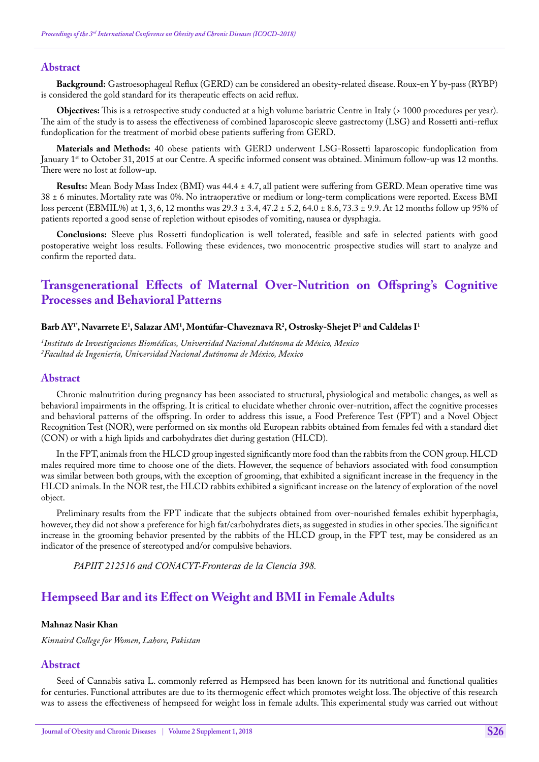### **Abstract**

**Background:** Gastroesophageal Reflux (GERD) can be considered an obesity-related disease. Roux-en Y by-pass (RYBP) is considered the gold standard for its therapeutic effects on acid reflux.

**Objectives:** This is a retrospective study conducted at a high volume bariatric Centre in Italy (> 1000 procedures per year). The aim of the study is to assess the effectiveness of combined laparoscopic sleeve gastrectomy (LSG) and Rossetti anti-reflux fundoplication for the treatment of morbid obese patients suffering from GERD.

**Materials and Methods:** 40 obese patients with GERD underwent LSG-Rossetti laparoscopic fundoplication from January 1<sup>st</sup> to October 31, 2015 at our Centre. A specific informed consent was obtained. Minimum follow-up was 12 months. There were no lost at follow-up.

**Results:** Mean Body Mass Index (BMI) was 44.4 ± 4.7, all patient were suffering from GERD. Mean operative time was 38 ± 6 minutes. Mortality rate was 0%. No intraoperative or medium or long-term complications were reported. Excess BMI loss percent (EBMIL%) at 1, 3, 6, 12 months was 29.3 ± 3.4, 47.2 ± 5.2, 64.0 ± 8.6, 73.3 ± 9.9. At 12 months follow up 95% of patients reported a good sense of repletion without episodes of vomiting, nausea or dysphagia.

**Conclusions:** Sleeve plus Rossetti fundoplication is well tolerated, feasible and safe in selected patients with good postoperative weight loss results. Following these evidences, two monocentric prospective studies will start to analyze and confirm the reported data.

# **Transgenerational Effects of Maternal Over-Nutrition on Offspring's Cognitive Processes and Behavioral Patterns**

## $\bf{Barb}\,AY^r$ , Navarrete  $\bf{E}^1$ , Salazar AM<sup>1</sup>, Montúfar-Chaveznava R<sup>2</sup>, Ostrosky-Shejet P<sup>1</sup> and Caldelas I<sup>1</sup>

*1 Instituto de Investigaciones Biomédicas, Universidad Nacional Autónoma de México, Mexico 2 Facultad de Ingeniería, Universidad Nacional Autónoma de México, Mexico*

### **Abstract**

Chronic malnutrition during pregnancy has been associated to structural, physiological and metabolic changes, as well as behavioral impairments in the offspring. It is critical to elucidate whether chronic over-nutrition, affect the cognitive processes and behavioral patterns of the offspring. In order to address this issue, a Food Preference Test (FPT) and a Novel Object Recognition Test (NOR), were performed on six months old European rabbits obtained from females fed with a standard diet (CON) or with a high lipids and carbohydrates diet during gestation (HLCD).

In the FPT, animals from the HLCD group ingested significantly more food than the rabbits from the CON group. HLCD males required more time to choose one of the diets. However, the sequence of behaviors associated with food consumption was similar between both groups, with the exception of grooming, that exhibited a significant increase in the frequency in the HLCD animals. In the NOR test, the HLCD rabbits exhibited a significant increase on the latency of exploration of the novel object.

Preliminary results from the FPT indicate that the subjects obtained from over-nourished females exhibit hyperphagia, however, they did not show a preference for high fat/carbohydrates diets, as suggested in studies in other species. The significant increase in the grooming behavior presented by the rabbits of the HLCD group, in the FPT test, may be considered as an indicator of the presence of stereotyped and/or compulsive behaviors.

*PAPIIT 212516 and CONACYT-Fronteras de la Ciencia 398.*

# **Hempseed Bar and its Effect on Weight and BMI in Female Adults**

#### **Mahnaz Nasir Khan**

*Kinnaird College for Women, Lahore, Pakistan*

### **Abstract**

Seed of Cannabis sativa L. commonly referred as Hempseed has been known for its nutritional and functional qualities for centuries. Functional attributes are due to its thermogenic effect which promotes weight loss. The objective of this research was to assess the effectiveness of hempseed for weight loss in female adults. This experimental study was carried out without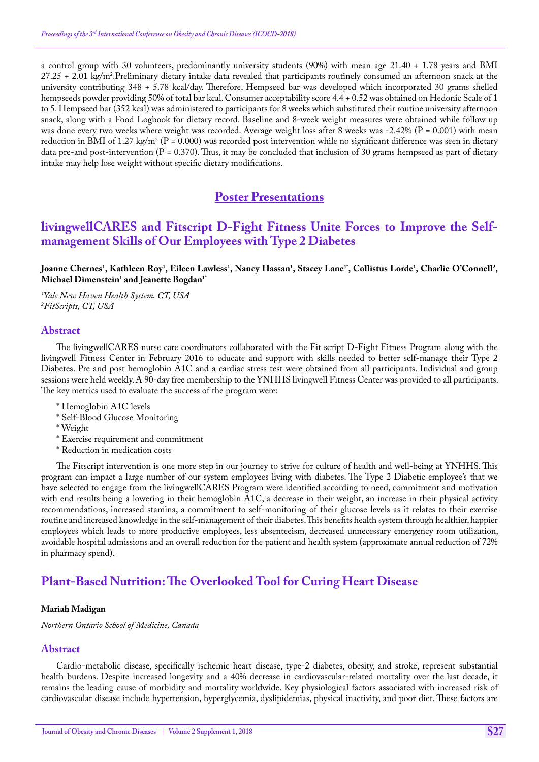a control group with 30 volunteers, predominantly university students (90%) with mean age 21.40 + 1.78 years and BMI 27.25 + 2.01 kg/m².Preliminary dietary intake data revealed that participants routinely consumed an afternoon snack at the university contributing 348 + 5.78 kcal/day. Therefore, Hempseed bar was developed which incorporated 30 grams shelled hempseeds powder providing 50% of total bar kcal. Consumer acceptability score 4.4 + 0.52 was obtained on Hedonic Scale of 1 to 5. Hempseed bar (352 kcal) was administered to participants for 8 weeks which substituted their routine university afternoon snack, along with a Food Logbook for dietary record. Baseline and 8-week weight measures were obtained while follow up was done every two weeks where weight was recorded. Average weight loss after 8 weeks was -2.42% (P = 0.001) with mean reduction in BMI of 1.27 kg/m<sup>2</sup> (P = 0.000) was recorded post intervention while no significant difference was seen in dietary data pre-and post-intervention (P = 0.370). Thus, it may be concluded that inclusion of 30 grams hempseed as part of dietary intake may help lose weight without specific dietary modifications.

# **Poster Presentations**

# **livingwellCARES and Fitscript D-Fight Fitness Unite Forces to Improve the Selfmanagement Skills of Our Employees with Type 2 Diabetes**

Joanne Chernes<sup>1</sup>, Kathleen Roy<sup>1</sup>, Eileen Lawless<sup>1</sup>, Nancy Hassan<sup>1</sup>, Stacey Lane<sup>1</sup>', Collistus Lorde<sup>1</sup>, Charlie O'Connell<sup>2</sup>, **Michael Dimenstein1 and Jeanette Bogdan1\***

*1 Yale New Haven Health System, CT, USA 2 FitScripts, CT, USA*

### **Abstract**

The livingwellCARES nurse care coordinators collaborated with the Fit script D-Fight Fitness Program along with the livingwell Fitness Center in February 2016 to educate and support with skills needed to better self-manage their Type 2 Diabetes. Pre and post hemoglobin A1C and a cardiac stress test were obtained from all participants. Individual and group sessions were held weekly. A 90-day free membership to the YNHHS livingwell Fitness Center was provided to all participants. The key metrics used to evaluate the success of the program were:

- \* Hemoglobin A1C levels
- \* Self-Blood Glucose Monitoring
- \* Weight
- \* Exercise requirement and commitment
- \* Reduction in medication costs

The Fitscript intervention is one more step in our journey to strive for culture of health and well-being at YNHHS. This program can impact a large number of our system employees living with diabetes. The Type 2 Diabetic employee's that we have selected to engage from the livingwellCARES Program were identified according to need, commitment and motivation with end results being a lowering in their hemoglobin A1C, a decrease in their weight, an increase in their physical activity recommendations, increased stamina, a commitment to self-monitoring of their glucose levels as it relates to their exercise routine and increased knowledge in the self-management of their diabetes. This benefits health system through healthier, happier employees which leads to more productive employees, less absenteeism, decreased unnecessary emergency room utilization, avoidable hospital admissions and an overall reduction for the patient and health system (approximate annual reduction of 72% in pharmacy spend).

# **Plant-Based Nutrition: The Overlooked Tool for Curing Heart Disease**

### **Mariah Madigan**

*Northern Ontario School of Medicine, Canada*

## **Abstract**

Cardio-metabolic disease, specifically ischemic heart disease, type-2 diabetes, obesity, and stroke, represent substantial health burdens. Despite increased longevity and a 40% decrease in cardiovascular-related mortality over the last decade, it remains the leading cause of morbidity and mortality worldwide. Key physiological factors associated with increased risk of cardiovascular disease include hypertension, hyperglycemia, dyslipidemias, physical inactivity, and poor diet. These factors are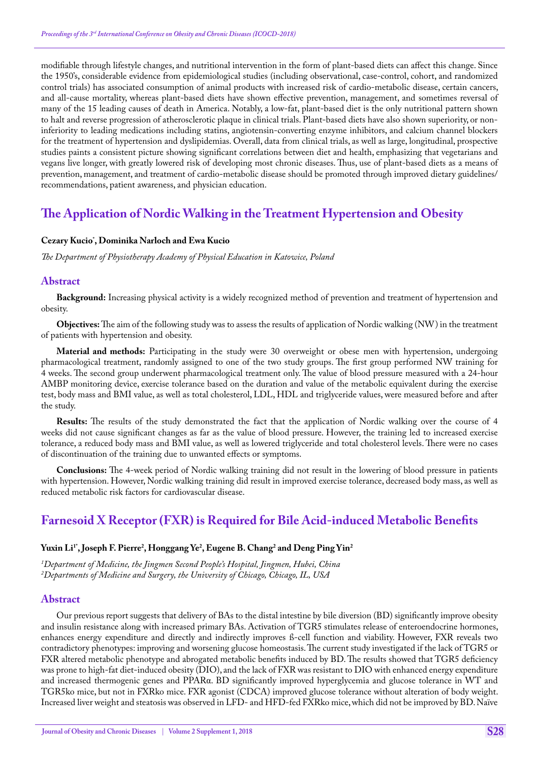modifiable through lifestyle changes, and nutritional intervention in the form of plant-based diets can affect this change. Since the 1950's, considerable evidence from epidemiological studies (including observational, case-control, cohort, and randomized control trials) has associated consumption of animal products with increased risk of cardio-metabolic disease, certain cancers, and all-cause mortality, whereas plant-based diets have shown effective prevention, management, and sometimes reversal of many of the 15 leading causes of death in America. Notably, a low-fat, plant-based diet is the only nutritional pattern shown to halt and reverse progression of atherosclerotic plaque in clinical trials. Plant-based diets have also shown superiority, or noninferiority to leading medications including statins, angiotensin-converting enzyme inhibitors, and calcium channel blockers for the treatment of hypertension and dyslipidemias. Overall, data from clinical trials, as well as large, longitudinal, prospective studies paints a consistent picture showing significant correlations between diet and health, emphasizing that vegetarians and vegans live longer, with greatly lowered risk of developing most chronic diseases. Thus, use of plant-based diets as a means of prevention, management, and treatment of cardio-metabolic disease should be promoted through improved dietary guidelines/ recommendations, patient awareness, and physician education.

# **The Application of Nordic Walking in the Treatment Hypertension and Obesity**

## **Cezary Kucio\* , Dominika Narloch and Ewa Kucio**

*The Department of Physiotherapy Academy of Physical Education in Katowice, Poland*

## **Abstract**

**Background:** Increasing physical activity is a widely recognized method of prevention and treatment of hypertension and obesity.

**Objectives:** The aim of the following study was to assess the results of application of Nordic walking (NW) in the treatment of patients with hypertension and obesity.

**Material and methods:** Participating in the study were 30 overweight or obese men with hypertension, undergoing pharmacological treatment, randomly assigned to one of the two study groups. The first group performed NW training for 4 weeks. The second group underwent pharmacological treatment only. The value of blood pressure measured with a 24-hour AMBP monitoring device, exercise tolerance based on the duration and value of the metabolic equivalent during the exercise test, body mass and BMI value, as well as total cholesterol, LDL, HDL and triglyceride values, were measured before and after the study.

**Results:** The results of the study demonstrated the fact that the application of Nordic walking over the course of 4 weeks did not cause significant changes as far as the value of blood pressure. However, the training led to increased exercise tolerance, a reduced body mass and BMI value, as well as lowered triglyceride and total cholesterol levels. There were no cases of discontinuation of the training due to unwanted effects or symptoms.

**Conclusions:** The 4-week period of Nordic walking training did not result in the lowering of blood pressure in patients with hypertension. However, Nordic walking training did result in improved exercise tolerance, decreased body mass, as well as reduced metabolic risk factors for cardiovascular disease.

# **Farnesoid X Receptor (FXR) is Required for Bile Acid-induced Metabolic Benefits**

## Yuxin Li<sup>1</sup> , Joseph F. Pierre<sup>2</sup>, Honggang Ye<sup>2</sup>, Eugene B. Chang<sup>2</sup> and Deng Ping Yin<sup>2</sup>

*1 Department of Medicine, the Jingmen Second People's Hospital, Jingmen, Hubei, China 2 Departments of Medicine and Surgery, the University of Chicago, Chicago, IL, USA*

### **Abstract**

Our previous report suggests that delivery of BAs to the distal intestine by bile diversion (BD) significantly improve obesity and insulin resistance along with increased primary BAs. Activation of TGR5 stimulates release of enteroendocrine hormones, enhances energy expenditure and directly and indirectly improves ß-cell function and viability. However, FXR reveals two contradictory phenotypes: improving and worsening glucose homeostasis. The current study investigated if the lack of TGR5 or FXR altered metabolic phenotype and abrogated metabolic benefits induced by BD. The results showed that TGR5 deficiency was prone to high-fat diet-induced obesity (DIO), and the lack of FXR was resistant to DIO with enhanced energy expenditure and increased thermogenic genes and PPARα. BD significantly improved hyperglycemia and glucose tolerance in WT and TGR5ko mice, but not in FXRko mice. FXR agonist (CDCA) improved glucose tolerance without alteration of body weight. Increased liver weight and steatosis was observed in LFD- and HFD-fed FXRko mice, which did not be improved by BD. Naïve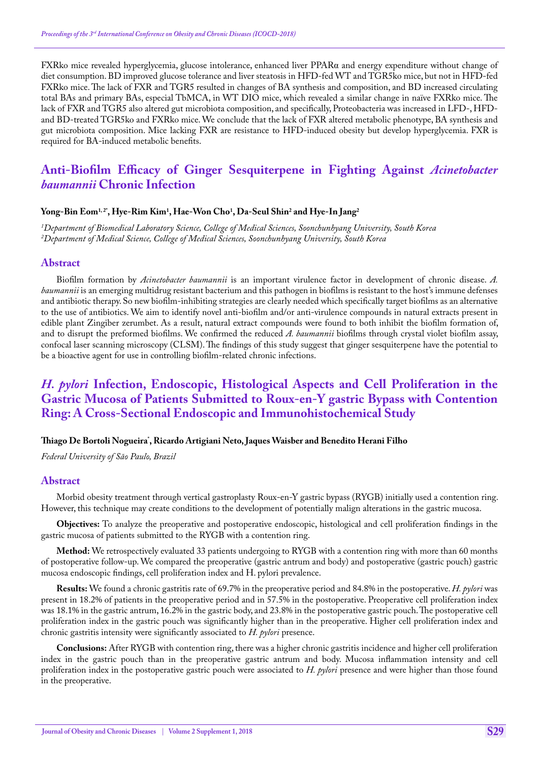FXRko mice revealed hyperglycemia, glucose intolerance, enhanced liver PPARα and energy expenditure without change of diet consumption. BD improved glucose tolerance and liver steatosis in HFD-fed WT and TGR5ko mice, but not in HFD-fed FXRko mice. The lack of FXR and TGR5 resulted in changes of BA synthesis and composition, and BD increased circulating total BAs and primary BAs, especial TbMCA, in WT DIO mice, which revealed a similar change in naïve FXRko mice. The lack of FXR and TGR5 also altered gut microbiota composition, and specifically, Proteobacteria was increased in LFD-, HFDand BD-treated TGR5ko and FXRko mice. We conclude that the lack of FXR altered metabolic phenotype, BA synthesis and gut microbiota composition. Mice lacking FXR are resistance to HFD-induced obesity but develop hyperglycemia. FXR is required for BA-induced metabolic benefits.

# **Anti-Biofilm Efficacy of Ginger Sesquiterpene in Fighting Against** *Acinetobacter baumannii* **Chronic Infection**

### **Yong-Bin Eom1, 2\*, Hye-Rim Kim1 , Hae-Won Cho1 , Da-Seul Shin2 and Hye-In Jang2**

*1 Department of Biomedical Laboratory Science, College of Medical Sciences, Soonchunhyang University, South Korea 2 Department of Medical Science, College of Medical Sciences, Soonchunhyang University, South Korea*

#### **Abstract**

Biofilm formation by *Acinetobacter baumannii* is an important virulence factor in development of chronic disease. *A. baumannii* is an emerging multidrug resistant bacterium and this pathogen in biofilms is resistant to the host's immune defenses and antibiotic therapy. So new biofilm-inhibiting strategies are clearly needed which specifically target biofilms as an alternative to the use of antibiotics. We aim to identify novel anti-biofilm and/or anti-virulence compounds in natural extracts present in edible plant Zingiber zerumbet. As a result, natural extract compounds were found to both inhibit the biofilm formation of, and to disrupt the preformed biofilms. We confirmed the reduced *A. baumannii* biofilms through crystal violet biofilm assay, confocal laser scanning microscopy (CLSM). The findings of this study suggest that ginger sesquiterpene have the potential to be a bioactive agent for use in controlling biofilm-related chronic infections.

# *H. pylori* **Infection, Endoscopic, Histological Aspects and Cell Proliferation in the Gastric Mucosa of Patients Submitted to Roux-en-Y gastric Bypass with Contention Ring: A Cross-Sectional Endoscopic and Immunohistochemical Study**

#### **Thiago De Bortoli Nogueira\* , Ricardo Artigiani Neto, Jaques Waisber and Benedito Herani Filho**

*Federal University of São Paulo, Brazil*

### **Abstract**

Morbid obesity treatment through vertical gastroplasty Roux-en-Y gastric bypass (RYGB) initially used a contention ring. However, this technique may create conditions to the development of potentially malign alterations in the gastric mucosa.

**Objectives:** To analyze the preoperative and postoperative endoscopic, histological and cell proliferation findings in the gastric mucosa of patients submitted to the RYGB with a contention ring.

**Method:** We retrospectively evaluated 33 patients undergoing to RYGB with a contention ring with more than 60 months of postoperative follow-up. We compared the preoperative (gastric antrum and body) and postoperative (gastric pouch) gastric mucosa endoscopic findings, cell proliferation index and H. pylori prevalence.

**Results:** We found a chronic gastritis rate of 69.7% in the preoperative period and 84.8% in the postoperative. *H. pylori* was present in 18.2% of patients in the preoperative period and in 57.5% in the postoperative. Preoperative cell proliferation index was 18.1% in the gastric antrum, 16.2% in the gastric body, and 23.8% in the postoperative gastric pouch. The postoperative cell proliferation index in the gastric pouch was significantly higher than in the preoperative. Higher cell proliferation index and chronic gastritis intensity were significantly associated to *H. pylori* presence.

**Conclusions:** After RYGB with contention ring, there was a higher chronic gastritis incidence and higher cell proliferation index in the gastric pouch than in the preoperative gastric antrum and body. Mucosa inflammation intensity and cell proliferation index in the postoperative gastric pouch were associated to *H. pylori* presence and were higher than those found in the preoperative.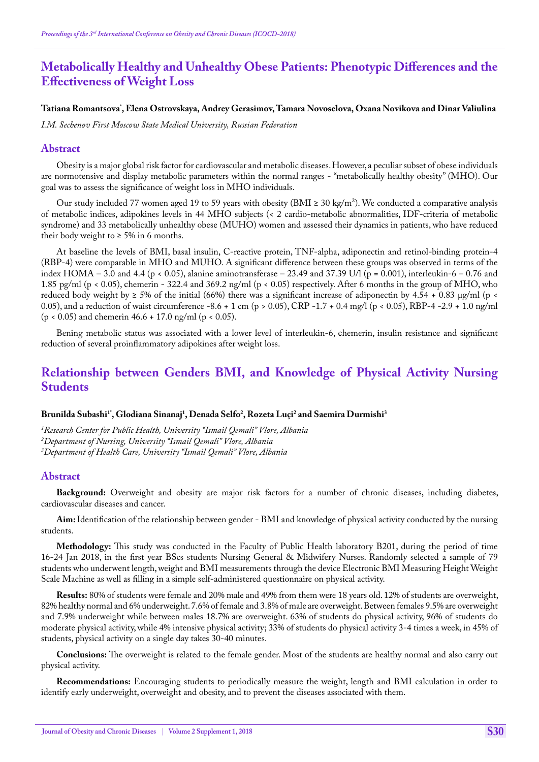# **Metabolically Healthy and Unhealthy Obese Patients: Phenotypic Differences and the Effectiveness of Weight Loss**

## **Tatiana Romantsova\* , Elena Ostrovskaya, Andrey Gerasimov, Tamara Novoselova, Oxana Novikova and Dinar Valiulina**

*I.M. Sechenov First Moscow State Medical University, Russian Federation*

### **Abstract**

Obesity is a major global risk factor for cardiovascular and metabolic diseases. However, a peculiar subset of obese individuals are normotensive and display metabolic parameters within the normal ranges - "metabolically healthy obesity" (MHO). Our goal was to assess the significance of weight loss in MHO individuals.

Our study included 77 women aged 19 to 59 years with obesity (BMI ≥ 30 kg/m<sup>2</sup>). We conducted a comparative analysis of metabolic indices, adipokines levels in 44 MHO subjects (< 2 cardio-metabolic abnormalities, IDF-criteria of metabolic syndrome) and 33 metabolically unhealthy obese (MUHO) women and assessed their dynamics in patients, who have reduced their body weight to  $\geq$  5% in 6 months.

At baseline the levels of BMI, basal insulin, C-reactive protein, TNF-alpha, adiponectin and retinol-binding protein-4 (RBP-4) were comparable in MHO and MUHO. A significant difference between these groups was observed in terms of the index HOMA – 3.0 and 4.4 (p < 0.05), alanine aminotransferase – 23.49 and 37.39 U/l (p = 0.001), interleukin-6 – 0.76 and 1.85 pg/ml (p < 0.05), сhemerin - 322.4 and 369.2 ng/ml (p < 0.05) respectively. After 6 months in the group of MHO, who reduced body weight by  $\geq 5\%$  of the initial (66%) there was a significant increase of adiponectin by 4.54 + 0.83 µg/ml (p < 0.05), and a reduction of waist circumference -8.6 + 1 cm (p > 0.05), CRP -1.7 + 0.4 mg/l (p < 0.05), RBP-4 -2.9 + 1.0 ng/ml  $(p < 0.05)$  and chemerin 46.6 + 17.0 ng/ml (p < 0.05).

Bening metabolic status was associated with a lower level of interleukin-6, сhemerin, insulin resistance and significant reduction of several proinflammatory adipokines after weight loss.

# **Relationship between Genders BMI, and Knowledge of Physical Activity Nursing Students**

### Brunilda Subashi<sup>1</sup>', Glodiana Sinanaj<sup>1</sup>, Denada Selfo<sup>2</sup>, Rozeta Luçi<sup>2</sup> and Saemira Durmishi<sup>3</sup>

*1 Research Center for Public Health, University "Ismail Qemali" Vlore, Albania 2 Department of Nursing, University "Ismail Qemali" Vlore, Albania 3 Department of Health Care, University "Ismail Qemali" Vlore, Albania*

#### **Abstract**

**Background:** Overweight and obesity are major risk factors for a number of chronic diseases, including diabetes, cardiovascular diseases and cancer.

**Aim:** Identification of the relationship between gender - BMI and knowledge of physical activity conducted by the nursing students.

**Methodology:** This study was conducted in the Faculty of Public Health laboratory B201, during the period of time 16-24 Jan 2018, in the first year BScs students Nursing General & Midwifery Nurses. Randomly selected a sample of 79 students who underwent length, weight and BMI measurements through the device Electronic BMI Measuring Height Weight Scale Machine as well as filling in a simple self-administered questionnaire on physical activity.

**Results:** 80% of students were female and 20% male and 49% from them were 18 years old. 12% of students are overweight, 82% healthy normal and 6% underweight. 7.6% of female and 3.8% of male are overweight. Between females 9.5% are overweight and 7.9% underweight while between males 18.7% are overweight. 63% of students do physical activity, 96% of students do moderate physical activity, while 4% intensive physical activity; 33% of students do physical activity 3-4 times a week, in 45% of students, physical activity on a single day takes 30-40 minutes.

**Conclusions:** The overweight is related to the female gender. Most of the students are healthy normal and also carry out physical activity.

**Recommendations:** Encouraging students to periodically measure the weight, length and BMI calculation in order to identify early underweight, overweight and obesity, and to prevent the diseases associated with them.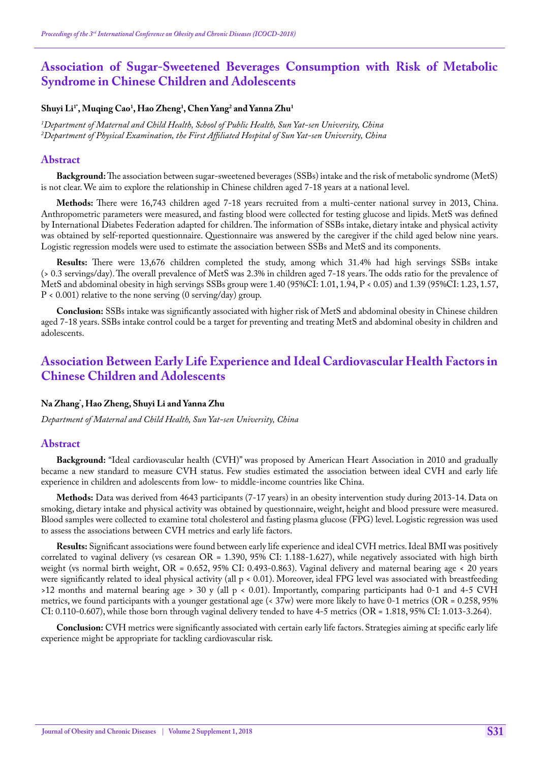# **Association of Sugar-Sweetened Beverages Consumption with Risk of Metabolic Syndrome in Chinese Children and Adolescents**

### **Shuyi Li1\*, Muqing Cao1 , Hao Zheng1 , Chen Yang2 and Yanna Zhu1**

*1 Department of Maternal and Child Health, School of Public Health, Sun Yat-sen University, China 2 Department of Physical Examination, the First Affiliated Hospital of Sun Yat-sen University, China*

#### **Abstract**

**Background:** The association between sugar-sweetened beverages (SSBs) intake and the risk of metabolic syndrome (MetS) is not clear. We aim to explore the relationship in Chinese children aged 7-18 years at a national level.

**Methods:** There were 16,743 children aged 7-18 years recruited from a multi-center national survey in 2013, China. Anthropometric parameters were measured, and fasting blood were collected for testing glucose and lipids. MetS was defined by International Diabetes Federation adapted for children. The information of SSBs intake, dietary intake and physical activity was obtained by self-reported questionnaire. Questionnaire was answered by the caregiver if the child aged below nine years. Logistic regression models were used to estimate the association between SSBs and MetS and its components.

**Results:** There were 13,676 children completed the study, among which 31.4% had high servings SSBs intake (> 0.3 servings/day). The overall prevalence of MetS was 2.3% in children aged 7-18 years. The odds ratio for the prevalence of MetS and abdominal obesity in high servings SSBs group were 1.40 (95%CI: 1.01, 1.94, P < 0.05) and 1.39 (95%CI: 1.23, 1.57,  $P < 0.001$ ) relative to the none serving (0 serving/day) group.

**Conclusion:** SSBs intake was significantly associated with higher risk of MetS and abdominal obesity in Chinese children aged 7-18 years. SSBs intake control could be a target for preventing and treating MetS and abdominal obesity in children and adolescents.

# **Association Between Early Life Experience and Ideal Cardiovascular Health Factors in Chinese Children and Adolescents**

### **Na Zhang\* , Hao Zheng, Shuyi Li and Yanna Zhu**

*Department of Maternal and Child Health, Sun Yat-sen University, China*

#### **Abstract**

**Background:** "Ideal cardiovascular health (CVH)" was proposed by American Heart Association in 2010 and gradually became a new standard to measure CVH status. Few studies estimated the association between ideal CVH and early life experience in children and adolescents from low- to middle-income countries like China.

**Methods:** Data was derived from 4643 participants (7-17 years) in an obesity intervention study during 2013-14. Data on smoking, dietary intake and physical activity was obtained by questionnaire, weight, height and blood pressure were measured. Blood samples were collected to examine total cholesterol and fasting plasma glucose (FPG) level. Logistic regression was used to assess the associations between CVH metrics and early life factors.

**Results:** Significant associations were found between early life experience and ideal CVH metrics. Ideal BMI was positively correlated to vaginal delivery (vs cesarean OR = 1.390, 95% CI: 1.188-1.627), while negatively associated with high birth weight (vs normal birth weight, OR = 0.652, 95% CI: 0.493-0.863). Vaginal delivery and maternal bearing age < 20 years were significantly related to ideal physical activity (all p < 0.01). Moreover, ideal FPG level was associated with breastfeeding >12 months and maternal bearing age > 30 y (all p < 0.01). Importantly, comparing participants had 0-1 and 4-5 CVH metrics, we found participants with a younger gestational age  $\langle 37w \rangle$  were more likely to have 0-1 metrics  $\langle OR = 0.258, 95\%$  $CI: 0.110-0.607$ , while those born through vaginal delivery tended to have  $4-5$  metrics  $(OR = 1.818, 95\% CI: 1.013-3.264)$ .

**Conclusion:** CVH metrics were significantly associated with certain early life factors. Strategies aiming at specific early life experience might be appropriate for tackling cardiovascular risk.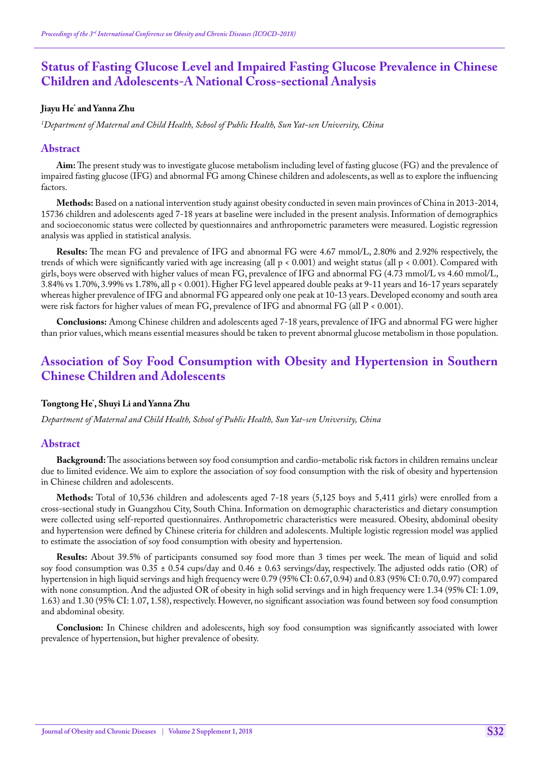# **Status of Fasting Glucose Level and Impaired Fasting Glucose Prevalence in Chinese Children and Adolescents-A National Cross-sectional Analysis**

## **Jiayu He\* and Yanna Zhu**

*1 Department of Maternal and Child Health, School of Public Health, Sun Yat-sen University, China*

### **Abstract**

**Aim:** The present study was to investigate glucose metabolism including level of fasting glucose (FG) and the prevalence of impaired fasting glucose (IFG) and abnormal FG among Chinese children and adolescents, as well as to explore the influencing factors.

**Methods:** Based on a national intervention study against obesity conducted in seven main provinces of China in 2013-2014, 15736 children and adolescents aged 7-18 years at baseline were included in the present analysis. Information of demographics and socioeconomic status were collected by questionnaires and anthropometric parameters were measured. Logistic regression analysis was applied in statistical analysis.

**Results:** The mean FG and prevalence of IFG and abnormal FG were 4.67 mmol/L, 2.80% and 2.92% respectively, the trends of which were significantly varied with age increasing (all p < 0.001) and weight status (all p < 0.001). Compared with girls, boys were observed with higher values of mean FG, prevalence of IFG and abnormal FG (4.73 mmol/L vs 4.60 mmol/L, 3.84% vs 1.70%, 3.99% vs 1.78%, all p < 0.001). Higher FG level appeared double peaks at 9-11 years and 16-17 years separately whereas higher prevalence of IFG and abnormal FG appeared only one peak at 10-13 years. Developed economy and south area were risk factors for higher values of mean FG, prevalence of IFG and abnormal FG (all P < 0.001).

**Conclusions:** Among Chinese children and adolescents aged 7-18 years, prevalence of IFG and abnormal FG were higher than prior values, which means essential measures should be taken to prevent abnormal glucose metabolism in those population.

# **Association of Soy Food Consumption with Obesity and Hypertension in Southern Chinese Children and Adolescents**

### **Tongtong He\* , Shuyi Li and Yanna Zhu**

*Department of Maternal and Child Health, School of Public Health, Sun Yat-sen University, China*

#### **Abstract**

**Background:** The associations between soy food consumption and cardio-metabolic risk factors in children remains unclear due to limited evidence. We aim to explore the association of soy food consumption with the risk of obesity and hypertension in Chinese children and adolescents.

**Methods:** Total of 10,536 children and adolescents aged 7-18 years (5,125 boys and 5,411 girls) were enrolled from a cross-sectional study in Guangzhou City, South China. Information on demographic characteristics and dietary consumption were collected using self-reported questionnaires. Anthropometric characteristics were measured. Obesity, abdominal obesity and hypertension were defined by Chinese criteria for children and adolescents. Multiple logistic regression model was applied to estimate the association of soy food consumption with obesity and hypertension.

**Results:** About 39.5% of participants consumed soy food more than 3 times per week. The mean of liquid and solid soy food consumption was 0.35 ± 0.54 cups/day and 0.46 ± 0.63 servings/day, respectively. The adjusted odds ratio (OR) of hypertension in high liquid servings and high frequency were 0.79 (95% CI: 0.67, 0.94) and 0.83 (95% CI: 0.70, 0.97) compared with none consumption. And the adjusted OR of obesity in high solid servings and in high frequency were 1.34 (95% CI: 1.09, 1.63) and 1.30 (95% CI: 1.07, 1.58), respectively. However, no significant association was found between soy food consumption and abdominal obesity.

**Conclusion:** In Chinese children and adolescents, high soy food consumption was significantly associated with lower prevalence of hypertension, but higher prevalence of obesity.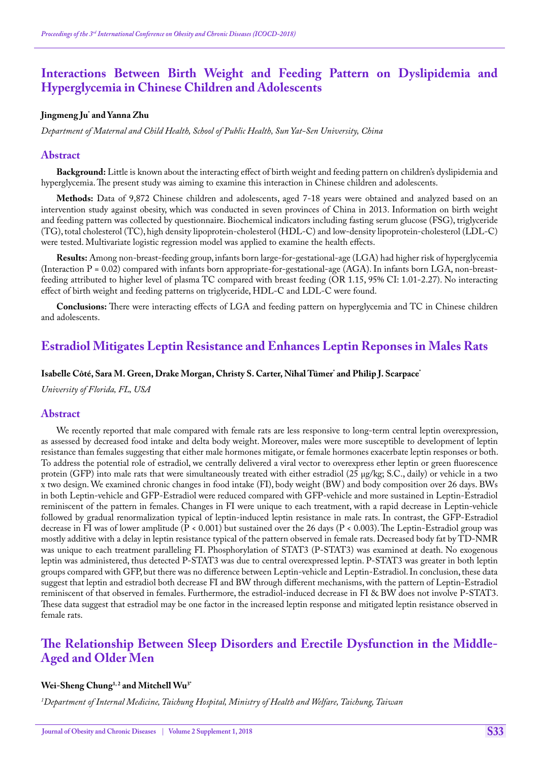# **Interactions Between Birth Weight and Feeding Pattern on Dyslipidemia and Hyperglycemia in Chinese Children and Adolescents**

## **Jingmeng Ju\* and Yanna Zhu**

*Department of Maternal and Child Health, School of Public Health, Sun Yat-Sen University, China*

#### **Abstract**

**Background:** Little is known about the interacting effect of birth weight and feeding pattern on children's dyslipidemia and hyperglycemia. The present study was aiming to examine this interaction in Chinese children and adolescents.

**Methods:** Data of 9,872 Chinese children and adolescents, aged 7-18 years were obtained and analyzed based on an intervention study against obesity, which was conducted in seven provinces of China in 2013. Information on birth weight and feeding pattern was collected by questionnaire. Biochemical indicators including fasting serum glucose (FSG), triglyceride (TG), total cholesterol (TC), high density lipoprotein-cholesterol (HDL-C) and low-density lipoprotein-cholesterol (LDL-C) were tested. Multivariate logistic regression model was applied to examine the health effects.

**Results:** Among non-breast-feeding group, infants born large-for-gestational-age (LGA) had higher risk of hyperglycemia (Interaction  $P = 0.02$ ) compared with infants born appropriate-for-gestational-age (AGA). In infants born LGA, non-breastfeeding attributed to higher level of plasma TC compared with breast feeding (OR 1.15, 95% CI: 1.01-2.27). No interacting effect of birth weight and feeding patterns on triglyceride, HDL-C and LDL-C were found.

**Conclusions:** There were interacting effects of LGA and feeding pattern on hyperglycemia and TC in Chinese children and adolescents.

# **Estradiol Mitigates Leptin Resistance and Enhances Leptin Reponses in Males Rats**

#### **Isabelle Côté, Sara M. Green, Drake Morgan, Christy S. Carter, Nihal Tümer\* and Philip J. Scarpace\***

*University of Florida, FL, USA*

#### **Abstract**

We recently reported that male compared with female rats are less responsive to long-term central leptin overexpression, as assessed by decreased food intake and delta body weight. Moreover, males were more susceptible to development of leptin resistance than females suggesting that either male hormones mitigate, or female hormones exacerbate leptin responses or both. To address the potential role of estradiol, we centrally delivered a viral vector to overexpress ether leptin or green fluorescence protein (GFP) into male rats that were simultaneously treated with either estradiol (25 μg/kg; S.C., daily) or vehicle in a two x two design. We examined chronic changes in food intake (FI), body weight (BW) and body composition over 26 days. BWs in both Leptin-vehicle and GFP-Estradiol were reduced compared with GFP-vehicle and more sustained in Leptin-Estradiol reminiscent of the pattern in females. Changes in FI were unique to each treatment, with a rapid decrease in Leptin-vehicle followed by gradual renormalization typical of leptin-induced leptin resistance in male rats. In contrast, the GFP-Estradiol decrease in FI was of lower amplitude (P < 0.001) but sustained over the 26 days (P < 0.003). The Leptin-Estradiol group was mostly additive with a delay in leptin resistance typical of the pattern observed in female rats. Decreased body fat by TD-NMR was unique to each treatment paralleling FI. Phosphorylation of STAT3 (P-STAT3) was examined at death. No exogenous leptin was administered, thus detected P-STAT3 was due to central overexpressed leptin. P-STAT3 was greater in both leptin groups compared with GFP, but there was no difference between Leptin-vehicle and Leptin-Estradiol. In conclusion, these data suggest that leptin and estradiol both decrease FI and BW through different mechanisms, with the pattern of Leptin-Estradiol reminiscent of that observed in females. Furthermore, the estradiol-induced decrease in FI & BW does not involve P-STAT3. These data suggest that estradiol may be one factor in the increased leptin response and mitigated leptin resistance observed in female rats.

# **The Relationship Between Sleep Disorders and Erectile Dysfunction in the Middle-Aged and Older Men**

#### **Wei-Sheng Chung1, 2 and Mitchell Wu3\***

*1 Department of Internal Medicine, Taichung Hospital, Ministry of Health and Welfare, Taichung, Taiwan*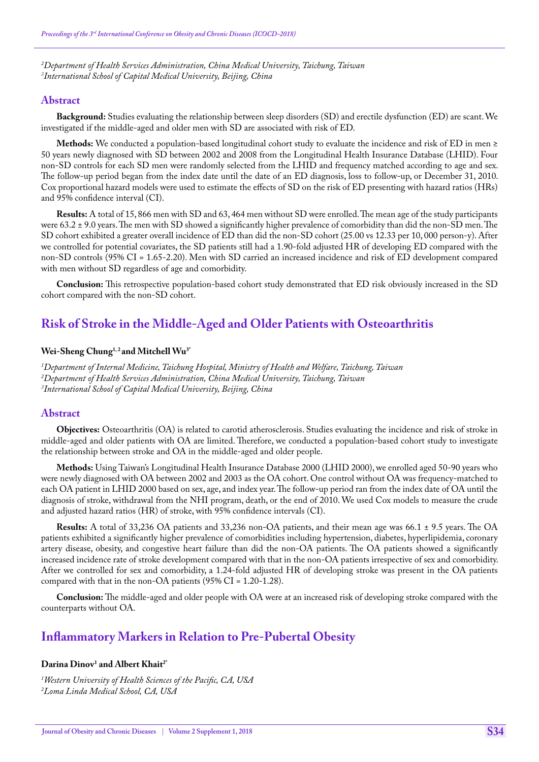*2 Department of Health Services Administration, China Medical University, Taichung, Taiwan 3 International School of Capital Medical University, Beijing, China*

### **Abstract**

**Background:** Studies evaluating the relationship between sleep disorders (SD) and erectile dysfunction (ED) are scant. We investigated if the middle-aged and older men with SD are associated with risk of ED.

**Methods:** We conducted a population-based longitudinal cohort study to evaluate the incidence and risk of ED in men ≥ 50 years newly diagnosed with SD between 2002 and 2008 from the Longitudinal Health Insurance Database (LHID). Four non-SD controls for each SD men were randomly selected from the LHID and frequency matched according to age and sex. The follow-up period began from the index date until the date of an ED diagnosis, loss to follow-up, or December 31, 2010. Cox proportional hazard models were used to estimate the effects of SD on the risk of ED presenting with hazard ratios (HRs) and 95% confidence interval (CI).

**Results:** A total of 15, 866 men with SD and 63, 464 men without SD were enrolled. The mean age of the study participants were 63.2 ± 9.0 years. The men with SD showed a significantly higher prevalence of comorbidity than did the non-SD men. The SD cohort exhibited a greater overall incidence of ED than did the non-SD cohort (25.00 vs 12.33 per 10, 000 person-y). After we controlled for potential covariates, the SD patients still had a 1.90-fold adjusted HR of developing ED compared with the non-SD controls (95% CI = 1.65-2.20). Men with SD carried an increased incidence and risk of ED development compared with men without SD regardless of age and comorbidity.

**Conclusion:** This retrospective population-based cohort study demonstrated that ED risk obviously increased in the SD cohort compared with the non-SD cohort.

# **Risk of Stroke in the Middle-Aged and Older Patients with Osteoarthritis**

#### Wei-Sheng Chung<sup>1,2</sup> and Mitchell Wu<sup>3\*</sup>

*1 Department of Internal Medicine, Taichung Hospital, Ministry of Health and Welfare, Taichung, Taiwan 2 Department of Health Services Administration, China Medical University, Taichung, Taiwan 3 International School of Capital Medical University, Beijing, China*

### **Abstract**

**Objectives:** Osteoarthritis (OA) is related to carotid atherosclerosis. Studies evaluating the incidence and risk of stroke in middle-aged and older patients with OA are limited. Therefore, we conducted a population-based cohort study to investigate the relationship between stroke and OA in the middle-aged and older people.

**Methods:** Using Taiwan's Longitudinal Health Insurance Database 2000 (LHID 2000), we enrolled aged 50-90 years who were newly diagnosed with OA between 2002 and 2003 as the OA cohort. One control without OA was frequency-matched to each OA patient in LHID 2000 based on sex, age, and index year. The follow-up period ran from the index date of OA until the diagnosis of stroke, withdrawal from the NHI program, death, or the end of 2010. We used Cox models to measure the crude and adjusted hazard ratios (HR) of stroke, with 95% confidence intervals (CI).

**Results:** A total of 33,236 OA patients and 33,236 non-OA patients, and their mean age was 66.1 ± 9.5 years. The OA patients exhibited a significantly higher prevalence of comorbidities including hypertension, diabetes, hyperlipidemia, coronary artery disease, obesity, and congestive heart failure than did the non-OA patients. The OA patients showed a significantly increased incidence rate of stroke development compared with that in the non-OA patients irrespective of sex and comorbidity. After we controlled for sex and comorbidity, a 1.24-fold adjusted HR of developing stroke was present in the OA patients compared with that in the non-OA patients (95% CI = 1.20-1.28).

**Conclusion:** The middle-aged and older people with OA were at an increased risk of developing stroke compared with the counterparts without OA.

## **Inflammatory Markers in Relation to Pre-Pubertal Obesity**

## **Darina Dinov1 and Albert Khait2\***

*1 Western University of Health Sciences of the Pacific, CA, USA 2 Loma Linda Medical School, CA, USA*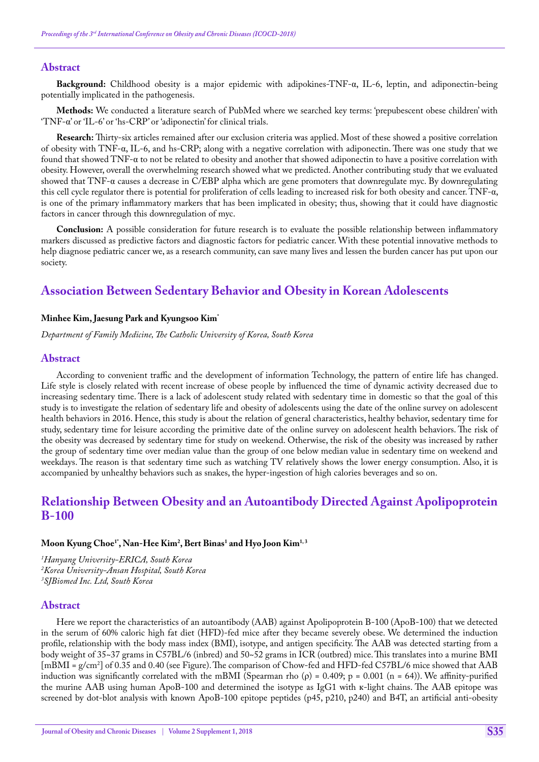### **Abstract**

**Background:** Childhood obesity is a major epidemic with adipokines-TNF-α, IL-6, leptin, and adiponectin-being potentially implicated in the pathogenesis.

**Methods:** We conducted a literature search of PubMed where we searched key terms: 'prepubescent obese children' with 'TNF-α' or 'IL-6' or 'hs-CRP' or 'adiponectin' for clinical trials.

**Research:** Thirty-six articles remained after our exclusion criteria was applied. Most of these showed a positive correlation of obesity with TNF-α, IL-6, and hs-CRP; along with a negative correlation with adiponectin. There was one study that we found that showed  $TNF-\alpha$  to not be related to obesity and another that showed adiponectin to have a positive correlation with obesity. However, overall the overwhelming research showed what we predicted. Another contributing study that we evaluated showed that TNF-α causes a decrease in C/EBP alpha which are gene promoters that downregulate myc. By downregulating this cell cycle regulator there is potential for proliferation of cells leading to increased risk for both obesity and cancer. TNF-α, is one of the primary inflammatory markers that has been implicated in obesity; thus, showing that it could have diagnostic factors in cancer through this downregulation of myc.

**Conclusion:** A possible consideration for future research is to evaluate the possible relationship between inflammatory markers discussed as predictive factors and diagnostic factors for pediatric cancer. With these potential innovative methods to help diagnose pediatric cancer we, as a research community, can save many lives and lessen the burden cancer has put upon our society.

# **Association Between Sedentary Behavior and Obesity in Korean Adolescents**

#### **Minhee Kim, Jaesung Park and Kyungsoo Kim\***

*Department of Family Medicine, The Catholic University of Korea, South Korea*

#### **Abstract**

According to convenient traffic and the development of information Technology, the pattern of entire life has changed. Life style is closely related with recent increase of obese people by influenced the time of dynamic activity decreased due to increasing sedentary time. There is a lack of adolescent study related with sedentary time in domestic so that the goal of this study is to investigate the relation of sedentary life and obesity of adolescents using the date of the online survey on adolescent health behaviors in 2016. Hence, this study is about the relation of general characteristics, healthy behavior, sedentary time for study, sedentary time for leisure according the primitive date of the online survey on adolescent health behaviors. The risk of the obesity was decreased by sedentary time for study on weekend. Otherwise, the risk of the obesity was increased by rather the group of sedentary time over median value than the group of one below median value in sedentary time on weekend and weekdays. The reason is that sedentary time such as watching TV relatively shows the lower energy consumption. Also, it is accompanied by unhealthy behaviors such as snakes, the hyper-ingestion of high calories beverages and so on.

# **Relationship Between Obesity and an Autoantibody Directed Against Apolipoprotein B-100**

### **Moon Kyung Choe1\*, Nan-Hee Kim2 , Bert Binas1 and Hyo Joon Kim1, 3**

*1 Hanyang University-ERICA, South Korea 2 Korea University-Ansan Hospital, South Korea 3 SJBiomed Inc. Ltd, South Korea*

#### **Abstract**

Here we report the characteristics of an autoantibody (AAB) against Apolipoprotein B-100 (ApoB-100) that we detected in the serum of 60% caloric high fat diet (HFD)-fed mice after they became severely obese. We determined the induction profile, relationship with the body mass index (BMI), isotype, and antigen specificity. The AAB was detected starting from a body weight of 35~37 grams in C57BL/6 (inbred) and 50~52 grams in ICR (outbred) mice. This translates into a murine BMI [mBMI = g/cm2 ] of 0.35 and 0.40 (see Figure). The comparison of Chow-fed and HFD-fed C57BL/6 mice showed that AAB induction was significantly correlated with the mBMI (Spearman rho  $(\rho) = 0.409$ ; p = 0.001 (n = 64)). We affinity-purified the murine AAB using human ApoB-100 and determined the isotype as IgG1 with к-light chains. The AAB epitope was screened by dot-blot analysis with known ApoB-100 epitope peptides (p45, p210, p240) and B4T, an artificial anti-obesity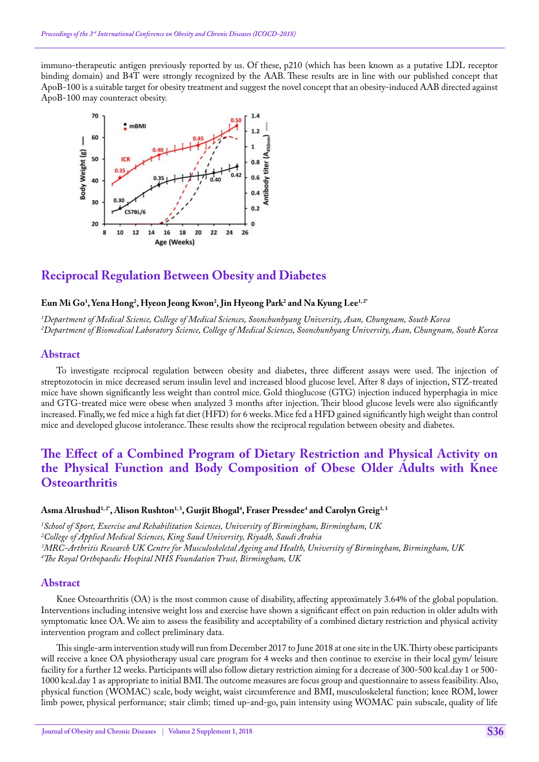immuno-therapeutic antigen previously reported by us. Of these, p210 (which has been known as a putative LDL receptor binding domain) and B4T were strongly recognized by the AAB. These results are in line with our published concept that ApoB-100 is a suitable target for obesity treatment and suggest the novel concept that an obesity-induced AAB directed against ApoB-100 may counteract obesity.



# **Reciprocal Regulation Between Obesity and Diabetes**

## **Eun Mi Go1 , Yena Hong2 , Hyeon Jeong Kwon2 , Jin Hyeong Park2 and Na Kyung Lee1, 2\***

*1 Department of Medical Science, College of Medical Sciences, Soonchunhyang University, Asan, Chungnam, South Korea 2 Department of Biomedical Laboratory Science, College of Medical Sciences, Soonchunhyang University, Asan, Chungnam, South Korea*

### **Abstract**

To investigate reciprocal regulation between obesity and diabetes, three different assays were used. The injection of streptozotocin in mice decreased serum insulin level and increased blood glucose level. After 8 days of injection, STZ-treated mice have shown significantly less weight than control mice. Gold thioglucose (GTG) injection induced hyperphagia in mice and GTG-treated mice were obese when analyzed 3 months after injection. Their blood glucose levels were also significantly increased. Finally, we fed mice a high fat diet (HFD) for 6 weeks. Mice fed a HFD gained significantly high weight than control mice and developed glucose intolerance. These results show the reciprocal regulation between obesity and diabetes.

# **The Effect of a Combined Program of Dietary Restriction and Physical Activity on the Physical Function and Body Composition of Obese Older Adults with Knee Osteoarthritis**

### **Asma Alrushud1, 2\*, Alison Rushton1, 3, Gurjit Bhogal4 , Fraser Pressdee4 and Carolyn Greig1, 3**

 *School of Sport, Exercise and Rehabilitation Sciences, University of Birmingham, Birmingham, UK College of Applied Medical Sciences, King Saud University, Riyadh, Saudi Arabia MRC-Arthritis Research UK Centre for Musculoskeletal Ageing and Health, University of Birmingham, Birmingham, UK The Royal Orthopaedic Hospital NHS Foundation Trust, Birmingham, UK*

#### **Abstract**

Knee Osteoarthritis (OA) is the most common cause of disability, affecting approximately 3.64% of the global population. Interventions including intensive weight loss and exercise have shown a significant effect on pain reduction in older adults with symptomatic knee OA. We aim to assess the feasibility and acceptability of a combined dietary restriction and physical activity intervention program and collect preliminary data.

This single-arm intervention study will run from December 2017 to June 2018 at one site in the UK. Thirty obese participants will receive a knee OA physiotherapy usual care program for 4 weeks and then continue to exercise in their local gym/ leisure facility for a further 12 weeks. Participants will also follow dietary restriction aiming for a decrease of 300-500 kcal.day 1 or 500- 1000 kcal.day 1 as appropriate to initial BMI. The outcome measures are focus group and questionnaire to assess feasibility. Also, physical function (WOMAC) scale, body weight, waist circumference and BMI, musculoskeletal function; knee ROM, lower limb power, physical performance; stair climb; timed up-and-go, pain intensity using WOMAC pain subscale, quality of life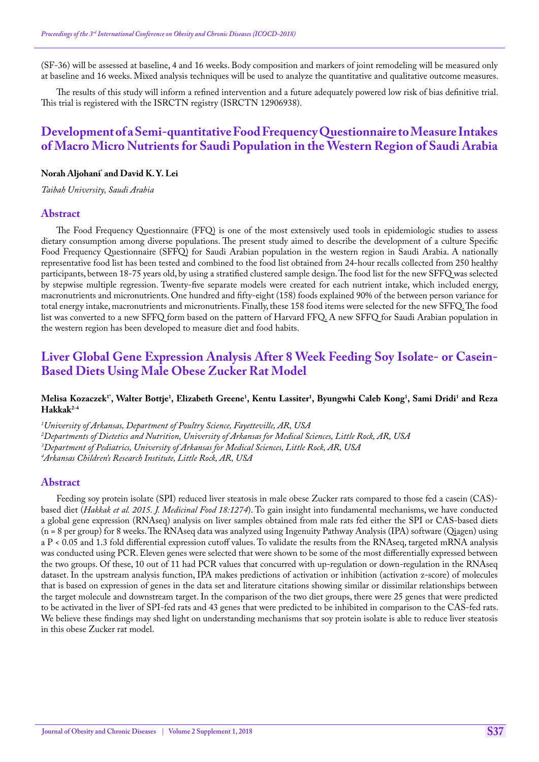(SF-36) will be assessed at baseline, 4 and 16 weeks. Body composition and markers of joint remodeling will be measured only at baseline and 16 weeks. Mixed analysis techniques will be used to analyze the quantitative and qualitative outcome measures.

The results of this study will inform a refined intervention and a future adequately powered low risk of bias definitive trial. This trial is registered with the ISRCTN registry (ISRCTN 12906938).

# **Development of a Semi-quantitative Food Frequency Questionnaire to Measure Intakes of Macro Micro Nutrients for Saudi Population in the Western Region of Saudi Arabia**

### **Norah Aljohani\* and David K. Y. Lei**

*Taibah University, Saudi Arabia*

### **Abstract**

The Food Frequency Questionnaire (FFQ) is one of the most extensively used tools in epidemiologic studies to assess dietary consumption among diverse populations. The present study aimed to describe the development of a culture Specific Food Frequency Questionnaire (SFFQ) for Saudi Arabian population in the western region in Saudi Arabia. A nationally representative food list has been tested and combined to the food list obtained from 24-hour recalls collected from 250 healthy participants, between 18-75 years old, by using a stratified clustered sample design. The food list for the new SFFQ was selected by stepwise multiple regression. Twenty-five separate models were created for each nutrient intake, which included energy, macronutrients and micronutrients. One hundred and fifty-eight (158) foods explained 90% of the between person variance for total energy intake, macronutrients and micronutrients. Finally, these 158 food items were selected for the new SFFQ. The food list was converted to a new SFFQ form based on the pattern of Harvard FFQ. A new SFFQ for Saudi Arabian population in the western region has been developed to measure diet and food habits.

# **Liver Global Gene Expression Analysis After 8 Week Feeding Soy Isolate- or Casein-Based Diets Using Male Obese Zucker Rat Model**

#### **Melisa Kozaczek1\*, Walter Bottje1 , Elizabeth Greene1 , Kentu Lassiter1 , Byungwhi Caleb Kong1 , Sami Dridi1 and Reza Hakkak2-4**

*1 University of Arkansas, Department of Poultry Science, Fayetteville, AR, USA*

*2 Departments of Dietetics and Nutrition, University of Arkansas for Medical Sciences, Little Rock, AR, USA*

*4 Arkansas Children's Research Institute, Little Rock, AR, USA*

### **Abstract**

Feeding soy protein isolate (SPI) reduced liver steatosis in male obese Zucker rats compared to those fed a casein (CAS) based diet (*Hakkak et al. 2015. J. Medicinal Food 18:1274*). To gain insight into fundamental mechanisms, we have conducted a global gene expression (RNAseq) analysis on liver samples obtained from male rats fed either the SPI or CAS-based diets (n = 8 per group) for 8 weeks. The RNAseq data was analyzed using Ingenuity Pathway Analysis (IPA) software (Qiagen) using a P < 0.05 and 1.3 fold differential expression cutoff values. To validate the results from the RNAseq, targeted mRNA analysis was conducted using PCR. Eleven genes were selected that were shown to be some of the most differentially expressed between the two groups. Of these, 10 out of 11 had PCR values that concurred with up-regulation or down-regulation in the RNAseq dataset. In the upstream analysis function, IPA makes predictions of activation or inhibition (activation z-score) of molecules that is based on expression of genes in the data set and literature citations showing similar or dissimilar relationships between the target molecule and downstream target. In the comparison of the two diet groups, there were 25 genes that were predicted to be activated in the liver of SPI-fed rats and 43 genes that were predicted to be inhibited in comparison to the CAS-fed rats. We believe these findings may shed light on understanding mechanisms that soy protein isolate is able to reduce liver steatosis in this obese Zucker rat model.

*<sup>3</sup> Department of Pediatrics, University of Arkansas for Medical Sciences, Little Rock, AR, USA*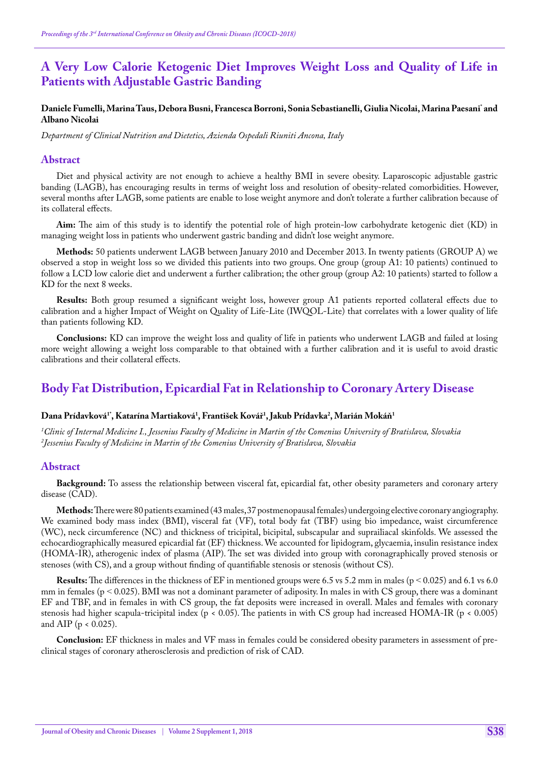# **A Very Low Calorie Ketogenic Diet Improves Weight Loss and Quality of Life in Patients with Adjustable Gastric Banding**

#### Daniele Fumelli, Marina Taus, Debora Busni, Francesca Borroni, Sonia Sebastianelli, Giulia Nicolai, Marina Paesani<sup>-</sup>and **Albano Nicolai**

*Department of Clinical Nutrition and Dietetics, Azienda Ospedali Riuniti Ancona, Italy*

#### **Abstract**

Diet and physical activity are not enough to achieve a healthy BMI in severe obesity. Laparoscopic adjustable gastric banding (LAGB), has encouraging results in terms of weight loss and resolution of obesity-related comorbidities. However, several months after LAGB, some patients are enable to lose weight anymore and don't tolerate a further calibration because of its collateral effects.

**Aim:** The aim of this study is to identify the potential role of high protein-low carbohydrate ketogenic diet (KD) in managing weight loss in patients who underwent gastric banding and didn't lose weight anymore.

**Methods:** 50 patients underwent LAGB between January 2010 and December 2013. In twenty patients (GROUP A) we observed a stop in weight loss so we divided this patients into two groups. One group (group A1: 10 patients) continued to follow a LCD low calorie diet and underwent a further calibration; the other group (group A2: 10 patients) started to follow a KD for the next 8 weeks.

**Results:** Both group resumed a significant weight loss, however group A1 patients reported collateral effects due to calibration and a higher Impact of Weight on Quality of Life-Lite (IWQOL-Lite) that correlates with a lower quality of life than patients following KD.

**Conclusions:** KD can improve the weight loss and quality of life in patients who underwent LAGB and failed at losing more weight allowing a weight loss comparable to that obtained with a further calibration and it is useful to avoid drastic calibrations and their collateral effects.

## **Body Fat Distribution, Epicardial Fat in Relationship to Coronary Artery Disease**

### **Dana Prídavková1\*, Katarína Martiaková1 , František Kovář1 , Jakub Prídavka2 , Marián Mokáň1**

*1 Clinic of Internal Medicine I., Jessenius Faculty of Medicine in Martin of the Comenius University of Bratislava, Slovakia 2 Jessenius Faculty of Medicine in Martin of the Comenius University of Bratislava, Slovakia*

#### **Abstract**

**Background:** To assess the relationship between visceral fat, epicardial fat, other obesity parameters and coronary artery disease (CAD).

**Methods:** There were 80 patients examined (43 males, 37 postmenopausal females) undergoing elective coronary angiography. We examined body mass index (BMI), visceral fat (VF), total body fat (TBF) using bio impedance, waist circumference (WC), neck circumference (NC) and thickness of tricipital, bicipital, subscapular and suprailiacal skinfolds. We assessed the echocardiographically measured epicardial fat (EF) thickness. We accounted for lipidogram, glycaemia, insulin resistance index (HOMA-IR), atherogenic index of plasma (AIP). The set was divided into group with coronagraphically proved stenosis or stenoses (with CS), and a group without finding of quantifiable stenosis or stenosis (without CS).

**Results:** The differences in the thickness of EF in mentioned groups were 6.5 vs 5.2 mm in males ( $p < 0.025$ ) and 6.1 vs 6.0 mm in females ( $p < 0.025$ ). BMI was not a dominant parameter of adiposity. In males in with CS group, there was a dominant EF and TBF, and in females in with CS group, the fat deposits were increased in overall. Males and females with coronary stenosis had higher scapula-tricipital index (p < 0.05). The patients in with CS group had increased HOMA-IR (p < 0.005) and AIP ( $p < 0.025$ ).

**Conclusion:** EF thickness in males and VF mass in females could be considered obesity parameters in assessment of preclinical stages of coronary atherosclerosis and prediction of risk of CAD.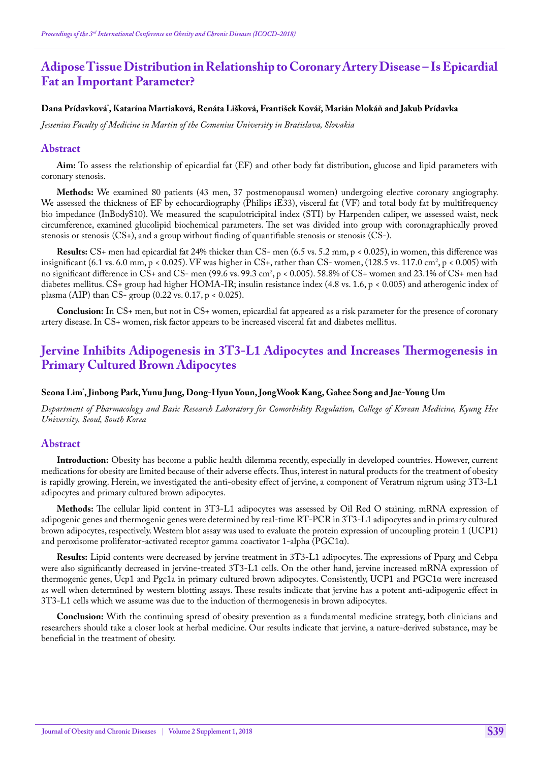# **Adipose Tissue Distribution in Relationship to Coronary Artery Disease – Is Epicardial Fat an Important Parameter?**

### **Dana Prídavková\* , Katarína Martiaková, Renáta Lišková, František Kovář, Marián Mokáň and Jakub Prídavka**

*Jessenius Faculty of Medicine in Martin of the Comenius University in Bratislava, Slovakia*

### **Abstract**

**Aim:** To assess the relationship of epicardial fat (EF) and other body fat distribution, glucose and lipid parameters with coronary stenosis.

**Methods:** We examined 80 patients (43 men, 37 postmenopausal women) undergoing elective coronary angiography. We assessed the thickness of EF by echocardiography (Philips iE33), visceral fat (VF) and total body fat by multifrequency bio impedance (InBodyS10). We measured the scapulotricipital index (STI) by Harpenden caliper, we assessed waist, neck circumference, examined glucolipid biochemical parameters. The set was divided into group with coronagraphically proved stenosis or stenosis (CS+), and a group without finding of quantifiable stenosis or stenosis (CS-).

**Results:** CS+ men had epicardial fat 24% thicker than CS- men (6.5 vs. 5.2 mm, p < 0.025), in women, this difference was insignificant (6.1 vs. 6.0 mm, p < 0.025). VF was higher in CS+, rather than CS- women, (128.5 vs. 117.0 cm², p < 0.005) with no significant difference in CS+ and CS- men (99.6 vs. 99.3 cm<sup>2</sup>, p < 0.005). 58.8% of CS+ women and 23.1% of CS+ men had diabetes mellitus. CS+ group had higher HOMA-IR; insulin resistance index (4.8 vs. 1.6, p < 0.005) and atherogenic index of plasma (AIP) than CS- group (0.22 vs. 0.17, p < 0.025).

**Conclusion:** In CS+ men, but not in CS+ women, epicardial fat appeared as a risk parameter for the presence of coronary artery disease. In CS+ women, risk factor appears to be increased visceral fat and diabetes mellitus.

# **Jervine Inhibits Adipogenesis in 3T3-L1 Adipocytes and Increases Thermogenesis in Primary Cultured Brown Adipocytes**

### **Seona Lim\* , Jinbong Park, Yunu Jung, Dong-Hyun Youn, JongWook Kang, Gahee Song and Jae-Young Um**

*Department of Pharmacology and Basic Research Laboratory for Comorbidity Regulation, College of Korean Medicine, Kyung Hee University, Seoul, South Korea*

### **Abstract**

**Introduction:** Obesity has become a public health dilemma recently, especially in developed countries. However, current medications for obesity are limited because of their adverse effects. Thus, interest in natural products for the treatment of obesity is rapidly growing. Herein, we investigated the anti-obesity effect of jervine, a component of Veratrum nigrum using 3T3-L1 adipocytes and primary cultured brown adipocytes.

**Methods:** The cellular lipid content in 3T3-L1 adipocytes was assessed by Oil Red O staining. mRNA expression of adipogenic genes and thermogenic genes were determined by real-time RT-PCR in 3T3-L1 adipocytes and in primary cultured brown adipocytes, respectively. Western blot assay was used to evaluate the protein expression of uncoupling protein 1 (UCP1) and peroxisome proliferator-activated receptor gamma coactivator 1-alpha (PGC1α).

**Results:** Lipid contents were decreased by jervine treatment in 3T3-L1 adipocytes. The expressions of Pparg and Cebpa were also significantly decreased in jervine-treated 3T3-L1 cells. On the other hand, jervine increased mRNA expression of thermogenic genes, Ucp1 and Pgc1a in primary cultured brown adipocytes. Consistently, UCP1 and PGC1α were increased as well when determined by western blotting assays. These results indicate that jervine has a potent anti-adipogenic effect in 3T3-L1 cells which we assume was due to the induction of thermogenesis in brown adipocytes.

**Conclusion:** With the continuing spread of obesity prevention as a fundamental medicine strategy, both clinicians and researchers should take a closer look at herbal medicine. Our results indicate that jervine, a nature-derived substance, may be beneficial in the treatment of obesity.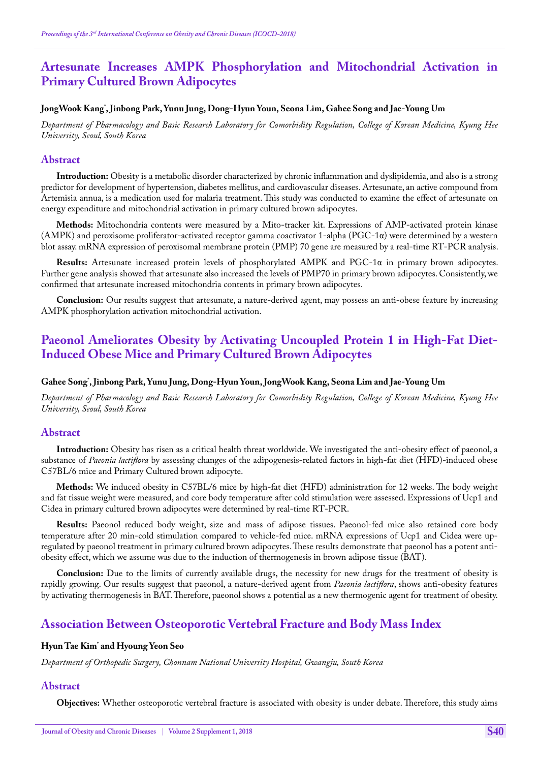# **Artesunate Increases AMPK Phosphorylation and Mitochondrial Activation in Primary Cultured Brown Adipocytes**

### **JongWook Kang\* , Jinbong Park, Yunu Jung, Dong-Hyun Youn, Seona Lim, Gahee Song and Jae-Young Um**

*Department of Pharmacology and Basic Research Laboratory for Comorbidity Regulation, College of Korean Medicine, Kyung Hee University, Seoul, South Korea*

### **Abstract**

**Introduction:** Obesity is a metabolic disorder characterized by chronic inflammation and dyslipidemia, and also is a strong predictor for development of hypertension, diabetes mellitus, and cardiovascular diseases. Artesunate, an active compound from Artemisia annua, is a medication used for malaria treatment. This study was conducted to examine the effect of artesunate on energy expenditure and mitochondrial activation in primary cultured brown adipocytes.

**Methods:** Mitochondria contents were measured by a Mito-tracker kit. Expressions of AMP-activated protein kinase (AMPK) and peroxisome proliferator-activated receptor gamma coactivator 1-alpha (PGC-1α) were determined by a western blot assay. mRNA expression of peroxisomal membrane protein (PMP) 70 gene are measured by a real-time RT-PCR analysis.

**Results:** Artesunate increased protein levels of phosphorylated AMPK and PGC-1α in primary brown adipocytes. Further gene analysis showed that artesunate also increased the levels of PMP70 in primary brown adipocytes. Consistently, we confirmed that artesunate increased mitochondria contents in primary brown adipocytes.

**Conclusion:** Our results suggest that artesunate, a nature-derived agent, may possess an anti-obese feature by increasing AMPK phosphorylation activation mitochondrial activation.

# **Paeonol Ameliorates Obesity by Activating Uncoupled Protein 1 in High-Fat Diet-Induced Obese Mice and Primary Cultured Brown Adipocytes**

### **Gahee Song\* , Jinbong Park, Yunu Jung, Dong-Hyun Youn, JongWook Kang, Seona Lim and Jae-Young Um**

*Department of Pharmacology and Basic Research Laboratory for Comorbidity Regulation, College of Korean Medicine, Kyung Hee University, Seoul, South Korea*

### **Abstract**

**Introduction:** Obesity has risen as a critical health threat worldwide. We investigated the anti-obesity effect of paeonol, a substance of *Paeonia lactiflora* by assessing changes of the adipogenesis-related factors in high-fat diet (HFD)-induced obese C57BL/6 mice and Primary Cultured brown adipocyte.

**Methods:** We induced obesity in C57BL/6 mice by high-fat diet (HFD) administration for 12 weeks. The body weight and fat tissue weight were measured, and core body temperature after cold stimulation were assessed. Expressions of Ucp1 and Cidea in primary cultured brown adipocytes were determined by real-time RT-PCR.

**Results:** Paeonol reduced body weight, size and mass of adipose tissues. Paeonol-fed mice also retained core body temperature after 20 min-cold stimulation compared to vehicle-fed mice. mRNA expressions of Ucp1 and Cidea were upregulated by paeonol treatment in primary cultured brown adipocytes. These results demonstrate that paeonol has a potent antiobesity effect, which we assume was due to the induction of thermogenesis in brown adipose tissue (BAT).

**Conclusion:** Due to the limits of currently available drugs, the necessity for new drugs for the treatment of obesity is rapidly growing. Our results suggest that paeonol, a nature-derived agent from *Paeonia lactiflora*, shows anti-obesity features by activating thermogenesis in BAT. Therefore, paeonol shows a potential as a new thermogenic agent for treatment of obesity.

# **Association Between Osteoporotic Vertebral Fracture and Body Mass Index**

### **Hyun Tae Kim\* and Hyoung Yeon Seo**

*Department of Orthopedic Surgery, Chonnam National University Hospital, Gwangju, South Korea*

#### **Abstract**

**Objectives:** Whether osteoporotic vertebral fracture is associated with obesity is under debate. Therefore, this study aims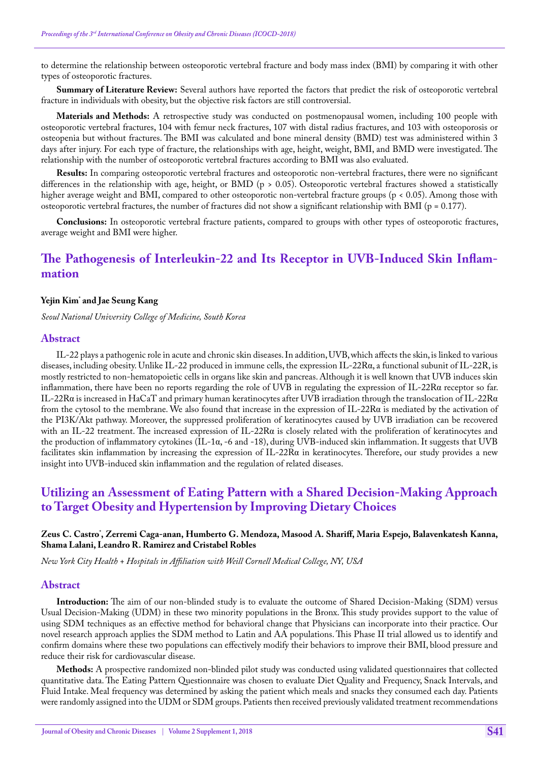to determine the relationship between osteoporotic vertebral fracture and body mass index (BMI) by comparing it with other types of osteoporotic fractures.

**Summary of Literature Review:** Several authors have reported the factors that predict the risk of osteoporotic vertebral fracture in individuals with obesity, but the objective risk factors are still controversial.

**Materials and Methods:** A retrospective study was conducted on postmenopausal women, including 100 people with osteoporotic vertebral fractures, 104 with femur neck fractures, 107 with distal radius fractures, and 103 with osteoporosis or osteopenia but without fractures. The BMI was calculated and bone mineral density (BMD) test was administered within 3 days after injury. For each type of fracture, the relationships with age, height, weight, BMI, and BMD were investigated. The relationship with the number of osteoporotic vertebral fractures according to BMI was also evaluated.

**Results:** In comparing osteoporotic vertebral fractures and osteoporotic non-vertebral fractures, there were no significant differences in the relationship with age, height, or BMD (p > 0.05). Osteoporotic vertebral fractures showed a statistically higher average weight and BMI, compared to other osteoporotic non-vertebral fracture groups (p < 0.05). Among those with osteoporotic vertebral fractures, the number of fractures did not show a significant relationship with BMI (p = 0.177).

**Conclusions:** In osteoporotic vertebral fracture patients, compared to groups with other types of osteoporotic fractures, average weight and BMI were higher.

# **The Pathogenesis of Interleukin-22 and Its Receptor in UVB-Induced Skin Inflammation**

### **Yejin Kim\* and Jae Seung Kang**

*Seoul National University College of Medicine, South Korea*

### **Abstract**

IL-22 plays a pathogenic role in acute and chronic skin diseases. In addition, UVB, which affects the skin, is linked to various diseases, including obesity. Unlike IL-22 produced in immune cells, the expression IL-22Rα, a functional subunit of IL-22R, is mostly restricted to non-hematopoietic cells in organs like skin and pancreas. Although it is well known that UVB induces skin inflammation, there have been no reports regarding the role of UVB in regulating the expression of IL-22Rα receptor so far. IL-22R $\alpha$  is increased in HaCaT and primary human keratinocytes after UVB irradiation through the translocation of IL-22R $\alpha$ from the cytosol to the membrane. We also found that increase in the expression of IL-22Rα is mediated by the activation of the PI3K/Akt pathway. Moreover, the suppressed proliferation of keratinocytes caused by UVB irradiation can be recovered with an IL-22 treatment. The increased expression of IL-22R $\alpha$  is closely related with the proliferation of keratinocytes and the production of inflammatory cytokines (IL-1α, -6 and -18), during UVB-induced skin inflammation. It suggests that UVB facilitates skin inflammation by increasing the expression of IL-22Rα in keratinocytes. Therefore, our study provides a new insight into UVB-induced skin inflammation and the regulation of related diseases.

# **Utilizing an Assessment of Eating Pattern with a Shared Decision-Making Approach to Target Obesity and Hypertension by Improving Dietary Choices**

### **Zeus C. Castro\* , Zerremi Caga-anan, Humberto G. Mendoza, Masood A. Shariff, Maria Espejo, Balavenkatesh Kanna, Shama Lalani, Leandro R. Ramirez and Cristabel Robles**

*New York City Health + Hospitals in Affiliation with Weill Cornell Medical College, NY, USA*

### **Abstract**

**Introduction:** The aim of our non-blinded study is to evaluate the outcome of Shared Decision-Making (SDM) versus Usual Decision-Making (UDM) in these two minority populations in the Bronx. This study provides support to the value of using SDM techniques as an effective method for behavioral change that Physicians can incorporate into their practice. Our novel research approach applies the SDM method to Latin and AA populations. This Phase II trial allowed us to identify and confirm domains where these two populations can effectively modify their behaviors to improve their BMI, blood pressure and reduce their risk for cardiovascular disease.

**Methods:** A prospective randomized non-blinded pilot study was conducted using validated questionnaires that collected quantitative data. The Eating Pattern Questionnaire was chosen to evaluate Diet Quality and Frequency, Snack Intervals, and Fluid Intake. Meal frequency was determined by asking the patient which meals and snacks they consumed each day. Patients were randomly assigned into the UDM or SDM groups. Patients then received previously validated treatment recommendations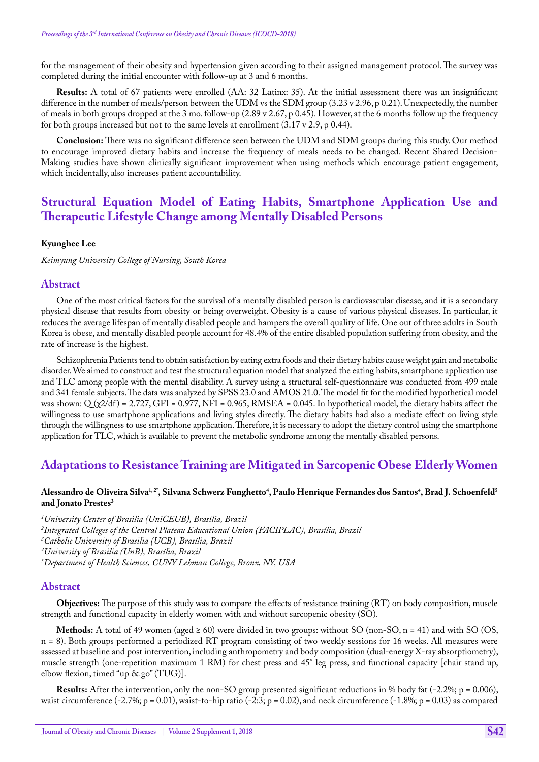for the management of their obesity and hypertension given according to their assigned management protocol. The survey was completed during the initial encounter with follow-up at 3 and 6 months.

**Results:** A total of 67 patients were enrolled (AA: 32 Latinx: 35). At the initial assessment there was an insignificant difference in the number of meals/person between the UDM vs the SDM group (3.23 v 2.96, p 0.21). Unexpectedly, the number of meals in both groups dropped at the 3 mo. follow-up (2.89 v 2.67, p 0.45). However, at the 6 months follow up the frequency for both groups increased but not to the same levels at enrollment (3.17 v 2.9, p 0.44).

**Conclusion:** There was no significant difference seen between the UDM and SDM groups during this study. Our method to encourage improved dietary habits and increase the frequency of meals needs to be changed. Recent Shared Decision-Making studies have shown clinically significant improvement when using methods which encourage patient engagement, which incidentally, also increases patient accountability.

# **Structural Equation Model of Eating Habits, Smartphone Application Use and Therapeutic Lifestyle Change among Mentally Disabled Persons**

#### **Kyunghee Lee**

*Keimyung University College of Nursing, South Korea*

#### **Abstract**

One of the most critical factors for the survival of a mentally disabled person is cardiovascular disease, and it is a secondary physical disease that results from obesity or being overweight. Obesity is a cause of various physical diseases. In particular, it reduces the average lifespan of mentally disabled people and hampers the overall quality of life. One out of three adults in South Korea is obese, and mentally disabled people account for 48.4% of the entire disabled population suffering from obesity, and the rate of increase is the highest.

Schizophrenia Patients tend to obtain satisfaction by eating extra foods and their dietary habits cause weight gain and metabolic disorder. We aimed to construct and test the structural equation model that analyzed the eating habits, smartphone application use and TLC among people with the mental disability. A survey using a structural self-questionnaire was conducted from 499 male and 341 female subjects. The data was analyzed by SPSS 23.0 and AMOS 21.0. The model fit for the modified hypothetical model was shown:  $Q(\chi/2df) = 2.727$ , GFI = 0.977, NFI = 0.965, RMSEA = 0.045. In hypothetical model, the dietary habits affect the willingness to use smartphone applications and living styles directly. The dietary habits had also a mediate effect on living style through the willingness to use smartphone application. Therefore, it is necessary to adopt the dietary control using the smartphone application for TLC, which is available to prevent the metabolic syndrome among the mentally disabled persons.

## **Adaptations to Resistance Training are Mitigated in Sarcopenic Obese Elderly Women**

#### Alessandro de Oliveira Silva<sup>1,2</sup>", Silvana Schwerz Funghetto<sup>4</sup>, Paulo Henrique Fernandes dos Santos<sup>4</sup>, Brad J. Schoenfeld<sup>5</sup> **and Jonato Prestes3**

 *University Center of Brasilia (UniCEUB), Brasília, Brazil Integrated Colleges of the Central Plateau Educational Union (FACIPLAC), Brasília, Brazil Catholic University of Brasilia (UCB), Brasília, Brazil University of Brasilia (UnB), Brasília, Brazil Department of Health Sciences, CUNY Lehman College, Bronx, NY, USA*

#### **Abstract**

**Objectives:** The purpose of this study was to compare the effects of resistance training (RT) on body composition, muscle strength and functional capacity in elderly women with and without sarcopenic obesity (SO).

**Methods:** A total of 49 women (aged  $\geq 60$ ) were divided in two groups: without SO (non-SO, n = 41) and with SO (OS, n = 8). Both groups performed a periodized RT program consisting of two weekly sessions for 16 weeks. All measures were assessed at baseline and post intervention, including anthropometry and body composition (dual-energy X-ray absorptiometry), muscle strength (one-repetition maximum 1 RM) for chest press and 45° leg press, and functional capacity [chair stand up, elbow flexion, timed "up & go" (TUG)].

**Results:** After the intervention, only the non-SO group presented significant reductions in % body fat (-2.2%; p = 0.006), waist circumference (-2.7%; p = 0.01), waist-to-hip ratio (-2:3; p = 0.02), and neck circumference (-1.8%; p = 0.03) as compared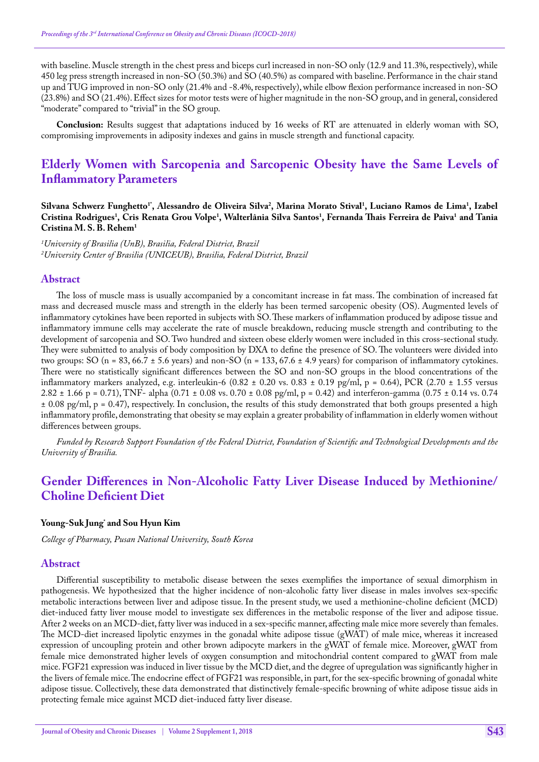with baseline. Muscle strength in the chest press and biceps curl increased in non-SO only (12.9 and 11.3%, respectively), while 450 leg press strength increased in non-SO (50.3%) and SO (40.5%) as compared with baseline. Performance in the chair stand up and TUG improved in non-SO only (21.4% and -8.4%, respectively), while elbow flexion performance increased in non-SO (23.8%) and SO (21.4%). Effect sizes for motor tests were of higher magnitude in the non-SO group, and in general, considered "moderate" compared to "trivial" in the SO group.

**Conclusion:** Results suggest that adaptations induced by 16 weeks of RT are attenuated in elderly woman with SO, compromising improvements in adiposity indexes and gains in muscle strength and functional capacity.

# **Elderly Women with Sarcopenia and Sarcopenic Obesity have the Same Levels of Inflammatory Parameters**

Silvana Schwerz Funghetto<sup>1</sup>', Alessandro de Oliveira Silva<sup>2</sup>, Marina Morato Stival<sup>1</sup>, Luciano Ramos de Lima<sup>1</sup>, Izabel **Cristina Rodrigues1 , Cris Renata Grou Volpe1 , Walterlânia Silva Santos1 , Fernanda Thais Ferreira de Paiva1 and Tania Cristina M. S. B. Rehem1**

*1 University of Brasilia (UnB), Brasilia, Federal District, Brazil 2 University Center of Brasilia (UNICEUB), Brasilia, Federal District, Brazil*

### **Abstract**

The loss of muscle mass is usually accompanied by a concomitant increase in fat mass. The combination of increased fat mass and decreased muscle mass and strength in the elderly has been termed sarcopenic obesity (OS). Augmented levels of inflammatory cytokines have been reported in subjects with SO. These markers of inflammation produced by adipose tissue and inflammatory immune cells may accelerate the rate of muscle breakdown, reducing muscle strength and contributing to the development of sarcopenia and SO. Two hundred and sixteen obese elderly women were included in this cross-sectional study. They were submitted to analysis of body composition by DXA to define the presence of SO. The volunteers were divided into two groups: SO (n = 83, 66.7  $\pm$  5.6 years) and non-SO (n = 133, 67.6  $\pm$  4.9 years) for comparison of inflammatory cytokines. There were no statistically significant differences between the SO and non-SO groups in the blood concentrations of the inflammatory markers analyzed, e.g. interleukin-6  $(0.82 \pm 0.20 \text{ vs. } 0.83 \pm 0.19 \text{ pg/ml}, p = 0.64)$ , PCR  $(2.70 \pm 1.55 \text{ versus } 1.55 \text{ erg/} \text{ m}$  $2.82 \pm 1.66$  p = 0.71), TNF- alpha  $(0.71 \pm 0.08 \text{ vs. } 0.70 \pm 0.08 \text{ pg/ml}, p = 0.42)$  and interferon-gamma  $(0.75 \pm 0.14 \text{ vs. } 0.74$  $\pm$  0.08 pg/ml, p = 0.47), respectively. In conclusion, the results of this study demonstrated that both groups presented a high inflammatory profile, demonstrating that obesity se may explain a greater probability of inflammation in elderly women without differences between groups.

*Funded by Research Support Foundation of the Federal District, Foundation of Scientific and Technological Developments and the University of Brasilia.*

# **Gender Differences in Non-Alcoholic Fatty Liver Disease Induced by Methionine/ Choline Deficient Diet**

### **Young-Suk Jung\* and Sou Hyun Kim**

*College of Pharmacy, Pusan National University, South Korea*

#### **Abstract**

Differential susceptibility to metabolic disease between the sexes exemplifies the importance of sexual dimorphism in pathogenesis. We hypothesized that the higher incidence of non-alcoholic fatty liver disease in males involves sex-specific metabolic interactions between liver and adipose tissue. In the present study, we used a methionine-choline deficient (MCD) diet-induced fatty liver mouse model to investigate sex differences in the metabolic response of the liver and adipose tissue. After 2 weeks on an MCD-diet, fatty liver was induced in a sex-specific manner, affecting male mice more severely than females. The MCD-diet increased lipolytic enzymes in the gonadal white adipose tissue (gWAT) of male mice, whereas it increased expression of uncoupling protein and other brown adipocyte markers in the gWAT of female mice. Moreover, gWAT from female mice demonstrated higher levels of oxygen consumption and mitochondrial content compared to gWAT from male mice. FGF21 expression was induced in liver tissue by the MCD diet, and the degree of upregulation was significantly higher in the livers of female mice. The endocrine effect of FGF21 was responsible, in part, for the sex-specific browning of gonadal white adipose tissue. Collectively, these data demonstrated that distinctively female-specific browning of white adipose tissue aids in protecting female mice against MCD diet-induced fatty liver disease.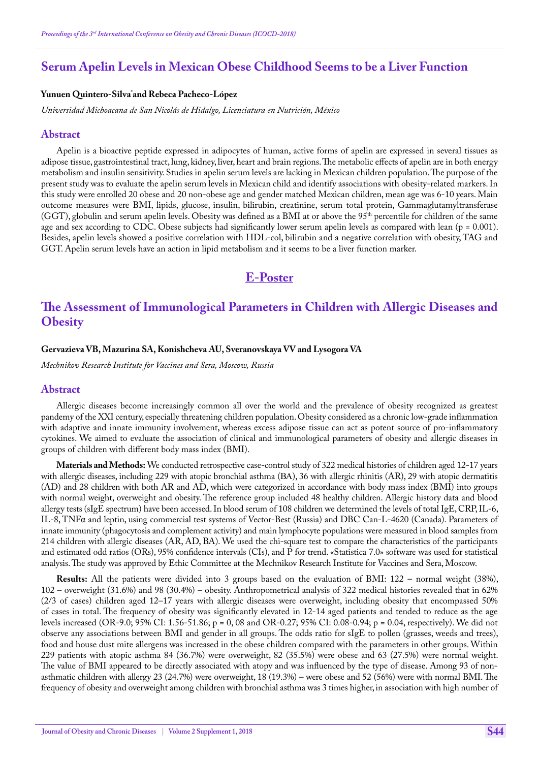# **Serum Apelin Levels in Mexican Obese Childhood Seems to be a Liver Function**

### **Yunuen Quintero-Silva\* and Rebeca Pacheco-López**

*Universidad Michoacana de San Nicolás de Hidalgo, Licenciatura en Nutrición, México*

#### **Abstract**

Apelin is a bioactive peptide expressed in adipocytes of human, active forms of apelin are expressed in several tissues as adipose tissue, gastrointestinal tract, lung, kidney, liver, heart and brain regions. The metabolic effects of apelin are in both energy metabolism and insulin sensitivity. Studies in apelin serum levels are lacking in Mexican children population. The purpose of the present study was to evaluate the apelin serum levels in Mexican child and identify associations with obesity-related markers. In this study were enrolled 20 obese and 20 non-obese age and gender matched Mexican children, mean age was 6-10 years. Main outcome measures were BMI, lipids, glucose, insulin, bilirubin, creatinine, serum total protein, Gammaglutamyltransferase (GGT), globulin and serum apelin levels. Obesity was defined as a BMI at or above the 95<sup>th</sup> percentile for children of the same age and sex according to CDC. Obese subjects had significantly lower serum apelin levels as compared with lean ( $p = 0.001$ ). Besides, apelin levels showed a positive correlation with HDL-col, bilirubin and a negative correlation with obesity, TAG and GGT. Apelin serum levels have an action in lipid metabolism and it seems to be a liver function marker.

# **E-Poster**

# **The Assessment of Immunological Parameters in Children with Allergic Diseases and Obesity**

#### **Gervazieva VB, Mazurina SA, Konishcheva AU, Sveranovskaya VV and Lysogora VA**

*Mechnikov Research Institute for Vaccines and Sera, Moscow, Russia*

#### **Abstract**

Allergic diseases become increasingly common all over the world and the prevalence of obesity recognized as greatest pandemy of the XXI century, especially threatening children population. Obesity considered as a chronic low-grade inflammation with adaptive and innate immunity involvement, whereas excess adipose tissue can act as potent source of pro-inflammatory cytokines. We aimed to evaluate the association of clinical and immunological parameters of obesity and allergic diseases in groups of children with different body mass index (BMI).

**Materials and Methods:** We conducted retrospective case-control study of 322 medical histories of children aged 12-17 years with allergic diseases, including 229 with atopic bronchial asthma (ВА), 36 with allergic rhinitis (AR), 29 with atopic dermatitis (AD) and 28 children with both AR and AD, which were categorized in accordance with body mass index (BMI) into groups with normal weight, overweight and obesity. The reference group included 48 healthy children. Allergic history data and blood allergy tests (sIgE spectrum) have been accessed. In blood serum of 108 children we determined the levels of total IgE, CRP, IL-6, IL-8, TNFα and leptin, using commercial test systems of Vector-Best (Russia) and DBC Can-L-4620 (Canada). Parameters of innate immunity (phagocytosis and complement activity) and main lymphocyte populations were measured in blood samples from 214 children with allergic diseases (AR, AD, BA). We used the chi-square test to compare the characteristics of the participants and estimated odd ratios (ORs), 95% confidence intervals (CIs), and P for trend. «Statistica 7.0» software was used for statistical analysis. The study was approved by Ethic Committee at the Mechnikov Research Institute for Vaccines and Sera, Moscow.

**Results:** All the patients were divided into 3 groups based on the evaluation of BMI: 122 – normal weight (38%), 102 – overweight (31.6%) and 98 (30.4%) – obesity. Anthropometrical analysis of 322 medical histories revealed that in 62% (2/3 of cases) children aged 12–17 years with allergic diseases were overweight, including obesity that encompassed 50% of cases in total. The frequency of obesity was significantly elevated in 12-14 aged patients and tended to reduce as the age levels increased (OR-9.0; 95% CI: 1.56-51.86; p = 0, 08 and OR-0.27; 95% CI: 0.08-0.94; p = 0.04, respectively). We did not observe any associations between BMI and gender in all groups. The odds ratio for sIgE to pollen (grasses, weeds and trees), food and house dust mite allergens was increased in the obese children compared with the parameters in other groups. Within 229 patients with atopic asthma 84 (36.7%) were overweight, 82 (35.5%) were obese and 63 (27.5%) were normal weight. The value of BMI appeared to be directly associated with atopy and was influenced by the type of disease. Among 93 of nonasthmatic children with allergy 23 (24.7%) were overweight, 18 (19.3%) – were obese and 52 (56%) were with normal BMI. The frequency of obesity and overweight among children with bronchial asthma was 3 times higher, in association with high number of